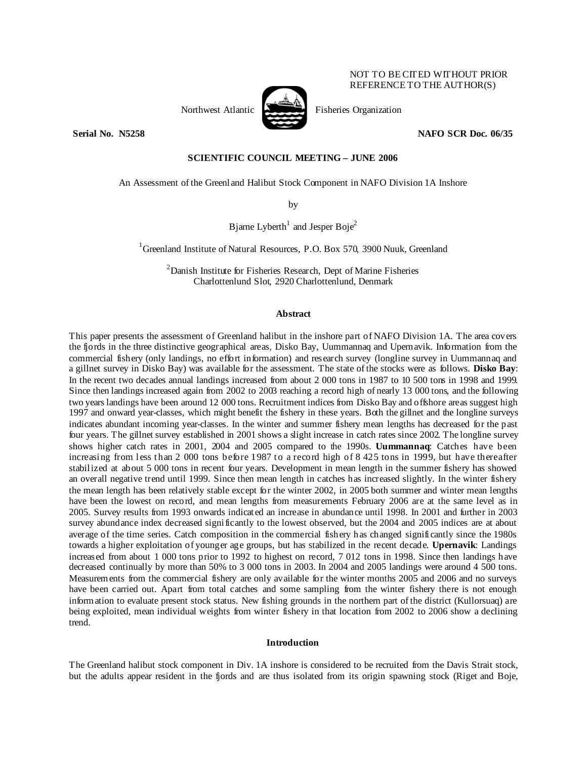

NOT TO BE CITED WITHOUT PRIOR REFERENCE TO THE AUTHOR(S)

**Serial No. N5258 NAFO SCR Doc. 06/35** 

# **SCIENTIFIC COUNCIL MEETING – JUNE 2006**

An Assessment of the Greenland Halibut Stock Component in NAFO Division 1A Inshore

by

Bjarne Lyberth<sup>1</sup> and Jesper Boje<sup>2</sup>

<sup>1</sup>Greenland Institute of Natural Resources, P.O. Box 570, 3900 Nuuk, Greenland

<sup>2</sup> Danish Institute for Fisheries Research, Dept of Marine Fisheries Charlottenlund Slot, 2920 Charlottenlund, Denmark

### **Abstract**

This paper presents the assessment of Greenland halibut in the inshore part of NAFO Division 1A. The area covers the fjords in the three distinctive geographical areas, Disko Bay, Uummannaq and Upernavik. Information from the commercial fishery (only landings, no effort information) and research survey (longline survey in Uummannaq and a gillnet survey in Disko Bay) was available for the assessment. The state of the stocks were as follows. **Disko Bay**: In the recent two decades annual landings increased from about 2 000 tons in 1987 to 10 500 tons in 1998 and 1999. Since then landings increased again from 2002 to 2003 reaching a record high of nearly 13 000 tons, and the following two years landings have been around 12 000 tons. Recruitment indices from Disko Bay and offshore areas suggest high 1997 and onward year-classes, which might benefit the fishery in these years. Both the gillnet and the longline surveys indicates abundant incoming year-classes. In the winter and summer fishery mean lengths has decreased for the past four years. The gillnet survey established in 2001 shows a slight increase in catch rates since 2002. The longline survey shows higher catch rates in 2001, 2004 and 2005 compared to the 1990s. **Uummannaq**: Catches have been increasing from less than 2 000 tons before 1987 to a record high of 8 425 tons in 1999, but have thereafter stabilized at about 5 000 tons in recent four years. Development in mean length in the summer fishery has showed an overall negative trend until 1999. Since then mean length in catches has increased slightly. In the winter fishery the mean length has been relatively stable except for the winter 2002, in 2005 both summer and winter mean lengths have been the lowest on record, and mean lengths from measurements February 2006 are at the same level as in 2005. Survey results from 1993 onwards indicated an increase in abundance until 1998. In 2001 and further in 2003 survey abundance index decreased significantly to the lowest observed, but the 2004 and 2005 indices are at about average of the time series. Catch composition in the commercial fishery has changed significantly since the 1980s towards a higher exploitation of younger age groups, but has stabilized in the recent decade. **Upernavik**: Landings increased from about 1 000 tons prior to 1992 to highest on record, 7 012 tons in 1998. Since then landings have decreased continually by more than 50% to 3 000 tons in 2003. In 2004 and 2005 landings were around 4 500 tons. Measurements from the commercial fishery are only available for the winter months 2005 and 2006 and no surveys have been carried out. Apart from total catches and some sampling from the winter fishery there is not enough information to evaluate present stock status. New fishing grounds in the northern part of the district (Kullorsuaq) are being exploited, mean individual weights from winter fishery in that location from 2002 to 2006 show a declining trend.

## **Introduction**

The Greenland halibut stock component in Div. 1A inshore is considered to be recruited from the Davis Strait stock, but the adults appear resident in the fjords and are thus isolated from its origin spawning stock (Riget and Boje,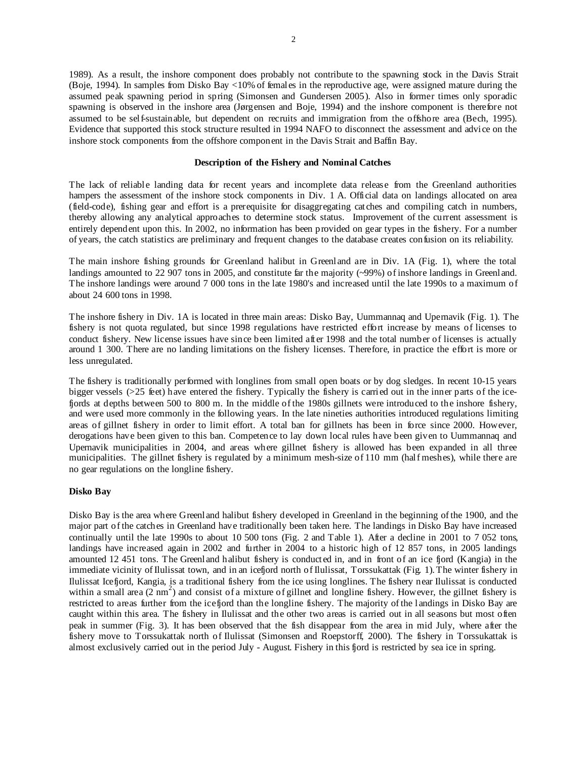1989). As a result, the inshore component does probably not contribute to the spawning stock in the Davis Strait (Boje, 1994). In samples from Disko Bay <10% of females in the reproductive age, were assigned mature during the assumed peak spawning period in spring (Simonsen and Gundersen 2005). Also in former times only sporadic spawning is observed in the inshore area (Jørgensen and Boje, 1994) and the inshore component is therefore not assumed to be self-sustainable, but dependent on recruits and immigration from the offshore area (Bech, 1995). Evidence that supported this stock structure resulted in 1994 NAFO to disconnect the assessment and advice on the inshore stock components from the offshore component in the Davis Strait and Baffin Bay.

### **Description of the Fishery and Nominal Catches**

The lack of reliable landing data for recent years and incomplete data release from the Greenland authorities hampers the assessment of the inshore stock components in Div. 1 A. Official data on landings allocated on area (field-code), fishing gear and effort is a prerequisite for disaggregating catches and compiling catch in numbers, thereby allowing any analytical approaches to determine stock status. Improvement of the current assessment is entirely dependent upon this. In 2002, no information has been provided on gear types in the fishery. For a number of years, the catch statistics are preliminary and frequent changes to the database creates confusion on its reliability.

The main inshore fishing grounds for Greenland halibut in Greenland are in Div. 1A (Fig. 1), where the total landings amounted to 22 907 tons in 2005, and constitute far the majority (~99%) of inshore landings in Greenland. The inshore landings were around 7 000 tons in the late 1980's and increased until the late 1990s to a maximum of about 24 600 tons in 1998.

The inshore fishery in Div. 1A is located in three main areas: Disko Bay, Uummannaq and Upernavik (Fig. 1). The fishery is not quota regulated, but since 1998 regulations have restricted effort increase by means of licenses to conduct fishery. New license issues have since been limited after 1998 and the total number of licenses is actually around 1 300. There are no landing limitations on the fishery licenses. Therefore, in practice the effort is more or less unregulated.

The fishery is traditionally performed with longlines from small open boats or by dog sledges. In recent 10-15 years bigger vessels (>25 feet) have entered the fishery. Typically the fishery is carried out in the inner parts of the icefjords at depths between 500 to 800 m. In the middle of the 1980s gillnets were introduced to the inshore fishery, and were used more commonly in the following years. In the late nineties authorities introduced regulations limiting areas of gillnet fishery in order to limit effort. A total ban for gillnets has been in force since 2000. However, derogations have been given to this ban. Competence to lay down local rules have been given to Uummannaq and Upernavik municipalities in 2004, and areas where gillnet fishery is allowed has been expanded in all three municipalities. The gillnet fishery is regulated by a minimum mesh-size of 110 mm (half meshes), while there are no gear regulations on the longline fishery.

### **Disko Bay**

Disko Bay is the area where Greenland halibut fishery developed in Greenland in the beginning of the 1900, and the major part of the catches in Greenland have traditionally been taken here. The landings in Disko Bay have increased continually until the late 1990s to about 10 500 tons (Fig. 2 and Table 1). After a decline in 2001 to 7 052 tons, landings have increased again in 2002 and further in 2004 to a historic high of 12 857 tons, in 2005 landings amounted 12 451 tons. The Greenland halibut fishery is conducted in, and in front of an ice fjord (Kangia) in the immediate vicinity of Ilulissat town, and in an icefjord north of Ilulissat, Torssukattak (Fig. 1). The winter fishery in Ilulissat Icefjord, Kangia, is a traditional fishery from the ice using longlines. The fishery near Ilulissat is conducted within a small area  $(2 \text{ nm}^2)$  and consist of a mixture of gillnet and longline fishery. However, the gillnet fishery is restricted to areas further from the icefjord than the longline fishery. The majority of the landings in Disko Bay are caught within this area. The fishery in Ilulissat and the other two areas is carried out in all seasons but most often peak in summer (Fig. 3). It has been observed that the fish disappear from the area in mid July, where after the fishery move to Torssukattak north of Ilulissat (Simonsen and Roepstorff, 2000). The fishery in Torssukattak is almost exclusively carried out in the period July - August. Fishery in this fjord is restricted by sea ice in spring.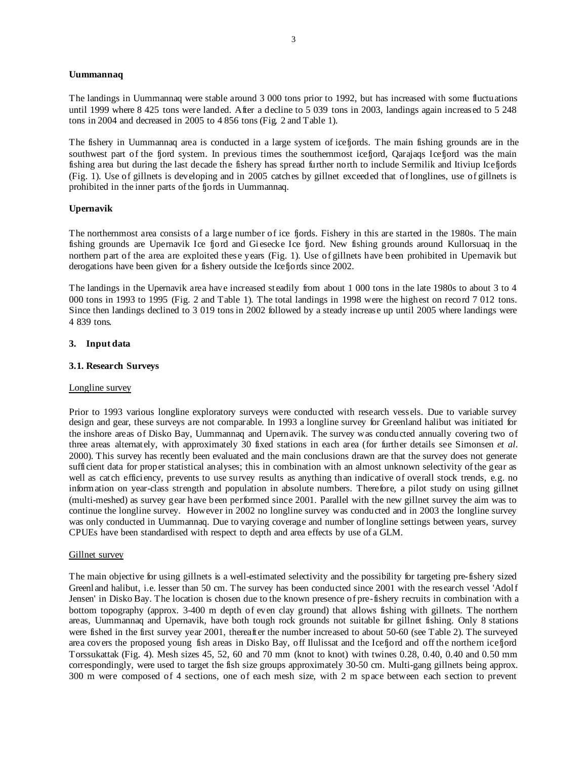### **Uummannaq**

The landings in Uummannaq were stable around 3 000 tons prior to 1992, but has increased with some fluctuations until 1999 where 8 425 tons were landed. After a decline to 5 039 tons in 2003, landings again increased to 5 248 tons in 2004 and decreased in 2005 to 4 856 tons (Fig. 2 and Table 1).

The fishery in Uummannaq area is conducted in a large system of icefjords. The main fishing grounds are in the southwest part of the fjord system. In previous times the southernmost icefjord, Qarajaqs Icefjord was the main fishing area but during the last decade the fishery has spread further north to include Sermilik and Itiviup Icefjords (Fig. 1). Use of gillnets is developing and in 2005 catches by gillnet exceeded that of longlines, use of gillnets is prohibited in the inner parts of the fjords in Uummannaq.

### **Upernavik**

The northernmost area consists of a large number of ice fjords. Fishery in this are started in the 1980s. The main fishing grounds are Upernavik Ice fjord and Giesecke Ice fjord. New fishing grounds around Kullorsuaq in the northern part of the area are exploited these years (Fig. 1). Use of gillnets have been prohibited in Upernavik but derogations have been given for a fishery outside the Icefjords since 2002.

The landings in the Upernavik area have increased steadily from about 1 000 tons in the late 1980s to about 3 to 4 000 tons in 1993 to 1995 (Fig. 2 and Table 1). The total landings in 1998 were the highest on record 7 012 tons. Since then landings declined to 3 019 tons in 2002 followed by a steady increase up until 2005 where landings were 4 839 tons.

### **3. Input data**

### **3.1. Research Surveys**

#### Longline survey

Prior to 1993 various longline exploratory surveys were conducted with research vessels. Due to variable survey design and gear, these surveys are not comparable. In 1993 a longline survey for Greenland halibut was initiated for the inshore areas of Disko Bay, Uummannaq and Upernavik. The survey was conducted annually covering two of three areas alternately, with approximately 30 fixed stations in each area (for further details see Simonsen *et al*. 2000). This survey has recently been evaluated and the main conclusions drawn are that the survey does not generate sufficient data for proper statistical analyses; this in combination with an almost unknown selectivity of the gear as well as catch efficiency, prevents to use survey results as anything than indicative of overall stock trends, e.g. no information on year-class strength and population in absolute numbers. Therefore, a pilot study on using gillnet (multi-meshed) as survey gear have been performed since 2001. Parallel with the new gillnet survey the aim was to continue the longline survey. However in 2002 no longline survey was conducted and in 2003 the longline survey was only conducted in Uummannaq. Due to varying coverage and number of longline settings between years, survey CPUEs have been standardised with respect to depth and area effects by use of a GLM.

#### Gillnet survey

The main objective for using gillnets is a well-estimated selectivity and the possibility for targeting pre-fishery sized Greenland halibut, i.e. lesser than 50 cm. The survey has been conducted since 2001 with the research vessel 'Adolf Jensen' in Disko Bay. The location is chosen due to the known presence of pre-fishery recruits in combination with a bottom topography (approx. 3-400 m depth of even clay ground) that allows fishing with gillnets. The northern areas, Uummannaq and Upernavik, have both tough rock grounds not suitable for gillnet fishing. Only 8 stations were fished in the first survey year 2001, thereafter the number increased to about 50-60 (see Table 2). The surveyed area covers the proposed young fish areas in Disko Bay, off Ilulissat and the Icefjord and off the northern icefjord Torssukattak (Fig. 4). Mesh sizes 45, 52, 60 and 70 mm (knot to knot) with twines 0.28, 0.40, 0.40 and 0.50 mm correspondingly, were used to target the fish size groups approximately 30-50 cm. Multi-gang gillnets being approx. 300 m were composed of 4 sections, one of each mesh size, with 2 m space between each section to prevent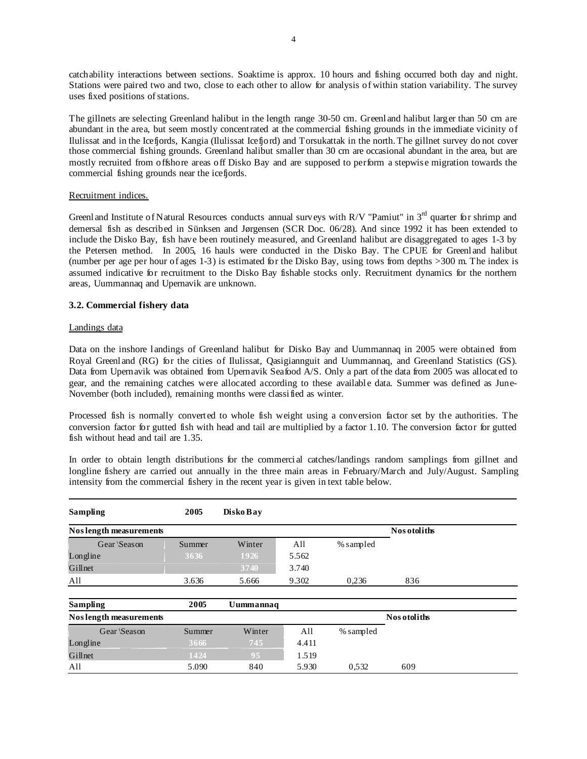catchability interactions between sections. Soaktime is approx. 10 hours and fishing occurred both day and night. Stations were paired two and two, close to each other to allow for analysis of within station variability. The survey uses fixed positions of stations.

The gillnets are selecting Greenland halibut in the length range 30-50 cm. Greenland halibut larger than 50 cm are abundant in the area, but seem mostly concentrated at the commercial fishing grounds in the immediate vicinity of Ilulissat and in the Icefjords, Kangia (Ilulissat Icefjord) and Torsukattak in the north. The gillnet survey do not cover those commercial fishing grounds. Greenland halibut smaller than 30 cm are occasional abundant in the area, but are mostly recruited from offshore areas off Disko Bay and are supposed to perform a stepwise migration towards the commercial fishing grounds near the icefjords.

# Recruitment indices.

Greenland Institute of Natural Resources conducts annual surveys with R/V "Pamiut" in 3<sup>rd</sup> quarter for shrimp and demersal fish as described in Sünksen and Jørgensen (SCR Doc. 06/28). And since 1992 it has been extended to include the Disko Bay, fish have been routinely measured, and Greenland halibut are disaggregated to ages 1-3 by the Petersen method. In 2005, 16 hauls were conducted in the Disko Bay. The CPUE for Greenland halibut (number per age per hour of ages 1-3) is estimated for the Disko Bay, using tows from depths >300 m. The index is assumed indicative for recruitment to the Disko Bay fishable stocks only. Recruitment dynamics for the northern areas, Uummannaq and Upernavik are unknown.

# **3.2. Commercial fishery data**

### Landings data

Data on the inshore landings of Greenland halibut for Disko Bay and Uummannaq in 2005 were obtained from Royal Greenland (RG) for the cities of Ilulissat, Qasigiannguit and Uummannaq, and Greenland Statistics (GS). Data from Upernavik was obtained from Upernavik Seafood A/S. Only a part of the data from 2005 was allocated to gear, and the remaining catches were allocated according to these available data. Summer was defined as June-November (both included), remaining months were classified as winter.

Processed fish is normally converted to whole fish weight using a conversion factor set by the authorities. The conversion factor for gutted fish with head and tail are multiplied by a factor 1.10. The conversion factor for gutted fish without head and tail are 1.35.

In order to obtain length distributions for the commercial catches/landings random samplings from gillnet and longline fishery are carried out annually in the three main areas in February/March and July/August. Sampling intensity from the commercial fishery in the recent year is given in text table below.

| Sampling                      | 2005   | Disko Bay |       |           |              |  |
|-------------------------------|--------|-----------|-------|-----------|--------------|--|
| Nos length measurements       |        |           |       |           | Nos otoliths |  |
| Gear \Season                  | Summer | Winter    | All   | % sampled |              |  |
| Longline                      | 3636   | 1926      | 5.562 |           |              |  |
| Gillnet                       |        | 3740      | 3.740 |           |              |  |
| All                           | 3.636  | 5.666     | 9.302 | 0.236     | 836          |  |
|                               |        |           |       |           |              |  |
| <b>Sampling</b>               | 2005   | Uummannaq |       |           |              |  |
| <b>Noslength measurements</b> |        |           |       |           | Nos otoliths |  |
| Gear \Season                  | Summer | Winter    | All   | % sampled |              |  |
| Longline                      | 3666   | 745       | 4.411 |           |              |  |
| Gillnet                       | 1424   | 95        | 1.519 |           |              |  |
| All                           | 5.090  | 840       | 5.930 | 0,532     | 609          |  |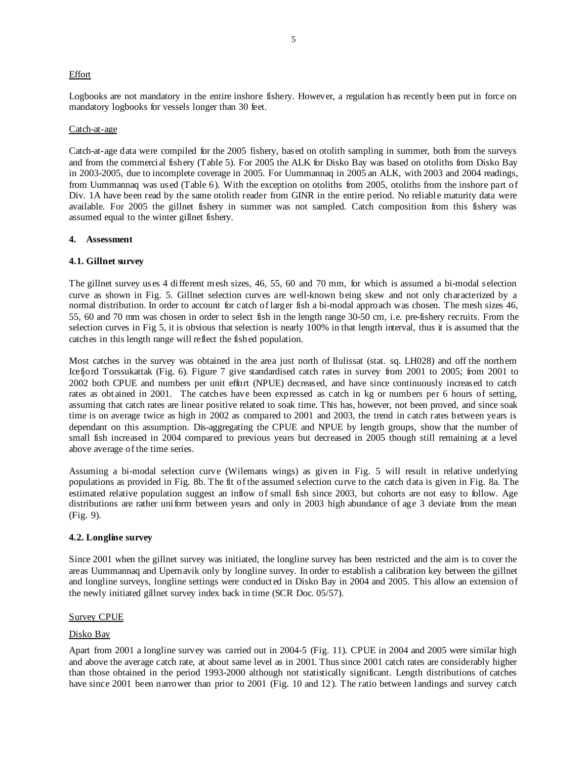### **Effort**

Logbooks are not mandatory in the entire inshore fishery. However, a regulation has recently been put in force on mandatory logbooks for vessels longer than 30 feet.

#### Catch-at-age

Catch-at-age data were compiled for the 2005 fishery, based on otolith sampling in summer, both from the surveys and from the commercial fishery (Table 5). For 2005 the ALK for Disko Bay was based on otoliths from Disko Bay in 2003-2005, due to incomplete coverage in 2005. For Uummannaq in 2005 an ALK, with 2003 and 2004 readings, from Uummannaq was used (Table 6). With the exception on otoliths from 2005, otoliths from the inshore part of Div. 1A have been read by the same otolith reader from GINR in the entire period. No reliable maturity data were available. For 2005 the gillnet fishery in summer was not sampled. Catch composition from this fishery was assumed equal to the winter gillnet fishery.

### **4. Assessment**

### **4.1. Gillnet survey**

The gillnet survey uses 4 different mesh sizes, 46, 55, 60 and 70 mm, for which is assumed a bi-modal selection curve as shown in Fig. 5. Gillnet selection curves are well-known being skew and not only characterized by a normal distribution. In order to account for catch of larger fish a bi-modal approach was chosen. The mesh sizes 46, 55, 60 and 70 mm was chosen in order to select fish in the length range 30-50 cm, i.e. pre-fishery recruits. From the selection curves in Fig 5, it is obvious that selection is nearly 100% in that length interval, thus it is assumed that the catches in this length range will reflect the fished population.

Most catches in the survey was obtained in the area just north of Ilulissat (stat. sq. LH028) and off the northern Icefjord Torssukattak (Fig. 6). Figure 7 give standardised catch rates in survey from 2001 to 2005; from 2001 to 2002 both CPUE and numbers per unit effort (NPUE) decreased, and have since continuously increased to catch rates as obtained in 2001. The catches have been expressed as catch in kg or numbers per 6 hours of setting, assuming that catch rates are linear positive related to soak time. This has, however, not been proved, and since soak time is on average twice as high in 2002 as compared to 2001 and 2003, the trend in catch rates between years is dependant on this assumption. Dis-aggregating the CPUE and NPUE by length groups, show that the number of small fish increased in 2004 compared to previous years but decreased in 2005 though still remaining at a level above average of the time series.

Assuming a bi-modal selection curve (Wilemans wings) as given in Fig. 5 will result in relative underlying populations as provided in Fig. 8b. The fit of the assumed selection curve to the catch data is given in Fig. 8a. The estimated relative population suggest an inflow of small fish since 2003, but cohorts are not easy to follow. Age distributions are rather uniform between years and only in 2003 high abundance of age 3 deviate from the mean (Fig. 9).

### **4.2. Longline survey**

Since 2001 when the gillnet survey was initiated, the longline survey has been restricted and the aim is to cover the areas Uummannaq and Upernavik only by longline survey. In order to establish a calibration key between the gillnet and longline surveys, longline settings were conducted in Disko Bay in 2004 and 2005. This allow an extension of the newly initiated gillnet survey index back in time (SCR Doc. 05/57).

### Survey CPUE

### Disko Bay

Apart from 2001 a longline survey was carried out in 2004-5 (Fig. 11). CPUE in 2004 and 2005 were similar high and above the average catch rate, at about same level as in 2001. Thus since 2001 catch rates are considerably higher than those obtained in the period 1993-2000 although not statistically significant. Length distributions of catches have since 2001 been narrower than prior to 2001 (Fig. 10 and 12). The ratio between landings and survey catch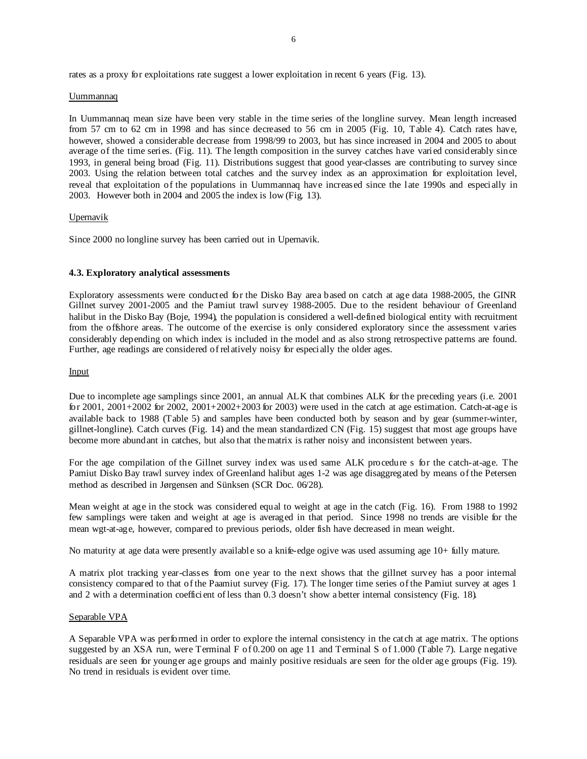rates as a proxy for exploitations rate suggest a lower exploitation in recent 6 years (Fig. 13).

#### Uummannaq

In Uummannaq mean size have been very stable in the time series of the longline survey. Mean length increased from 57 cm to 62 cm in 1998 and has since decreased to 56 cm in 2005 (Fig. 10, Table 4). Catch rates have, however, showed a considerable decrease from 1998/99 to 2003, but has since increased in 2004 and 2005 to about average of the time series. (Fig. 11). The length composition in the survey catches have varied considerably since 1993, in general being broad (Fig. 11). Distributions suggest that good year-classes are contributing to survey since 2003. Using the relation between total catches and the survey index as an approximation for exploitation level, reveal that exploitation of the populations in Uummannaq have increased since the late 1990s and especially in 2003. However both in 2004 and 2005 the index is low (Fig. 13).

### Upernavik

Since 2000 no longline survey has been carried out in Upernavik.

### **4.3. Exploratory analytical assessments**

Exploratory assessments were conducted for the Disko Bay area based on catch at age data 1988-2005, the GINR Gillnet survey 2001-2005 and the Pamiut trawl survey 1988-2005. Due to the resident behaviour of Greenland halibut in the Disko Bay (Boje, 1994), the population is considered a well-defined biological entity with recruitment from the offshore areas. The outcome of the exercise is only considered exploratory since the assessment varies considerably depending on which index is included in the model and as also strong retrospective patterns are found. Further, age readings are considered of relatively noisy for especially the older ages.

### Input

Due to incomplete age samplings since 2001, an annual ALK that combines ALK for the preceding years (i.e. 2001 for 2001, 2001+2002 for 2002, 2001+2002+2003 for 2003) were used in the catch at age estimation. Catch-at-age is available back to 1988 (Table 5) and samples have been conducted both by season and by gear (summer-winter, gillnet-longline). Catch curves (Fig. 14) and the mean standardized CN (Fig. 15) suggest that most age groups have become more abundant in catches, but also that the matrix is rather noisy and inconsistent between years.

For the age compilation of the Gillnet survey index was used same ALK procedure s for the catch-at-age. The Pamiut Disko Bay trawl survey index of Greenland halibut ages 1-2 was age disaggregated by means of the Petersen method as described in Jørgensen and Sünksen (SCR Doc. 06/28).

Mean weight at age in the stock was considered equal to weight at age in the catch (Fig. 16). From 1988 to 1992 few samplings were taken and weight at age is averaged in that period. Since 1998 no trends are visible for the mean wgt-at-age, however, compared to previous periods, older fish have decreased in mean weight.

No maturity at age data were presently available so a knife-edge ogive was used assuming age 10+ fully mature.

A matrix plot tracking year-classes from one year to the next shows that the gillnet survey has a poor internal consistency compared to that of the Paamiut survey (Fig. 17). The longer time series of the Pamiut survey at ages 1 and 2 with a determination coefficient of less than 0.3 doesn't show a better internal consistency (Fig. 18).

#### Separable VPA

A Separable VPA was performed in order to explore the internal consistency in the catch at age matrix. The options suggested by an XSA run, were Terminal F of 0.200 on age 11 and Terminal S of 1.000 (Table 7). Large negative residuals are seen for younger age groups and mainly positive residuals are seen for the older age groups (Fig. 19). No trend in residuals is evident over time.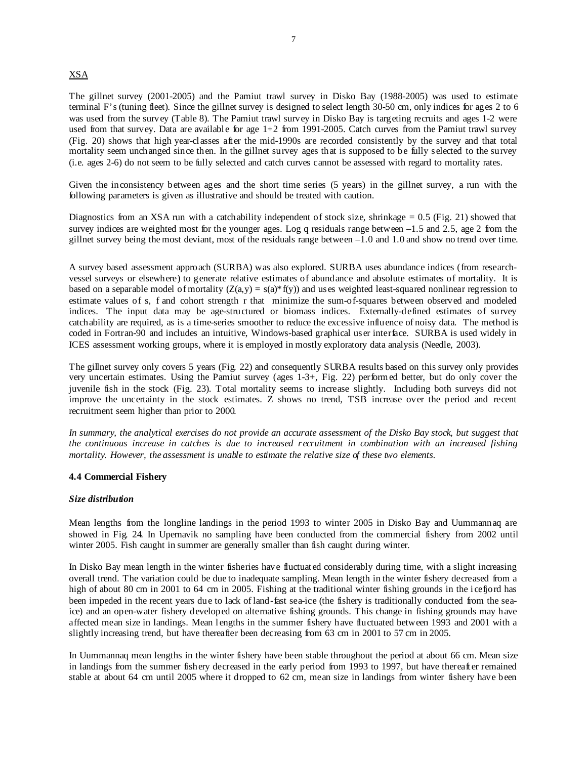# XSA

The gillnet survey (2001-2005) and the Pamiut trawl survey in Disko Bay (1988-2005) was used to estimate terminal F's (tuning fleet). Since the gillnet survey is designed to select length 30-50 cm, only indices for ages 2 to 6 was used from the survey (Table 8). The Pamiut trawl survey in Disko Bay is targeting recruits and ages 1-2 were used from that survey. Data are available for age 1+2 from 1991-2005. Catch curves from the Pamiut trawl survey (Fig. 20) shows that high year-classes after the mid-1990s are recorded consistently by the survey and that total mortality seem unchanged since then. In the gillnet survey ages that is supposed to be fully selected to the survey (i.e. ages 2-6) do not seem to be fully selected and catch curves cannot be assessed with regard to mortality rates.

Given the inconsistency between ages and the short time series (5 years) in the gillnet survey, a run with the following parameters is given as illustrative and should be treated with caution.

Diagnostics from an XSA run with a catchability independent of stock size, shrinkage  $= 0.5$  (Fig. 21) showed that survey indices are weighted most for the younger ages. Log q residuals range between  $-1.5$  and 2.5, age 2 from the gillnet survey being the most deviant, most of the residuals range between –1.0 and 1.0 and show no trend over time.

A survey based assessment approach (SURBA) was also explored. SURBA uses abundance indices (from researchvessel surveys or elsewhere) to generate relative estimates of abundance and absolute estimates of mortality. It is based on a separable model of mortality  $(Z(a,y) = s(a)*f(y))$  and uses weighted least-squared nonlinear regression to estimate values of s, f and cohort strength r that minimize the sum-of-squares between observed and modeled indices. The input data may be age-structured or biomass indices. Externally-defined estimates of survey catchability are required, as is a time-series smoother to reduce the excessive influence of noisy data. The method is coded in Fortran-90 and includes an intuitive, Windows-based graphical user interface. SURBA is used widely in ICES assessment working groups, where it is employed in mostly exploratory data analysis (Needle, 2003).

The gillnet survey only covers 5 years (Fig. 22) and consequently SURBA results based on this survey only provides very uncertain estimates. Using the Pamiut survey (ages 1-3+, Fig. 22) performed better, but do only cover the juvenile fish in the stock (Fig. 23). Total mortality seems to increase slightly. Including both surveys did not improve the uncertainty in the stock estimates. Z shows no trend, TSB increase over the period and recent recruitment seem higher than prior to 2000.

In summary, the analytical exercises do not provide an accurate assessment of the Disko Bay stock, but suggest that *the continuous increase in catches is due to increased recruitment in combination with an increased fishing mortality. However, the assessment is unable to estimate the relative size of these two elements.* 

### **4.4 Commercial Fishery**

#### *Size distribution*

Mean lengths from the longline landings in the period 1993 to winter 2005 in Disko Bay and Uummannaq are showed in Fig. 24. In Upernavik no sampling have been conducted from the commercial fishery from 2002 until winter 2005. Fish caught in summer are generally smaller than fish caught during winter.

In Disko Bay mean length in the winter fisheries have fluctuated considerably during time, with a slight increasing overall trend. The variation could be due to inadequate sampling. Mean length in the winter fishery decreased from a high of about 80 cm in 2001 to 64 cm in 2005. Fishing at the traditional winter fishing grounds in the icefjord has been impeded in the recent years due to lack of land-fast sea-ice (the fishery is traditionally conducted from the seaice) and an open-water fishery developed on alternative fishing grounds. This change in fishing grounds may have affected mean size in landings. Mean lengths in the summer fishery have fluctuated between 1993 and 2001 with a slightly increasing trend, but have thereafter been decreasing from 63 cm in 2001 to 57 cm in 2005.

In Uummannaq mean lengths in the winter fishery have been stable throughout the period at about 66 cm. Mean size in landings from the summer fishery decreased in the early period from 1993 to 1997, but have thereafter remained stable at about 64 cm until 2005 where it dropped to 62 cm, mean size in landings from winter fishery have been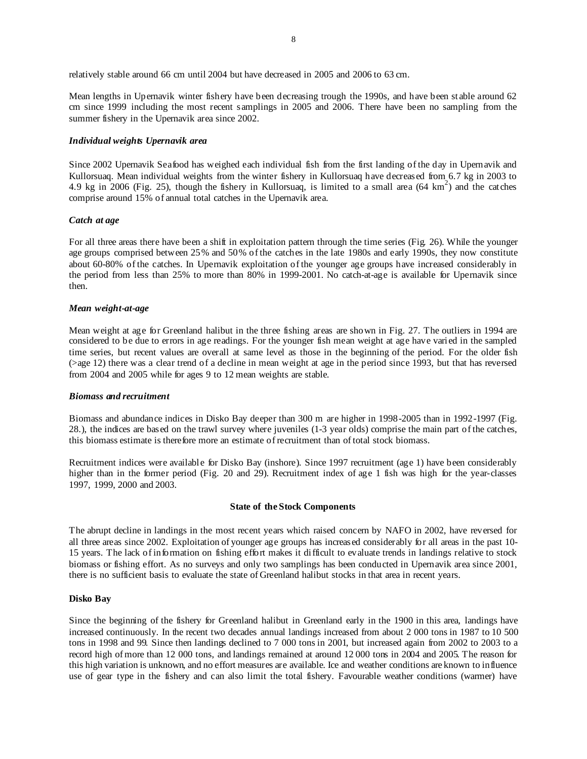relatively stable around 66 cm until 2004 but have decreased in 2005 and 2006 to 63 cm.

Mean lengths in Upernavik winter fishery have been decreasing trough the 1990s, and have been stable around 62 cm since 1999 including the most recent samplings in 2005 and 2006. There have been no sampling from the summer fishery in the Upernavik area since 2002.

# *Individual weights Upernavik area*

Since 2002 Upernavik Seafood has weighed each individual fish from the first landing of the day in Upernavik and Kullorsuaq. Mean individual weights from the winter fishery in Kullorsuaq have decreased from 6.7 kg in 2003 to 4.9 kg in 2006 (Fig. 25), though the fishery in Kullorsuaq, is limited to a small area  $(64 \text{ km}^2)$  and the catches comprise around 15% of annual total catches in the Upernavik area.

### *Catch at age*

For all three areas there have been a shift in exploitation pattern through the time series (Fig. 26). While the younger age groups comprised between 25% and 50% of the catches in the late 1980s and early 1990s, they now constitute about 60-80% of the catches. In Upernavik exploitation of the younger age groups have increased considerably in the period from less than 25% to more than 80% in 1999-2001. No catch-at-age is available for Upernavik since then.

### *Mean weight-at-age*

Mean weight at age for Greenland halibut in the three fishing areas are shown in Fig. 27. The outliers in 1994 are considered to be due to errors in age readings. For the younger fish mean weight at age have varied in the sampled time series, but recent values are overall at same level as those in the beginning of the period. For the older fish (>age 12) there was a clear trend of a decline in mean weight at age in the period since 1993, but that has reversed from 2004 and 2005 while for ages 9 to 12 mean weights are stable.

#### *Biomass and recruitment*

Biomass and abundance indices in Disko Bay deeper than 300 m are higher in 1998-2005 than in 1992-1997 (Fig. 28.), the indices are based on the trawl survey where juveniles (1-3 year olds) comprise the main part of the catches, this biomass estimate is therefore more an estimate of recruitment than of total stock biomass.

Recruitment indices were available for Disko Bay (inshore). Since 1997 recruitment (age 1) have been considerably higher than in the former period (Fig. 20 and 29). Recruitment index of age 1 fish was high for the year-classes 1997, 1999, 2000 and 2003.

### **State of the Stock Components**

The abrupt decline in landings in the most recent years which raised concern by NAFO in 2002, have reversed for all three areas since 2002. Exploitation of younger age groups has increased considerably for all areas in the past 10- 15 years. The lack of information on fishing effort makes it difficult to evaluate trends in landings relative to stock biomass or fishing effort. As no surveys and only two samplings has been conducted in Upernavik area since 2001, there is no sufficient basis to evaluate the state of Greenland halibut stocks in that area in recent years.

### **Disko Bay**

Since the beginning of the fishery for Greenland halibut in Greenland early in the 1900 in this area, landings have increased continuously. In the recent two decades annual landings increased from about 2 000 tons in 1987 to 10 500 tons in 1998 and 99. Since then landings declined to 7 000 tons in 2001, but increased again from 2002 to 2003 to a record high of more than 12 000 tons, and landings remained at around 12 000 tons in 2004 and 2005. The reason for this high variation is unknown, and no effort measures are available. Ice and weather conditions are known to influence use of gear type in the fishery and can also limit the total fishery. Favourable weather conditions (warmer) have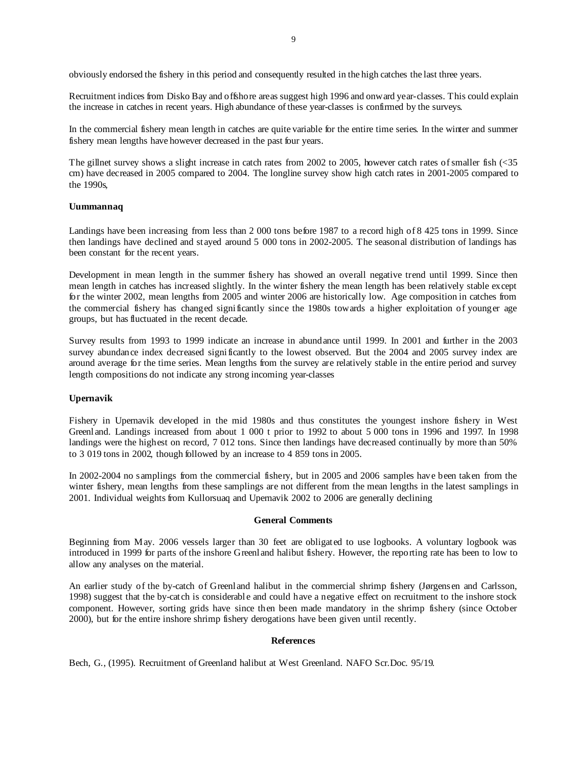obviously endorsed the fishery in this period and consequently resulted in the high catches the last three years.

Recruitment indices from Disko Bay and offshore areas suggest high 1996 and onward year-classes. This could explain the increase in catches in recent years. High abundance of these year-classes is confirmed by the surveys.

In the commercial fishery mean length in catches are quite variable for the entire time series. In the winter and summer fishery mean lengths have however decreased in the past four years.

The gillnet survey shows a slight increase in catch rates from 2002 to 2005, however catch rates of smaller fish (<35 cm) have decreased in 2005 compared to 2004. The longline survey show high catch rates in 2001-2005 compared to the 1990s,

### **Uummannaq**

Landings have been increasing from less than 2 000 tons before 1987 to a record high of 8 425 tons in 1999. Since then landings have declined and stayed around 5 000 tons in 2002-2005. The seasonal distribution of landings has been constant for the recent years.

Development in mean length in the summer fishery has showed an overall negative trend until 1999. Since then mean length in catches has increased slightly. In the winter fishery the mean length has been relatively stable except for the winter 2002, mean lengths from 2005 and winter 2006 are historically low. Age composition in catches from the commercial fishery has changed significantly since the 1980s towards a higher exploitation of younger age groups, but has fluctuated in the recent decade.

Survey results from 1993 to 1999 indicate an increase in abundance until 1999. In 2001 and further in the 2003 survey abundance index decreased significantly to the lowest observed. But the 2004 and 2005 survey index are around average for the time series. Mean lengths from the survey are relatively stable in the entire period and survey length compositions do not indicate any strong incoming year-classes

### **Upernavik**

Fishery in Upernavik developed in the mid 1980s and thus constitutes the youngest inshore fishery in West Greenland. Landings increased from about 1 000 t prior to 1992 to about 5 000 tons in 1996 and 1997. In 1998 landings were the highest on record, 7 012 tons. Since then landings have decreased continually by more than 50% to 3 019 tons in 2002, though followed by an increase to 4 859 tons in 2005.

In 2002-2004 no samplings from the commercial fishery, but in 2005 and 2006 samples have been taken from the winter fishery, mean lengths from these samplings are not different from the mean lengths in the latest samplings in 2001. Individual weights from Kullorsuaq and Upernavik 2002 to 2006 are generally declining

#### **General Comments**

Beginning from May. 2006 vessels larger than 30 feet are obligated to use logbooks. A voluntary logbook was introduced in 1999 for parts of the inshore Greenland halibut fishery. However, the reporting rate has been to low to allow any analyses on the material.

An earlier study of the by-catch of Greenland halibut in the commercial shrimp fishery (Jørgensen and Carlsson, 1998) suggest that the by-catch is considerable and could have a negative effect on recruitment to the inshore stock component. However, sorting grids have since then been made mandatory in the shrimp fishery (since October 2000), but for the entire inshore shrimp fishery derogations have been given until recently.

#### **References**

Bech, G., (1995). Recruitment of Greenland halibut at West Greenland. NAFO Scr.Doc. 95/19.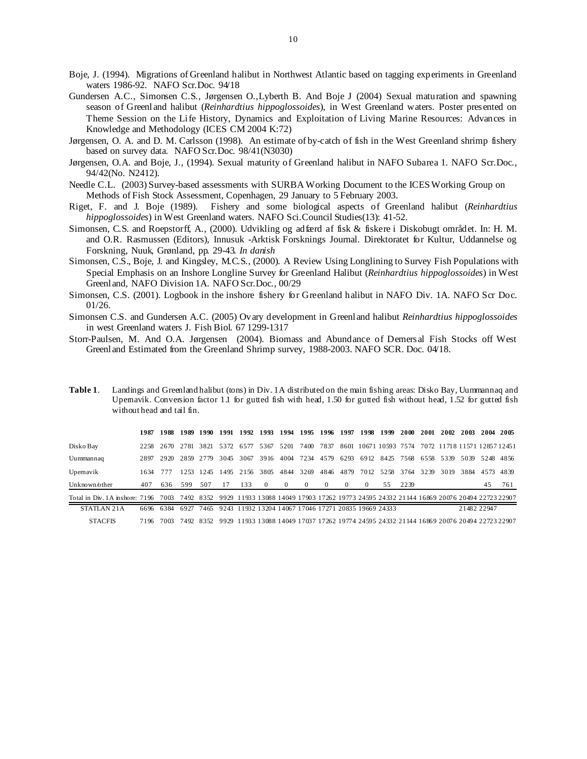Boje, J. (1994). Migrations of Greenland halibut in Northwest Atlantic based on tagging experiments in Greenland waters 1986-92. NAFO Scr.Doc. 94/18

Gundersen A.C., Simonsen C.S., Jørgensen O.,Lyberth B. And Boje J (2004) Sexual maturation and spawning season of Greenland halibut (*Reinhardtius hippoglossoides*), in West Greenland waters. Poster presented on Theme Session on the Life History, Dynamics and Exploitation of Living Marine Resources: Advances in Knowledge and Methodology (ICES CM 2004 K:72)

Jørgensen, O. A. and D. M. Carlsson (1998). An estimate of by-catch of fish in the West Greenland shrimp fishery based on survey data. NAFO Scr.Doc. 98/41(N3030)

Jørgensen, O.A. and Boje, J., (1994). Sexual maturity of Greenland halibut in NAFO Subarea 1. NAFO Scr.Doc., 94/42(No. N2412).

Needle C.L. (2003) Survey-based assessments with SURBA Working Document to the ICES Working Group on Methods of Fish Stock Assessment, Copenhagen, 29 January to 5 February 2003.

Riget, F. and J. Boje (1989). Fishery and some biological aspects of Greenland halibut (*Reinhardtius hippoglossoides*) in West Greenland waters. NAFO Sci.Council Studies(13): 41-52.

- Simonsen, C.S. and Roepstorff, A., (2000). Udvikling og adfærd af fisk & fiskere i Diskobugt området. In: H. M. and O.R. Rasmussen (Editors), Innusuk -Arktisk Forsknings Journal. Direktoratet for Kultur, Uddannelse og Forskning, Nuuk, Grønland, pp. 29-43. *In danish*
- Simonsen, C.S., Boje, J. and Kingsley, M.C.S., (2000). A Review Using Longlining to Survey Fish Populations with Special Emphasis on an Inshore Longline Survey for Greenland Halibut (*Reinhardtius hippoglossoides*) in West Greenland, NAFO Division 1A. NAFO Scr.Doc., 00/29

Simonsen, C.S. (2001). Logbook in the inshore fishery for Greenland halibut in NAFO Div. 1A. NAFO Scr Doc. 01/26.

- Simonsen C.S. and Gundersen A.C. (2005) Ovary development in Greenland halibut *Reinhardtius hippoglossoides*  in west Greenland waters J. Fish Biol. 67 1299-1317
- Storr-Paulsen, M. And O.A. Jørgensen (2004). Biomass and Abundance of Demersal Fish Stocks off West Greenland Estimated from the Greenland Shrimp survey, 1988-2003. NAFO SCR. Doc. 04/18.

| Table 1. | Landings and Greenland halibut (tons) in Div. 1A distributed on the main fishing areas: Disko Bay, Uummannag and   |
|----------|--------------------------------------------------------------------------------------------------------------------|
|          | Upemavik. Conversion factor 1.1 for gutted fish with head, 1.50 for gutted fish without head, 1.52 for gutted fish |
|          | without head and tail fin.                                                                                         |

|                                | 1987 | 1988 | 1989  | 1990  | 1991 | 1992 | 1993                                                                                               | 1994     | 1995     |          | 1996 1997 | 1998     | 1999             | 2000 | 2001 | 2002                         | 2003        | 2004      | 2005 |
|--------------------------------|------|------|-------|-------|------|------|----------------------------------------------------------------------------------------------------|----------|----------|----------|-----------|----------|------------------|------|------|------------------------------|-------------|-----------|------|
| Disko Bay                      | 2258 | 2670 | 2.781 | 3821  | 5372 | 6577 | 5367                                                                                               | 5201     | 7400     | 7837     | 8601      |          | 10671 10593 7574 |      |      | 7072 11718 11571 12857 12451 |             |           |      |
| Uummannaq                      | 2897 | 2920 | 2859  | 2.779 | 3045 | 3067 | 3916                                                                                               | 4004     | 7234     | 4579     | 6293      | 6912     | 8425 7568        |      | 6558 | 5339                         | 5039        | 5248 4856 |      |
| Upemavik                       | 1634 | 777  | 12.53 | 12.45 | 1495 | 2156 | 3805                                                                                               | 4844     | 3269     | 4846     | 4879      | 7012     | 52.58            | 3764 | 3239 | 3019                         | 3884        | 4573      | 4839 |
| Unknown/other                  | 407  | 636  | 599   | 507   | 17   | 133  | $\theta$                                                                                           | $\Omega$ | $\Omega$ | $\Omega$ | $\Omega$  | $\Omega$ | 55               | 2239 |      |                              |             | 45        | 761  |
| Total in Div. 1A inshore: 7196 |      | 7003 |       |       |      |      | 7492 8352 9929 11933 13088 14049 17903 17262 19773 24595 24332 21144 16869 20076 20494 22723 22907 |          |          |          |           |          |                  |      |      |                              |             |           |      |
| STATLAN 21A                    | 6696 | 6384 | 6927  | 7465  | 9243 |      | 11932 13204 14067 17046 17271 20835 19669 24333                                                    |          |          |          |           |          |                  |      |      |                              | 21482 22947 |           |      |

STACFIS 7196 7003 7492 8352 9929 11933 13088 14049 17037 17262 19774 24595 24332 21144 16869 20076 20494 22723 22907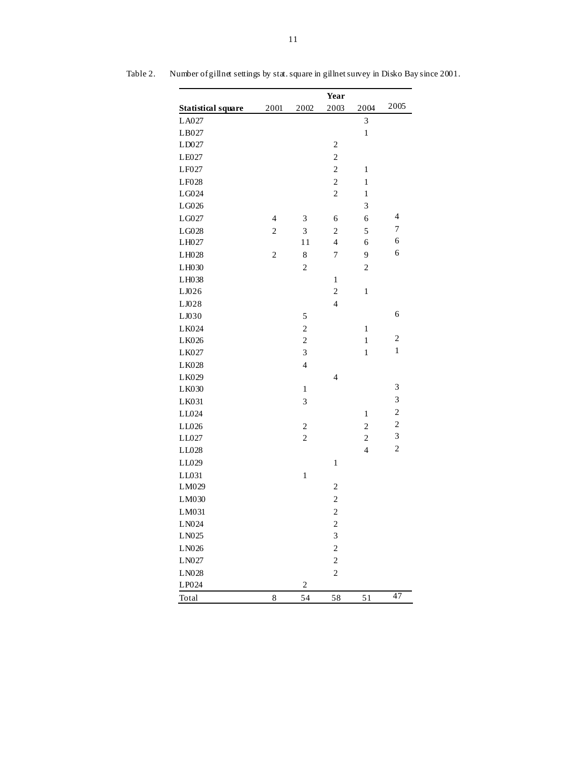|                              |                |                         | Year                     |                |                          |
|------------------------------|----------------|-------------------------|--------------------------|----------------|--------------------------|
| <b>Statistical square</b>    | 2001           | 2002                    | 2003                     | 2004           | 2005                     |
| LA027                        |                |                         |                          | 3              |                          |
| LB027                        |                |                         |                          | $\mathbf{1}$   |                          |
| LD027                        |                |                         | $\overline{c}$           |                |                          |
| LE027                        |                |                         | $\overline{c}$           |                |                          |
| LF027                        |                |                         | $\overline{c}$           | $\,1$          |                          |
| LF028                        |                |                         | $\overline{c}$           | $\,1$          |                          |
| LG024                        |                |                         | $\overline{c}$           | $\,1$          |                          |
| LG026                        |                |                         |                          | 3              |                          |
| LG027                        | $\overline{4}$ | 3                       | 6                        | 6              | $\overline{\mathcal{A}}$ |
| LG028                        | $\overline{c}$ | 3                       | $\overline{c}$           | 5              | $\overline{7}$           |
| LH027                        |                | 11                      | $\overline{4}$           | 6              | 6                        |
| LH028                        | $\overline{c}$ | 8                       | $\overline{7}$           | 9              | 6                        |
| LH030                        |                | $\overline{c}$          |                          | $\mathbf{2}$   |                          |
| LH038                        |                |                         | $\mathbf{1}$             |                |                          |
| LJ026                        |                |                         | $\overline{c}$           | $\,1$          |                          |
| LJ028                        |                |                         | $\overline{\mathbf{4}}$  |                |                          |
| LJ030                        |                | 5                       |                          |                | 6                        |
| LK024                        |                | $\overline{c}$          |                          | $\,1$          |                          |
| LK026                        |                | $\overline{c}$          |                          | $\,1$          | $\overline{\mathbf{c}}$  |
| LK027                        |                | 3                       |                          | $\,1$          | $\,1\,$                  |
| LK028                        |                | $\overline{4}$          |                          |                |                          |
| LK029                        |                |                         | $\overline{\mathcal{L}}$ |                |                          |
| LK030                        |                | $\mathbf{1}$            |                          |                | 3                        |
| LK031                        |                | 3                       |                          |                | 3                        |
| LL024                        |                |                         |                          | $\mathbf{1}$   | $\overline{c}$           |
| LL026                        |                | $\overline{\mathbf{c}}$ |                          | $\overline{c}$ | $\overline{c}$           |
| LL027                        |                | $\overline{c}$          |                          | $\overline{2}$ | 3                        |
| LL028                        |                |                         |                          | $\overline{4}$ | $\overline{c}$           |
| LL029                        |                |                         | $\,1$                    |                |                          |
| LL031                        |                | $\,1$                   |                          |                |                          |
| LM029                        |                |                         | $\overline{c}$           |                |                          |
| LM030                        |                |                         | $\overline{c}$           |                |                          |
| LM031                        |                |                         | $\overline{c}$           |                |                          |
| LN024                        |                |                         | $\overline{\mathbf{c}}$  |                |                          |
| LN025                        |                |                         | 3                        |                |                          |
| LN026                        |                |                         | $\overline{c}$           |                |                          |
| ${\rm L} \, {\rm N} 0 \, 27$ |                |                         | $\overline{c}$           |                |                          |
| LN028                        |                |                         | $\overline{c}$           |                |                          |
| LP024                        |                | $\overline{c}$          |                          |                |                          |
| Total                        | 8              | 54                      | 58                       | 51             | 47                       |

Table 2. Number of gillnet settings by stat. square in gillnet survey in Disko Bay since 2001.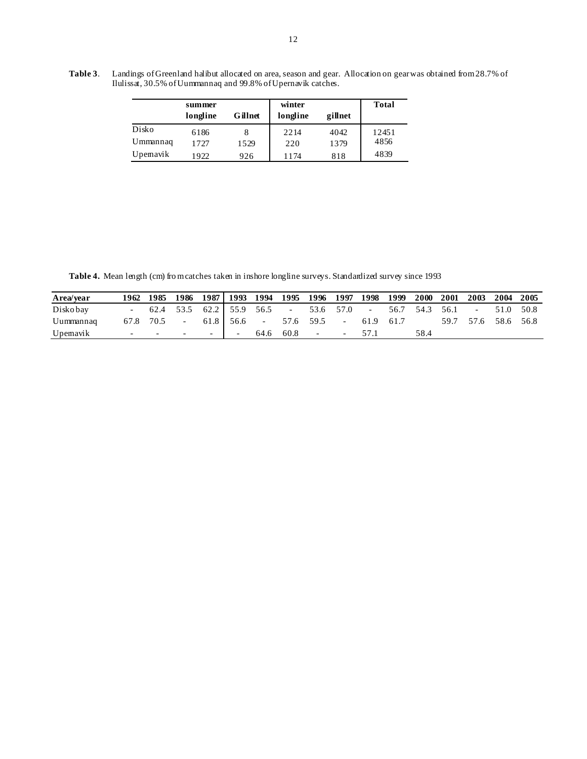**Table 3**. Landings of Greenland halibut allocated on area, season and gear. Allocation on gear was obtained from 28.7% of Ilulissat, 30.5% of Uummannaq and 99.8% of Upernavik catches.

|          | summer<br>longline | Gillnet | winter<br>longline | gillnet | <b>Total</b> |
|----------|--------------------|---------|--------------------|---------|--------------|
| Disko    | 6186               |         | 2214               | 4042    | 12451        |
| Ummannaq | 1727               | 1529    | 220                | 1379    | 4856         |
| Upemavik | 1922               | 926     | 1174               | 818     | 4839         |

Table 4. Mean length (cm) fro m catches taken in inshore longline surveys. Standardized survey since 1993

| Area/year |                          |      | 1962 1985 1986 1987   1993 1994 1995 1996 1997 1998 1999 |        |                          |           |                      |        |           |                | <b>2000</b> | 2001 | 2003                | 2004      | - 2005 |
|-----------|--------------------------|------|----------------------------------------------------------|--------|--------------------------|-----------|----------------------|--------|-----------|----------------|-------------|------|---------------------|-----------|--------|
| Disko bay |                          |      | 62.4 53.5 62.2 55.9 56.5 - 53.6 57.0 -                   |        |                          |           |                      |        |           | 56.7 54.3 56.1 |             |      | $\sim$              | 51.0 50.8 |        |
| Uummannaq | 67.8                     | 70.5 | $\overline{\phantom{a}}$                                 |        | $61.8$ 56.6 -            | 57.6 59.5 |                      | $\sim$ | 61.9 61.7 |                |             |      | 59.7 57.6 58.6 56.8 |           |        |
| Upemavik  | $\overline{\phantom{a}}$ |      | $\sim$                                                   | $\sim$ | $\overline{\phantom{0}}$ | 64.6 60.8 | <b>Service</b> State | $\sim$ | 57.1      |                | 58.4        |      |                     |           |        |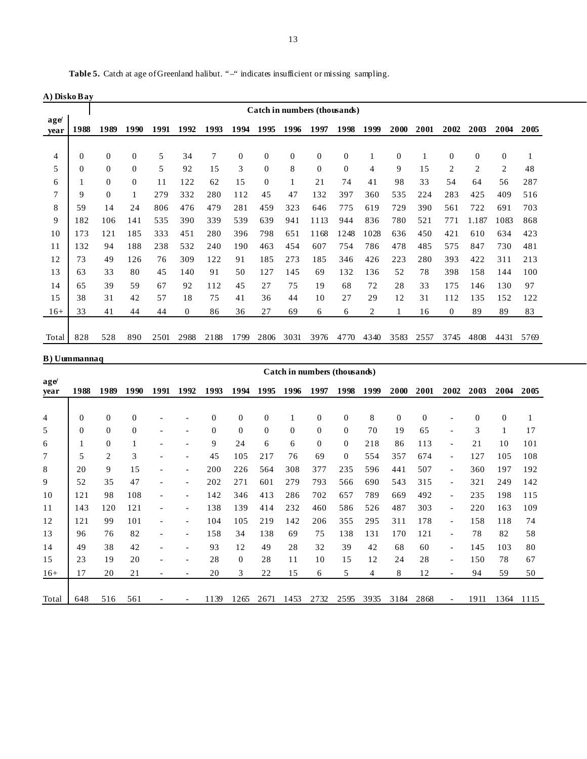|                | A) Disko Bav |                  |                |      |          |      |              |                |              |                              |              |      |                |      |                |                |                |      |
|----------------|--------------|------------------|----------------|------|----------|------|--------------|----------------|--------------|------------------------------|--------------|------|----------------|------|----------------|----------------|----------------|------|
|                |              |                  |                |      |          |      |              |                |              | Catch in numbers (thousands) |              |      |                |      |                |                |                |      |
| age<br>vear    | 1988         | 1989             | 1990           | 1991 | 1992     | 1993 | 1994         | 1995           | 1996         | 1997                         | 1998         | 1999 | 2000           | 2001 | 2002           | 2003           | 2004           | 2005 |
|                |              |                  |                |      |          |      |              |                |              |                              |              |      |                |      |                |                |                |      |
| $\overline{4}$ | $\Omega$     | 0                | $\Omega$       | 5    | 34       | 7    | $\mathbf{0}$ | $\Omega$       | $\mathbf{0}$ | $\theta$                     | $\Omega$     |      | $\overline{0}$ |      | $\theta$       | $\Omega$       | $\Omega$       |      |
| 5              | $\theta$     | $\boldsymbol{0}$ | $\overline{0}$ | 5    | 92       | 15   | 3            | $\overline{0}$ | 8            | $\theta$                     | $\mathbf{0}$ | 4    | 9              | 15   | $\overline{2}$ | $\overline{2}$ | $\overline{2}$ | 48   |
| 6              |              | $\boldsymbol{0}$ | $\overline{0}$ | 11   | 122      | 62   | 15           | $\Omega$       |              | 21                           | 74           | 41   | 98             | 33   | 54             | 64             | 56             | 287  |
| 7              | 9            | $\boldsymbol{0}$ |                | 279  | 332      | 280  | 112          | 45             | 47           | 132                          | 397          | 360  | 535            | 224  | 283            | 425            | 409            | 516  |
| 8              | 59           | 14               | 24             | 806  | 476      | 479  | 281          | 459            | 323          | 646                          | 775          | 619  | 729            | 390  | 561            | 722            | 691            | 703  |
| 9              | 182          | 106              | 141            | 535  | 390      | 339  | 539          | 639            | 941          | 1113                         | 944          | 836  | 780            | 521  | 771            | 1.187          | 1083           | 868  |
| 10             | 173          | 121              | 185            | 333  | 451      | 280  | 396          | 798            | 651          | 1168                         | 1248         | 1028 | 636            | 450  | 421            | 610            | 634            | 423  |
| 11             | 132          | 94               | 188            | 238  | 532      | 240  | 190          | 463            | 454          | 607                          | 754          | 786  | 478            | 485  | 575            | 847            | 730            | 481  |
| 12             | 73           | 49               | 126            | 76   | 309      | 122  | 91           | 185            | 273          | 185                          | 346          | 426  | 223            | 280  | 393            | 422            | 311            | 213  |
| 13             | 63           | 33               | 80             | 45   | 140      | 91   | 50           | 127            | 145          | 69                           | 132          | 136  | 52             | 78   | 398            | 158            | 144            | 100  |
| 14             | 65           | 39               | 59             | 67   | 92       | 112  | 45           | 27             | 75           | 19                           | 68           | 72   | 28             | 33   | 175            | 146            | 130            | 97   |
| 1.5            | 38           | 31               | 42             | 57   | 18       | 75   | 41           | 36             | 44           | 10                           | 27           | 29   | 12             | 31   | 112            | 135            | 152            | 122  |
| $16+$          | 33           | 41               | 44             | 44   | $\Omega$ | 86   | 36           | 27             | 69           | 6                            | 6            | 2    |                | 16   | $\Omega$       | 89             | 89             | 83   |
|                |              |                  |                |      |          |      |              |                |              |                              |              |      |                |      |                |                |                |      |
| Total          | 828          | 528              | 890            | 2501 | 2988     | 2188 | 1799         | 2806           | 3031         | 3976                         | 4770         | 4340 | 3583           | 2557 | 3745           | 4808           | 4431           | 5769 |

# **B) Uummannaq**

|             |                |                |                |      |                          |              |              |                |          | Catch in numbers (thousands) |                |      |              |          |                          |                |                |              |
|-------------|----------------|----------------|----------------|------|--------------------------|--------------|--------------|----------------|----------|------------------------------|----------------|------|--------------|----------|--------------------------|----------------|----------------|--------------|
| age<br>vear | 1988           | 1989           | 1990           | 1991 | 1992                     | 1993         | 1994         | 1995           | 1996     | 1997                         | 1998           | 1999 | 2000         | 2001     | 2002                     | 2003           | 2004           | 2005         |
|             |                |                |                |      |                          |              |              |                |          |                              |                |      |              |          |                          |                |                |              |
| 4           | $\overline{0}$ | $\theta$       | $\overline{0}$ |      |                          | $\mathbf{0}$ | $\mathbf{0}$ | $\overline{0}$ | 1        | $\mathbf{0}$                 | $\mathbf{0}$   | 8    | $\mathbf{0}$ | $\theta$ |                          | $\overline{0}$ | $\overline{0}$ | $\mathbf{1}$ |
| 5           | $\Omega$       | $\mathbf{0}$   | $\theta$       |      | $\overline{\phantom{a}}$ | $\mathbf{0}$ | $\mathbf{0}$ | $\mathbf{0}$   | $\Omega$ | $\overline{0}$               | $\overline{0}$ | 70   | 19           | 65       | ۰                        | 3              |                | 17           |
| 6           |                | $\theta$       | 1              |      |                          | 9            | 24           | 6              | 6        | $\overline{0}$               | $\Omega$       | 218  | 86           | 113      | ۰                        | 21             | 10             | 101          |
| 7           | 5              | $\overline{2}$ | 3              |      | $\overline{\phantom{a}}$ | 45           | 105          | 217            | 76       | 69                           | $\Omega$       | 554  | 357          | 674      | $\overline{a}$           | 127            | 105            | 108          |
| 8           | 20             | 9              | 15             |      | $\overline{\phantom{a}}$ | 200          | 226          | 564            | 308      | 377                          | 235            | 596  | 441          | 507      | $\overline{a}$           | 360            | 197            | 192          |
| 9           | 52             | 35             | 47             |      | $\overline{\phantom{a}}$ | 202          | 271          | 601            | 279      | 793                          | 566            | 690  | 543          | 315      | ۰                        | 321            | 249            | 142          |
| 10          | 121            | 98             | 108            |      | $\overline{\phantom{a}}$ | 142          | 346          | 413            | 286      | 702                          | 657            | 789  | 669          | 492      | ۰                        | 235            | 198            | 115          |
| 11          | 143            | 120            | 121            |      |                          | 138          | 139          | 414            | 232      | 460                          | 586            | 526  | 487          | 303      |                          | 220            | 163            | 109          |
| 12          | 121            | 99             | 101            |      | $\overline{\phantom{a}}$ | 104          | 105          | 219            | 142      | 206                          | 355            | 295  | 311          | 178      | $\overline{\phantom{0}}$ | 158            | 118            | 74           |
| 13          | 96             | 76             | 82             |      | ٠                        | 158          | 34           | 138            | 69       | 75                           | 138            | 131  | 170          | 121      |                          | 78             | 82             | 58           |
| 14          | 49             | 38             | 42             |      | ٠                        | 93           | 12           | 49             | 28       | 32                           | 39             | 42   | 68           | 60       | ۰                        | 145            | 103            | 80           |
| 15          | 23             | 19             | 20             |      | $\overline{\phantom{a}}$ | 28           | $\Omega$     | 28             | 11       | 10                           | 15             | 12   | 24           | 28       |                          | 150            | 78             | 67           |
| $16+$       | 17             | 20             | 21             |      |                          | 20           | 3            | 22             | 15       | 6                            | 5              | 4    | 8            | 12       |                          | 94             | 59             | 50           |
|             |                |                |                |      |                          |              |              |                |          |                              |                |      |              |          |                          |                |                |              |
| Total       | 648            | 516            | 561            |      |                          | 1139         | 265          | 2671           | 1453     | 2732                         | 2595           | 3935 | 3184         | 2868     |                          | 1911           | 1364           | 1115         |

Table 5. Catch at age of Greenland halibut. "-" indicates insufficient or missing sampling.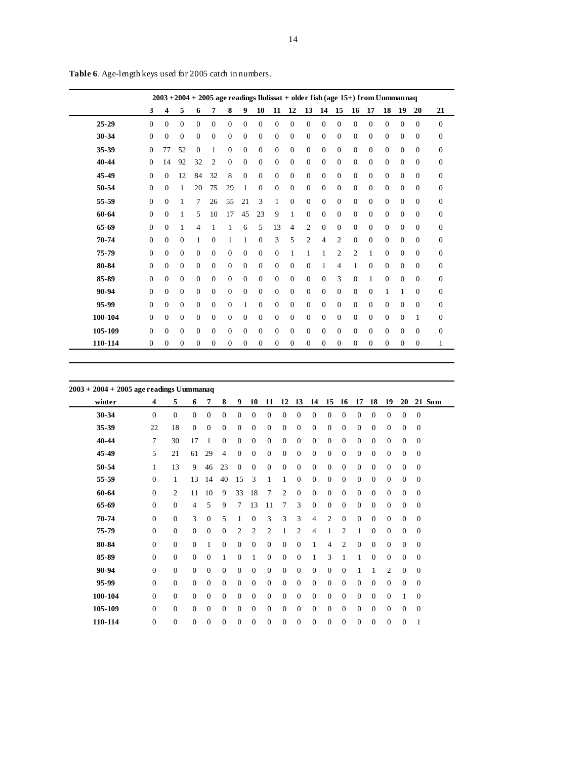|         | $2003 + 2004 + 2005$ age readings Ilulissat + older fish (age 15+) from Uummannaq |                |              |              |          |              |              |                |              |                |                |              |                |                |              |              |              |                |              |
|---------|-----------------------------------------------------------------------------------|----------------|--------------|--------------|----------|--------------|--------------|----------------|--------------|----------------|----------------|--------------|----------------|----------------|--------------|--------------|--------------|----------------|--------------|
|         | 3                                                                                 | 4              | 5            | 6            | 7        | 8            | 9            | 10             | 11           | 12             | 13             | 14           | 15             | 16             | 17           | 18           | 19           | 20             | 21           |
| 25-29   | $\Omega$                                                                          | $\Omega$       | $\Omega$     | $\Omega$     | $\Omega$ | $\Omega$     | $\Omega$     | $\Omega$       | $\Omega$     | $\Omega$       | $\Omega$       | $\Omega$     | $\Omega$       | $\Omega$       | $\Omega$     | $\Omega$     | $\Omega$     | $\Omega$       | $\Omega$     |
| 30-34   | $\theta$                                                                          | $\Omega$       | $\Omega$     | $\Omega$     | $\Omega$ | $\Omega$     | $\Omega$     | $\Omega$       | $\Omega$     | $\Omega$       | $\Omega$       | $\Omega$     | $\Omega$       | $\Omega$       | $\Omega$     | $\Omega$     | $\Omega$     | $\Omega$       | $\mathbf{0}$ |
| 35-39   | $\mathbf{0}$                                                                      | 77             | 52           | $\Omega$     | 1        | $\Omega$     | $\Omega$     | $\Omega$       | $\Omega$     | $\Omega$       | $\Omega$       | $\Omega$     | $\mathbf{0}$   | $\Omega$       | $\mathbf{0}$ | $\mathbf{0}$ | $\Omega$     | $\Omega$       | $\theta$     |
| 40-44   | $\Omega$                                                                          | 14             | 92           | 32           | 2        | $\Omega$     | $\Omega$     | $\Omega$       | $\Omega$     | $\Omega$       | $\Omega$       | $\Omega$     | $\Omega$       | $\Omega$       | $\Omega$     | $\Omega$     | $\Omega$     | $\Omega$       | $\theta$     |
| 45-49   | $\Omega$                                                                          | $\Omega$       | 12           | 84           | 32       | 8            | $\Omega$     | $\Omega$       | $\Omega$     | $\Omega$       | $\Omega$       | $\Omega$     | $\Omega$       | $\Omega$       | $\Omega$     | $\Omega$     | $\Omega$     | $\Omega$       | $\Omega$     |
| 50-54   | $\mathbf{0}$                                                                      | $\Omega$       | 1            | 20           | 75       | 29           | 1            | $\theta$       | $\theta$     | $\mathbf{0}$   | $\theta$       | $\Omega$     | $\mathbf{0}$   | $\mathbf{0}$   | $\mathbf{0}$ | $\mathbf{0}$ | $\mathbf{0}$ | $\Omega$       | $\theta$     |
| 55-59   | $\Omega$                                                                          | $\Omega$       | 1            | 7            | 26       | 55           | 21           | 3              | 1            | $\Omega$       | $\Omega$       | $\Omega$     | $\Omega$       | $\Omega$       | $\Omega$     | $\Omega$     | $\Omega$     | $\Omega$       | $\theta$     |
| 60-64   | $\Omega$                                                                          | $\Omega$       | 1            | 5            | 10       | 17           | 45           | 23             | 9            | 1              | $\Omega$       | $\Omega$     | $\Omega$       | $\Omega$       | $\Omega$     | $\Omega$     | $\Omega$     | $\Omega$       | $\theta$     |
| 65-69   | $\Omega$                                                                          | $\Omega$       | 1            | 4            | 1        | 1            | 6            | 5              | 13           | $\overline{4}$ | $\overline{c}$ | $\Omega$     | $\Omega$       | $\Omega$       | $\Omega$     | $\Omega$     | $\Omega$     | $\Omega$       | $\theta$     |
| 70-74   | $\Omega$                                                                          | $\Omega$       | $\Omega$     | 1            | $\Omega$ | 1            | 1            | $\Omega$       | 3            | 5              | 2              | 4            | 2              | $\Omega$       | $\Omega$     | $\Omega$     | $\Omega$     | $\Omega$       | $\theta$     |
| 75-79   | $\Omega$                                                                          | $\Omega$       | $\Omega$     | $\Omega$     | $\Omega$ | $\Omega$     | $\Omega$     | $\Omega$       | $\Omega$     | 1              | 1              | 1            | $\overline{c}$ | $\overline{c}$ | 1            | $\Omega$     | $\Omega$     | $\Omega$       | $\theta$     |
| 80-84   | $\Omega$                                                                          | $\Omega$       | $\Omega$     | $\theta$     | $\theta$ | $\Omega$     | $\Omega$     | $\Omega$       | $\Omega$     | $\Omega$       | $\Omega$       | 1            | $\overline{4}$ | 1              | $\mathbf{0}$ | $\Omega$     | $\Omega$     | $\Omega$       | $\theta$     |
| 85-89   | $\Omega$                                                                          | $\Omega$       | $\Omega$     | $\Omega$     | $\Omega$ | $\Omega$     | $\Omega$     | $\Omega$       | $\Omega$     | $\mathbf{0}$   | $\Omega$       | $\Omega$     | 3              | $\Omega$       | 1            | $\mathbf{0}$ | $\Omega$     | $\Omega$       | $\theta$     |
| 90-94   | $\Omega$                                                                          | $\Omega$       | $\Omega$     | $\Omega$     | $\Omega$ | $\Omega$     | $\Omega$     | $\Omega$       | $\Omega$     | $\Omega$       | $\Omega$       | $\Omega$     | $\Omega$       | $\Omega$       | $\Omega$     | 1            | 1            | $\Omega$       | $\Omega$     |
| 95-99   | $\Omega$                                                                          | $\Omega$       | $\Omega$     | $\Omega$     | $\Omega$ | $\Omega$     | $\mathbf{1}$ | $\Omega$       | $\Omega$     | $\Omega$       | $\Omega$       | $\Omega$     | $\Omega$       | $\Omega$       | $\Omega$     | $\Omega$     | $\Omega$     | $\Omega$       | $\Omega$     |
| 100-104 | $\Omega$                                                                          | $\Omega$       | $\Omega$     | $\Omega$     | $\Omega$ | $\Omega$     | $\Omega$     | $\Omega$       | $\Omega$     | $\Omega$       | $\Omega$       | $\Omega$     | $\Omega$       | $\Omega$       | $\Omega$     | $\Omega$     | $\Omega$     | 1              | $\mathbf{0}$ |
| 105-109 | $\Omega$                                                                          | $\Omega$       | $\Omega$     | $\Omega$     | $\Omega$ | $\Omega$     | $\Omega$     | $\Omega$       | $\Omega$     | $\Omega$       | $\Omega$       | $\Omega$     | $\Omega$       | $\Omega$       | $\Omega$     | $\Omega$     | $\Omega$     | $\Omega$       | $\mathbf{0}$ |
| 110-114 | $\theta$                                                                          | $\overline{0}$ | $\mathbf{0}$ | $\mathbf{0}$ | $\theta$ | $\mathbf{0}$ | $\theta$     | $\overline{0}$ | $\mathbf{0}$ | $\mathbf{0}$   | $\mathbf{0}$   | $\mathbf{0}$ | $\mathbf{0}$   | $\theta$       | 0            | $\mathbf{0}$ | $\mathbf{0}$ | $\overline{0}$ | 1            |

**Table 6**. Age-length keys used for 2005 catch in numbers.

| $2003 + 2004 + 2005$ age readings Uummanaq |              |                  |                |                  |                |                |                |                |                |                |                  |                  |                |              |              |                |                |                  |
|--------------------------------------------|--------------|------------------|----------------|------------------|----------------|----------------|----------------|----------------|----------------|----------------|------------------|------------------|----------------|--------------|--------------|----------------|----------------|------------------|
| winter                                     | 4            | 5                | 6              | 7                | 8              | 9              | 10             | 11             | 12             | 13             | 14               | 15               | 16             | 17           | 18           | 19             | 20             | 21 Sum           |
| 30-34                                      | $\Omega$     | $\Omega$         | $\Omega$       | $\mathbf{0}$     | $\mathbf{0}$   | $\overline{0}$ | $\theta$       | $\theta$       | $\mathbf{0}$   | $\theta$       | $\theta$         | $\theta$         | $\theta$       | $\theta$     | $\mathbf{0}$ | $\theta$       | $\mathbf{0}$   | $\theta$         |
| 35-39                                      | 22           | 18               | $\theta$       | $\theta$         | $\theta$       | $\theta$       | $\theta$       | $\theta$       | $\mathbf{0}$   | $\mathbf{0}$   | $\theta$         | $\theta$         | $\mathbf{0}$   | $\theta$     | $\theta$     | $\theta$       | $\overline{0}$ | $\overline{0}$   |
| 40-44                                      | $\tau$       | 30               | 17             | 1                | $\mathbf{0}$   | $\overline{0}$ | $\theta$       | $\mathbf{0}$   | $\overline{0}$ | $\mathbf{0}$   | $\theta$         | $\theta$         | $\mathbf{0}$   | $\Omega$     | $\mathbf{0}$ | $\overline{0}$ | $\overline{0}$ | $\theta$         |
| 45-49                                      | 5            | 21               | 61             | 29               | $\overline{4}$ | $\theta$       | $\theta$       | $\overline{0}$ | $\mathbf{0}$   | $\mathbf{0}$   | $\theta$         | $\theta$         | $\mathbf{0}$   | $\theta$     | $\mathbf{0}$ | $\theta$       | $\mathbf{0}$   | $\overline{0}$   |
| 50-54                                      | $\mathbf{1}$ | 13               | 9              | 46               | 23             | $\theta$       | $\theta$       | $\overline{0}$ | $\overline{0}$ | $\overline{0}$ | $\theta$         | $\theta$         | $\mathbf{0}$   | $\Omega$     | $\mathbf{0}$ | $\Omega$       | $\mathbf{0}$   | $\theta$         |
| 55-59                                      | $\mathbf{0}$ | $\mathbf{1}$     | 13             | 14               | 40             | 15             | 3              | 1              | 1              | $\mathbf{0}$   | $\theta$         | $\mathbf{0}$     | $\mathbf{0}$   | $\theta$     | $\mathbf{0}$ | $\theta$       | $\theta$       | $\boldsymbol{0}$ |
| 60-64                                      | $\Omega$     | $\overline{c}$   | 11             | 10               | 9              | 33             | 18             | $\overline{7}$ | 2              | $\mathbf{0}$   | $\theta$         | $\theta$         | $\mathbf{0}$   | $\theta$     | $\Omega$     | $\theta$       | $\mathbf{0}$   | $\theta$         |
| 65-69                                      | $\mathbf{0}$ | $\mathbf{0}$     | $\overline{4}$ | 5                | 9              | 7              | 13             | 11             | $\tau$         | 3              | $\theta$         | $\mathbf{0}$     | $\mathbf{0}$   | $\theta$     | $\mathbf{0}$ | $\mathbf{0}$   | $\theta$       | $\boldsymbol{0}$ |
| 70-74                                      | $\Omega$     | $\mathbf{0}$     | 3              | $\overline{0}$   | 5              | 1              | $\theta$       | 3              | 3              | 3              | $\overline{4}$   | $\overline{2}$   | $\mathbf{0}$   | $\Omega$     | $\Omega$     | $\Omega$       | $\Omega$       | $\theta$         |
| 75-79                                      | $\theta$     | $\mathbf{0}$     | $\mathbf{0}$   | $\mathbf{0}$     | $\theta$       | 2              | 2              | 2              | 1              | 2              | 4                | 1                | 2              | 1            | $\mathbf{0}$ | $\theta$       | $\overline{0}$ | $\boldsymbol{0}$ |
| 80-84                                      | $\Omega$     | $\mathbf{0}$     | $\Omega$       | $\mathbf{1}$     | $\mathbf{0}$   | $\overline{0}$ | $\theta$       | $\overline{0}$ | $\mathbf{0}$   | $\mathbf{0}$   | 1                | $\overline{4}$   | $\overline{c}$ | $\Omega$     | $\Omega$     | $\Omega$       | $\Omega$       | $\overline{0}$   |
| 85-89                                      | $\Omega$     | $\mathbf{0}$     | $\mathbf{0}$   | $\mathbf{0}$     | $\mathbf{1}$   | $\overline{0}$ | 1              | $\theta$       | $\theta$       | $\theta$       | 1                | 3                | 1              | 1            | $\mathbf{0}$ | $\theta$       | $\overline{0}$ | $\overline{0}$   |
| 90-94                                      | $\Omega$     | $\mathbf{0}$     | $\mathbf{0}$   | $\overline{0}$   | $\Omega$       | $\overline{0}$ | $\theta$       | $\overline{0}$ | $\mathbf{0}$   | $\mathbf{0}$   | $\theta$         | $\mathbf{0}$     | $\theta$       | 1            | 1            | 2              | $\theta$       | $\boldsymbol{0}$ |
| 95-99                                      | $\Omega$     | $\boldsymbol{0}$ | $\theta$       | $\boldsymbol{0}$ | $\theta$       | $\mathbf{0}$   | $\overline{0}$ | $\overline{0}$ | $\theta$       | $\mathbf{0}$   | $\boldsymbol{0}$ | $\boldsymbol{0}$ | $\theta$       | $\Omega$     | $\Omega$     | $\theta$       | $\overline{0}$ | $\boldsymbol{0}$ |
| 100-104                                    | $\Omega$     | $\mathbf{0}$     | $\theta$       | $\theta$         | $\Omega$       | $\overline{0}$ | $\Omega$       | $\Omega$       | $\overline{0}$ | $\mathbf{0}$   | $\theta$         | $\theta$         | $\theta$       | $\Omega$     | $\Omega$     | $\Omega$       | $\mathbf{1}$   | $\boldsymbol{0}$ |
| 105-109                                    | $\mathbf{0}$ | $\mathbf{0}$     | $\theta$       | $\boldsymbol{0}$ | $\mathbf{0}$   | $\overline{0}$ | $\overline{0}$ | $\theta$       | $\theta$       | $\theta$       | $\mathbf{0}$     | $\boldsymbol{0}$ | $\mathbf{0}$   | $\mathbf{0}$ | $\mathbf{0}$ | $\theta$       | $\theta$       | $\boldsymbol{0}$ |
| 110-114                                    | $\mathbf{0}$ | $\mathbf{0}$     | $\overline{0}$ | $\theta$         | $\theta$       | $\overline{0}$ | $\theta$       | $\theta$       | $\theta$       | $\theta$       | $\overline{0}$   | $\theta$         | $\mathbf{0}$   | $\theta$     | $\mathbf{0}$ | $\mathbf{0}$   | $\mathbf{0}$   | 1                |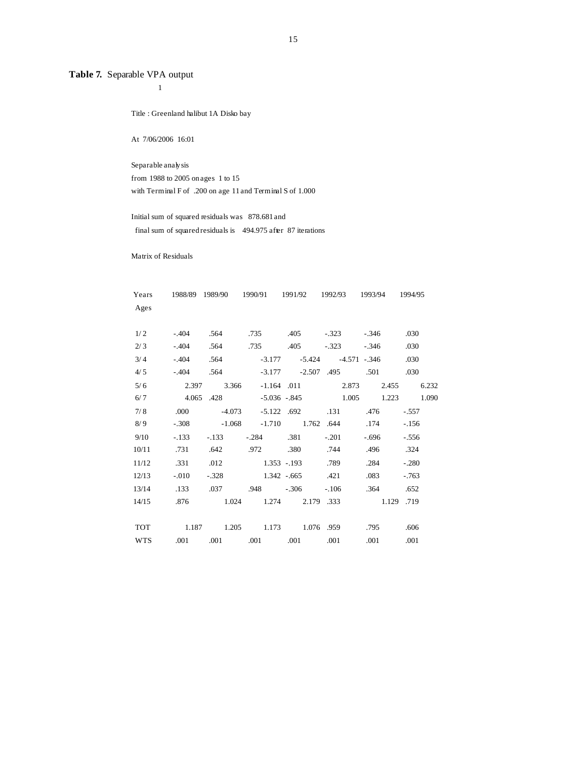# **Table 7.** Separable VPA output

Title : Greenland halibut 1A Disko bay

At 7/06/2006 16:01

1

 Separable analy sis from 1988 to 2005 on ages 1 to 15 with Terminal F of .200 on age 11 and Terminal S of 1.000

 Initial sum of squared residuals was 878.681 and final sum of squared residuals is 494.975 after 87 iterations

Matrix of Residuals

| Years      |          |                         |             | 1988/89 1989/90 1990/91 1991/92 1992/93 1993/94 1994/95 |                            |         |                   |
|------------|----------|-------------------------|-------------|---------------------------------------------------------|----------------------------|---------|-------------------|
| Ages       |          |                         |             |                                                         |                            |         |                   |
| 1/2        | $-.404$  | .564                    |             | .735 .405                                               | $-323$                     | $-.346$ | .030              |
| 2/3        | $-0.404$ | .564                    | .735        | .405                                                    | $-.323$                    | $-.346$ | .030              |
| 3/4        | $-.404$  | .564                    | $-3.177$    |                                                         | $-5.424$ $-4.571$ $-0.346$ |         | .030              |
| 4/5        | $-.404$  |                         |             | .564 -3.177 -2.507 .495                                 |                            | .501    | .030              |
| 5/6        |          | 2.397 3.366             |             | $-1.164$ .011                                           |                            | 2.873   | 2.455 6.232       |
| 6/7        |          | 4.065 .428 -5.036 -.845 |             |                                                         |                            |         | 1.005 1.223 1.090 |
| 7/8        | .000     |                         |             | $-4.073$ $-5.122$ .692                                  | .131                       | .476    | -.557             |
| 8/9        | $-.308$  |                         |             | $-1.068$ $-1.710$ $1.762$ $.644$                        |                            | .174    | $-.156$           |
| 9/10       | $-.133$  | $-.133$                 |             | $-.284$ .381                                            | $-.201$                    | - 696   | $-.556$           |
| 10/11      | .731     | .642                    | .972 .380   |                                                         | .744                       | .496    | .324              |
| 11/12      | .331     | .012                    |             | $1.353 - 193$                                           | .789                       | .284    | $-.280$           |
| 12/13      | $-.010$  | $-.328$                 | 1.342 - 665 |                                                         | .421                       | .083    | $-.763$           |
| 13/14      | .133     | .037                    |             | $.948 - .306$                                           | $-.106$                    | .364    | .652              |
| 14/15      |          |                         |             | .876 1.024 1.274 2.179 .333 1.129 .719                  |                            |         |                   |
|            |          |                         |             |                                                         |                            |         |                   |
| TOT        |          |                         |             | 1.187 1.205 1.173 1.076 959                             |                            | .795    | .606              |
| <b>WTS</b> |          |                         |             | .001 .001 .001 .001                                     | .001                       | .001    | .001              |
|            |          |                         |             |                                                         |                            |         |                   |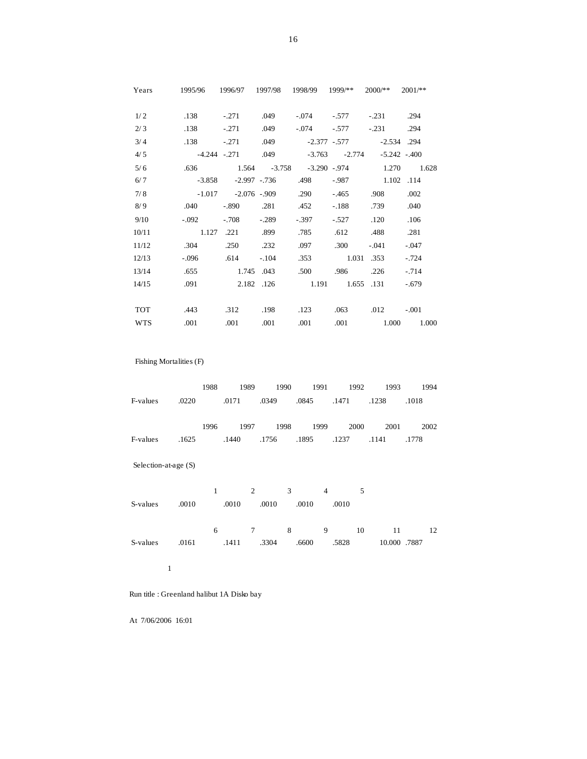| Years      | 1995/96 1996/97 1997/98 1998/99 1999/** 2000/** |                                          |                    |                                      |                 |                             | $2001$ /**                                 |
|------------|-------------------------------------------------|------------------------------------------|--------------------|--------------------------------------|-----------------|-----------------------------|--------------------------------------------|
| 1/2        | .138                                            |                                          |                    | $-.271$ .049 $-.074$ $-.577$ $-.231$ |                 |                             | .294                                       |
| 2/3        | .138                                            |                                          | $-.271$ .049       | $-.074$                              | $-577$          | $-.231$                     | .294                                       |
| 3/4        |                                                 | .138 -.271 .049 -2.377 -.577 -2.534 .294 |                    |                                      |                 |                             |                                            |
| 4/5        | -4.244 - 271 049 - 3.763 - 2.774 - 5.242 - 400  |                                          |                    |                                      |                 |                             |                                            |
| 5/6        |                                                 |                                          |                    |                                      |                 |                             | .636 1.564 -3.758 -3.290 -.974 1.270 1.628 |
| 6/7        | $-3.858$                                        |                                          |                    | -2.997 -.736 .498                    |                 | $-0.987$ 1.102 .114         |                                            |
| 7/8        | $-1.017$ $-2.076$ $-909$ $.290$                 |                                          |                    |                                      |                 | $-465$ .908                 | .002                                       |
| 8/9        | .040                                            |                                          |                    | $-.890$ $.281$ $.452$                | $-.188$         | .739                        | .040                                       |
| 9/10       | $-.092$                                         | -.708                                    | $-.289$            | $-.397$                              | $-.527$         | .120                        | .106                                       |
| 10/11      | 1.127 .221 .899                                 |                                          |                    | .785                                 |                 | .612 .488                   | .281                                       |
| 11/12      | .304                                            |                                          | $.250 \t .232$     | .097                                 | .300            | $-.041$                     | $-.047$                                    |
| 12/13      | $-.096$                                         | .614                                     | $-104$             |                                      | .353 1.031 .353 |                             | $-.724$                                    |
| 13/14      |                                                 | .655 1.745 .043                          |                    | .500                                 |                 | .986 .226                   | $-.714$                                    |
| 14/15      |                                                 | .091 2.182 .126 1.191 1.655 .131         |                    |                                      |                 |                             | $-.679$                                    |
|            |                                                 |                                          |                    |                                      |                 |                             |                                            |
| <b>TOT</b> | .443                                            |                                          | $.312 \qquad .198$ | .123                                 |                 | $.063 \t\t 012 \t\t -0.001$ |                                            |
| <b>WTS</b> | .001                                            | .001                                     | .001               | .001                                 |                 |                             | .001 1.000 1.000                           |

Fishing Mortalities (F)

 1988 1989 1990 1991 1992 1993 1994 F-values .0220 .0171 .0349 .0845 .1471 .1238 .1018

 1996 1997 1998 1999 2000 2001 2002 F-values .1625 .1440 .1756 .1895 .1237 .1141 .1778

Selection-at-age (S)

 1 2 3 4 5 S-values .0010 .0010 .0010 .0010 .0010 6 7 8 9 10 11 12 S-values .0161 .1411 .3304 .6600 .5828 10.000 .7887

1

Run title : Greenland halibut 1A Disko bay

At 7/06/2006 16:01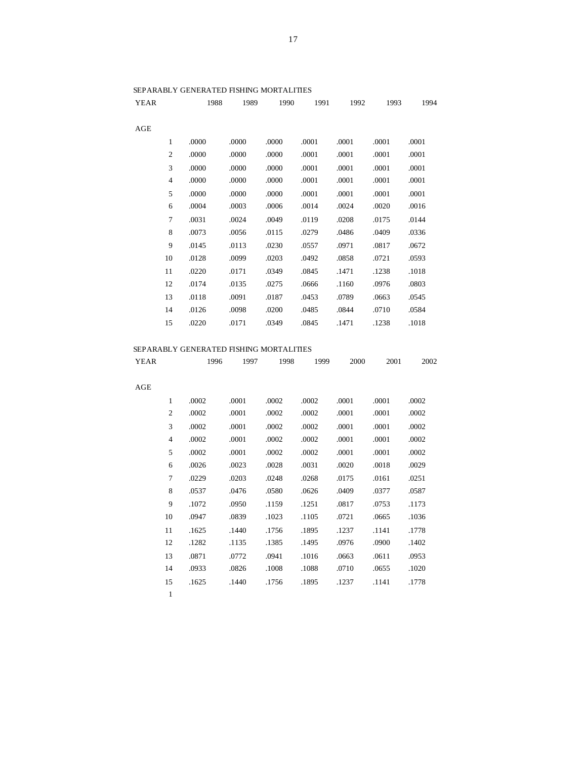| YEAR                    | 1988<br>1989 | 1990  | 1991  | 1992  | 1993  | 1994  |
|-------------------------|--------------|-------|-------|-------|-------|-------|
| AGE                     |              |       |       |       |       |       |
| $\mathbf{1}$<br>.0000   | .0000        | .0000 | .0001 | .0001 | .0001 | .0001 |
| $\mathfrak{2}$<br>.0000 | .0000        | .0000 | .0001 | .0001 | .0001 | .0001 |
| 3<br>.0000              | .0000        | .0000 | .0001 | .0001 | .0001 | .0001 |
| $\overline{4}$<br>.0000 | .0000        | .0000 | .0001 | .0001 | .0001 | .0001 |
| 5<br>.0000              | .0000        | .0000 | .0001 | .0001 | .0001 | .0001 |
| 6<br>.0004              | .0003        | .0006 | .0014 | .0024 | .0020 | .0016 |
| 7<br>.0031              | .0024        | .0049 | .0119 | .0208 | .0175 | .0144 |
| 8<br>.0073              | .0056        | .0115 | .0279 | .0486 | .0409 | .0336 |
| 9<br>.0145              | .0113        | .0230 | .0557 | .0971 | .0817 | .0672 |
| 10<br>.0128             | .0099        | .0203 | .0492 | .0858 | .0721 | .0593 |
| 11<br>.0220             | .0171        | .0349 | .0845 | .1471 | .1238 | .1018 |
| 12<br>.0174             | .0135        | .0275 | .0666 | .1160 | .0976 | .0803 |
| 13<br>.0118             | .0091        | .0187 | .0453 | .0789 | .0663 | .0545 |
| 14<br>.0126             | .0098        | .0200 | .0485 | .0844 | .0710 | .0584 |
| 15<br>.0220             | .0171        | .0349 | .0845 | .1471 | .1238 | .1018 |
|                         |              |       |       |       |       |       |

# SEPARABLY GENERATED FISHING MORTALITIES

| YEAR | 1996 |  | 1997 1998 1999 2000 | 2001 | 2002 |
|------|------|--|---------------------|------|------|
|      |      |  |                     |      |      |

| AGE |                |       |       |       |       |       |       |       |
|-----|----------------|-------|-------|-------|-------|-------|-------|-------|
|     | $\mathbf{1}$   | .0002 | .0001 | .0002 | .0002 | .0001 | .0001 | .0002 |
|     | $\overline{2}$ | .0002 | .0001 | .0002 | .0002 | .0001 | .0001 | .0002 |
|     | 3              | .0002 | .0001 | .0002 | .0002 | .0001 | .0001 | .0002 |
|     | 4              | .0002 | .0001 | .0002 | .0002 | .0001 | .0001 | .0002 |
|     | 5              | .0002 | .0001 | .0002 | .0002 | .0001 | .0001 | .0002 |
|     | 6              | .0026 | .0023 | .0028 | .0031 | .0020 | .0018 | .0029 |
|     | 7              | .0229 | .0203 | .0248 | .0268 | .0175 | .0161 | .0251 |
|     | 8              | .0537 | .0476 | .0580 | .0626 | .0409 | .0377 | .0587 |
|     | 9              | .1072 | .0950 | .1159 | .1251 | .0817 | .0753 | .1173 |
|     | 10             | .0947 | .0839 | .1023 | .1105 | .0721 | .0665 | .1036 |
|     | 11             | .1625 | .1440 | .1756 | .1895 | .1237 | .1141 | .1778 |
|     | 12             | .1282 | .1135 | .1385 | .1495 | .0976 | .0900 | .1402 |
|     | 13             | .0871 | .0772 | .0941 | .1016 | .0663 | .0611 | .0953 |
|     | 14             | .0933 | .0826 | .1008 | .1088 | .0710 | .0655 | .1020 |
|     | 15             | .1625 | .1440 | .1756 | .1895 | .1237 | .1141 | .1778 |
|     | 1              |       |       |       |       |       |       |       |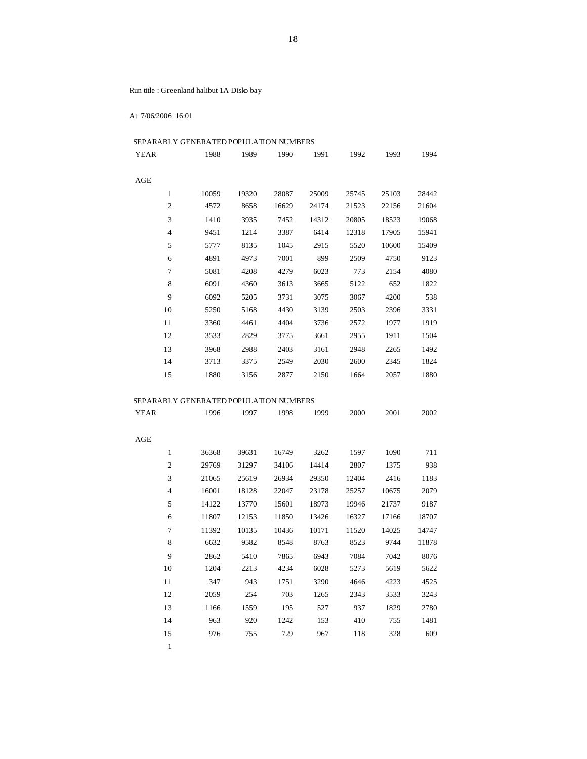Run title : Greenland halibut 1A Disko bay

At 7/06/2006 16:01

| SEPARABLY GENERATED POPULATION NUMBERS |       |       |       |       |       |       |       |  |  |  |  |
|----------------------------------------|-------|-------|-------|-------|-------|-------|-------|--|--|--|--|
| <b>YEAR</b>                            | 1988  | 1989  | 1990  | 1991  | 1992  | 1993  | 1994  |  |  |  |  |
|                                        |       |       |       |       |       |       |       |  |  |  |  |
| AGE                                    |       |       |       |       |       |       |       |  |  |  |  |
| 1                                      | 10059 | 19320 | 28087 | 25009 | 25745 | 25103 | 28442 |  |  |  |  |
| $\overline{2}$                         | 4572  | 8658  | 16629 | 24174 | 21523 | 22156 | 21604 |  |  |  |  |
| 3                                      | 1410  | 3935  | 7452  | 14312 | 20805 | 18523 | 19068 |  |  |  |  |
| $\overline{4}$                         | 9451  | 1214  | 3387  | 6414  | 12318 | 17905 | 15941 |  |  |  |  |
| 5                                      | 5777  | 8135  | 1045  | 2915  | 5520  | 10600 | 15409 |  |  |  |  |
| 6                                      | 4891  | 4973  | 7001  | 899   | 2509  | 4750  | 9123  |  |  |  |  |
| 7                                      | 5081  | 4208  | 4279  | 6023  | 773   | 2154  | 4080  |  |  |  |  |
| 8                                      | 6091  | 4360  | 3613  | 3665  | 5122  | 652   | 1822  |  |  |  |  |
| 9                                      | 6092  | 5205  | 3731  | 3075  | 3067  | 4200  | 538   |  |  |  |  |
| 10                                     | 5250  | 5168  | 4430  | 3139  | 2503  | 2396  | 3331  |  |  |  |  |
| 11                                     | 3360  | 4461  | 4404  | 3736  | 2572  | 1977  | 1919  |  |  |  |  |
| 12                                     | 3533  | 2829  | 3775  | 3661  | 2955  | 1911  | 1504  |  |  |  |  |
| 13                                     | 3968  | 2988  | 2403  | 3161  | 2948  | 2265  | 1492  |  |  |  |  |
| 14                                     | 3713  | 3375  | 2549  | 2030  | 2600  | 2345  | 1824  |  |  |  |  |
| 15                                     | 1880  | 3156  | 2877  | 2150  | 1664  | 2057  | 1880  |  |  |  |  |

# SEPARABLY GENERATED POPULATION NUMBERS

| YEAR           | 1996  | 1997  | 1998  | 1999  | 2000  | 2001  | 2002  |
|----------------|-------|-------|-------|-------|-------|-------|-------|
| AGE            |       |       |       |       |       |       |       |
| $\mathbf{1}$   | 36368 | 39631 | 16749 | 3262  | 1597  | 1090  | 711   |
| $\mathfrak{2}$ | 29769 | 31297 | 34106 | 14414 | 2807  | 1375  | 938   |
| 3              | 21065 | 25619 | 26934 | 29350 | 12404 | 2416  | 1183  |
| $\overline{4}$ | 16001 | 18128 | 22047 | 23178 | 25257 | 10675 | 2079  |
| 5              | 14122 | 13770 | 15601 | 18973 | 19946 | 21737 | 9187  |
| 6              | 11807 | 12153 | 11850 | 13426 | 16327 | 17166 | 18707 |
| $\overline{7}$ | 11392 | 10135 | 10436 | 10171 | 11520 | 14025 | 14747 |
| 8              | 6632  | 9582  | 8548  | 8763  | 8523  | 9744  | 11878 |
| 9              | 2862  | 5410  | 7865  | 6943  | 7084  | 7042  | 8076  |
| 10             | 1204  | 2213  | 4234  | 6028  | 5273  | 5619  | 5622  |
| 11             | 347   | 943   | 1751  | 3290  | 4646  | 4223  | 4525  |
| 12             | 2059  | 254   | 703   | 1265  | 2343  | 3533  | 3243  |
| 13             | 1166  | 1559  | 195   | 527   | 937   | 1829  | 2780  |
| 14             | 963   | 920   | 1242  | 153   | 410   | 755   | 1481  |
| 15             | 976   | 755   | 729   | 967   | 118   | 328   | 609   |
| $\mathbf{1}$   |       |       |       |       |       |       |       |

18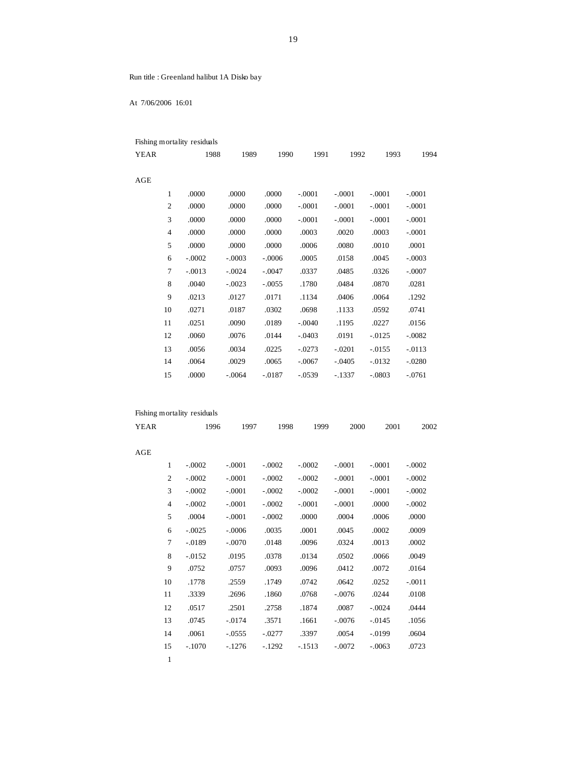Run title : Greenland halibut 1A Disko bay

At 7/06/2006 16:01

|             |                | Fishing mortality residuals |          |          |          |          |           |          |
|-------------|----------------|-----------------------------|----------|----------|----------|----------|-----------|----------|
| <b>YEAR</b> |                | 1988                        | 1989     | 1990     | 1991     | 1992     | 1993      | 1994     |
| AGE         |                |                             |          |          |          |          |           |          |
|             | $\mathbf{1}$   | .0000                       | .0000    | .0000    | $-.0001$ | $-.0001$ | $-.0001$  | $-.0001$ |
|             | $\overline{c}$ | .0000                       | .0000    | .0000    | $-.0001$ | $-.0001$ | $-.0001$  | $-.0001$ |
|             | 3              | .0000                       | .0000    | .0000    | $-.0001$ | $-.0001$ | $-.0001$  | $-.0001$ |
|             | $\overline{4}$ | .0000                       | .0000    | .0000    | .0003    | .0020    | .0003     | $-.0001$ |
|             | 5              | .0000                       | .0000    | .0000    | .0006    | .0080    | .0010     | .0001    |
|             | 6              | $-.0002$                    | $-.0003$ | $-.0006$ | .0005    | .0158    | .0045     | $-.0003$ |
|             | $\tau$         | $-.0013$                    | $-.0024$ | $-.0047$ | .0337    | .0485    | .0326     | $-.0007$ |
|             | 8              | .0040                       | $-.0023$ | $-.0055$ | .1780    | .0484    | .0870     | .0281    |
|             | 9              | .0213                       | .0127    | .0171    | .1134    | .0406    | .0064     | .1292    |
|             | 10             | .0271                       | .0187    | .0302    | .0698    | .1133    | .0592     | .0741    |
|             | 11             | .0251                       | .0090    | .0189    | $-.0040$ | .1195    | .0227     | .0156    |
|             | 12             | .0060                       | .0076    | .0144    | $-.0403$ | .0191    | $-0.0125$ | $-.0082$ |
|             | 13             | .0056                       | .0034    | .0225    | $-.0273$ | $-.0201$ | $-0.0155$ | $-.0113$ |
|             | 14             | .0064                       | .0029    | .0065    | $-.0067$ | $-.0405$ | $-0.0132$ | $-.0280$ |
|             | 15             | .0000                       | $-.0064$ | $-.0187$ | $-.0539$ | $-.1337$ | $-.0803$  | $-.0761$ |
|             |                |                             |          |          |          |          |           |          |

|             |                | Fishing mortality residuals |          |          |          |          |           |          |
|-------------|----------------|-----------------------------|----------|----------|----------|----------|-----------|----------|
| <b>YEAR</b> |                | 1996                        | 1997     | 1998     | 1999     | 2000     | 2001      | 2002     |
| AGE         |                |                             |          |          |          |          |           |          |
|             | 1              | $-.0002$                    | $-.0001$ | $-.0002$ | $-.0002$ | $-.0001$ | $-.0001$  | $-.0002$ |
|             | $\mathfrak{2}$ | $-.0002$                    | $-.0001$ | $-.0002$ | $-.0002$ | $-.0001$ | $-.0001$  | $-.0002$ |
|             | 3              | $-.0002$                    | $-.0001$ | $-.0002$ | $-.0002$ | $-.0001$ | $-.0001$  | $-.0002$ |
|             | $\overline{4}$ | $-.0002$                    | $-.0001$ | $-.0002$ | $-.0001$ | $-.0001$ | .0000     | $-.0002$ |
|             | 5              | .0004                       | $-.0001$ | $-.0002$ | .0000    | .0004    | .0006     | .0000    |
|             | 6              | $-.0025$                    | $-.0006$ | .0035    | .0001    | .0045    | .0002     | .0009    |
|             | 7              | $-.0189$                    | $-.0070$ | .0148    | .0096    | .0324    | .0013     | .0002    |
|             | 8              | $-0.0152$                   | .0195    | .0378    | .0134    | .0502    | .0066     | .0049    |
|             | 9              | .0752                       | .0757    | .0093    | .0096    | .0412    | .0072     | .0164    |
|             | 10             | .1778                       | .2559    | .1749    | .0742    | .0642    | .0252     | $-.0011$ |
|             | 11             | .3339                       | .2696    | .1860    | .0768    | $-.0076$ | .0244     | .0108    |
|             | 12             | .0517                       | .2501    | .2758    | .1874    | .0087    | $-.0024$  | .0444    |
|             | 13             | .0745                       | $-.0174$ | .3571    | .1661    | $-.0076$ | $-0.0145$ | .1056    |
|             | 14             | .0061                       | $-.0555$ | $-.0277$ | .3397    | .0054    | $-.0199$  | .0604    |
|             | 15             | $-.1070$                    | $-.1276$ | $-1292$  | $-1513$  | $-.0072$ | $-.0063$  | .0723    |
|             | 1              |                             |          |          |          |          |           |          |

19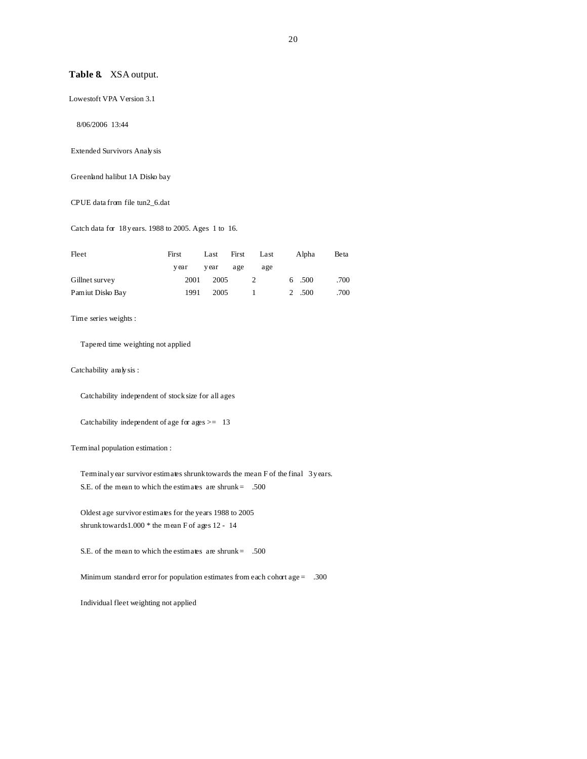### **Table 8.** XSA output.

Lowestoft VPA Version 3.1

8/06/2006 13:44

Extended Survivors Analy sis

Greenland halibut 1A Disko bay

CPUE data from file tun2\_6.dat

Catch data for 18 y ears. 1988 to 2005. Ages 1 to 16.

| Fleet            | First | Last  | First | Last | Alpha  | Beta |
|------------------|-------|-------|-------|------|--------|------|
|                  | v ear | y ear | age   | age  |        |      |
| Gillnet survey   | 2001  | 2005  |       | 2    | 6.500  | .700 |
| Pamiut Disko Bay | 1991  | 2005  |       |      | 2 .500 | .700 |

Time series weights :

Tapered time weighting not applied

Catchability analy sis :

Catchability independent of stock size for all ages

Catchability independent of age for ages >= 13

Terminal population estimation :

Terminal y ear survivor estimates shrunk towards the mean F of the final 3 y ears. S.E. of the mean to which the estimates are shrunk =  $.500$ 

 Oldest age survivor estimates for the years 1988 to 2005 shrunk towards1.000 \* the mean F of ages 12 - 14

S.E. of the mean to which the estimates are shrunk =  $.500$ 

Minimum standard error for population estimates from each cohort age = .300

Individual fleet weighting not applied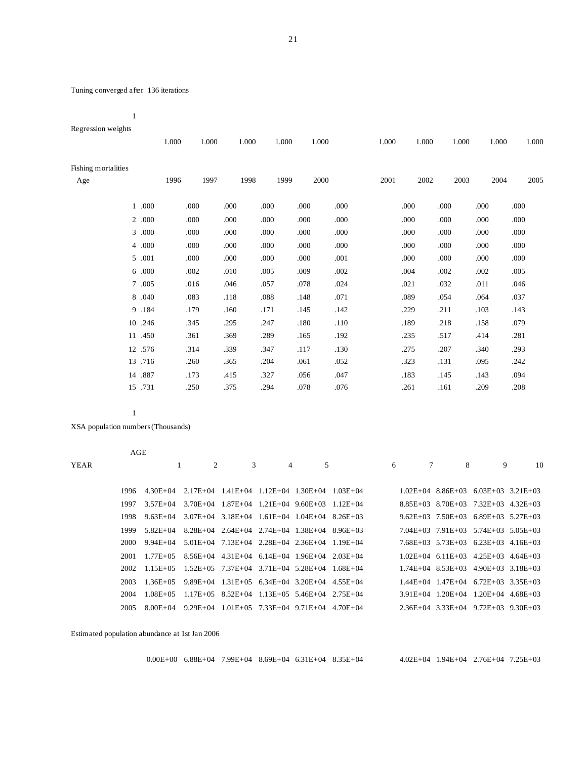# Tuning converged after 136 iterations

1

Regression weights

|                            |         | 1.000 | 1.000 |      | 1.000 | 1.000 |      | 1.000 | 1.000 |      | 1.000 | 1.000 |      | 1.000 | 1.000 |
|----------------------------|---------|-------|-------|------|-------|-------|------|-------|-------|------|-------|-------|------|-------|-------|
| Fishing mortalities<br>Age |         | 1996  | 1997  |      | 1998  | 1999  |      | 2000  | 2001  |      | 2002  | 2003  |      | 2004  | 2005  |
|                            | 1 .000  | .000  |       | .000 | .000  |       | .000 | .000  |       | .000 | .000  |       | .000 | .000  |       |
|                            | 2 .000  | .000  |       | .000 | .000  |       | .000 | .000  |       | .000 | .000  |       | .000 | .000  |       |
|                            | 3 .000  | .000  |       | .000 | .000  |       | .000 | .000  |       | .000 | .000  |       | .000 | .000  |       |
|                            | 4 .000  | .000  |       | .000 | .000  |       | .000 | .000  |       | .000 | .000  |       | .000 | .000  |       |
|                            | 5 .001  | .000  |       | .000 | .000  |       | .000 | .001  |       | .000 | .000  |       | .000 | .000  |       |
|                            | 6 .000  | .002  |       | .010 | .005  |       | .009 | .002  |       | .004 | .002  |       | .002 | .005  |       |
|                            | 7 .005  | .016  |       | .046 | .057  |       | .078 | .024  |       | .021 | .032  |       | .011 | .046  |       |
|                            | 8 .040  | .083  |       | .118 | .088  |       | .148 | .071  |       | .089 | .054  |       | .064 | .037  |       |
|                            | 9 .184  | .179  |       | .160 | .171  |       | .145 | .142  |       | .229 | .211  |       | .103 | .143  |       |
|                            | 10 .246 | .345  |       | .295 | .247  |       | .180 | .110  |       | .189 | .218  |       | .158 | .079  |       |
|                            | 11 .450 | .361  |       | .369 | .289  |       | .165 | .192  |       | .235 | .517  |       | .414 | .281  |       |
|                            | 12 .576 | .314  |       | .339 | .347  |       | .117 | .130  |       | .275 | .207  |       | .340 | .293  |       |
| 13                         | .716    | .260  |       | .365 | .204  |       | .061 | .052  |       | .323 | .131  |       | .095 | .242  |       |
|                            | 14 .887 | .173  |       | .415 | .327  |       | .056 | .047  |       | .183 | .145  |       | .143 | .094  |       |
|                            | 15 .731 | .250  |       | .375 | .294  |       | .078 | .076  |       | .261 | .161  |       | .209 | .208  |       |
|                            |         |       |       |      |       |       |      |       |       |      |       |       |      |       |       |

1

XSA population numbers (Thousands)

|             | AGE   |               |              |                                                        |   |   |   |                |                                             |   |    |
|-------------|-------|---------------|--------------|--------------------------------------------------------|---|---|---|----------------|---------------------------------------------|---|----|
| <b>YEAR</b> |       |               | 2            | 3                                                      | 4 | 5 | 6 | $7\phantom{0}$ | 8                                           | 9 | 10 |
|             |       |               |              |                                                        |   |   |   |                |                                             |   |    |
|             | 1996  | $4.30E + 04$  | $2.17E + 04$ | $1.41E+04$ $1.12E+04$ $1.30E+04$ $1.03E+04$            |   |   |   |                | $1.02E+04$ 8.86E+03 6.03E+03 3.21E+03       |   |    |
|             | 1997  | $3.57E+04$    | $3.70E + 04$ | $1.87E+04$ $1.21E+04$ $9.60E+03$ $1.12E+04$            |   |   |   |                | $8.85E+03$ $8.70E+03$ $7.32E+03$ $4.32E+03$ |   |    |
|             | 1998  | $9.63E + 04$  |              | $3.07E+04$ $3.18E+04$ $1.61E+04$ $1.04E+04$ $8.26E+03$ |   |   |   |                | $9.62E+03$ $7.50E+03$ $6.89E+03$ $5.27E+03$ |   |    |
|             | 1999  | 5.82E+04      |              | $8.28E+04$ $2.64E+04$ $2.74E+04$ $1.38E+04$ $8.96E+03$ |   |   |   |                | $7.04E+03$ $7.91E+03$ $5.74E+03$ $5.05E+03$ |   |    |
|             | 2000  | 9.94E+04      |              | $5.01E+04$ $7.13E+04$ $2.28E+04$ $2.36E+04$ $1.19E+04$ |   |   |   |                | $7.68E+03$ $5.73E+03$ $6.23E+03$ $4.16E+03$ |   |    |
|             | 2001  | $1.77E + 05$  |              | $8.56E+04$ $4.31E+04$ $6.14E+04$ $1.96E+04$ $2.03E+04$ |   |   |   |                | $1.02E+04$ 6.11E+03 4.25E+03 4.64E+03       |   |    |
|             | 2002. | $1.15E+05$    |              | $1.52E+05$ $7.37E+04$ $3.71E+04$ $5.28E+04$ $1.68E+04$ |   |   |   |                | $1.74E+04$ 8.53E + 03 4.90E + 03 3.18E + 03 |   |    |
|             | 2003  | $1.36E + 0.5$ |              | $9.89E+04$ 1.31E+05 6.34E+04 3.20E+04 4.55E+04         |   |   |   |                | $1.44E+04$ $1.47E+04$ $6.72E+03$ $3.35E+03$ |   |    |
|             | 2004  | $1.08E + 05$  |              | $1.17E+05$ 8.52E+04 1.13E+05 5.46E+04 2.75E+04         |   |   |   |                | $3.91E+04$ $1.20E+04$ $1.20E+04$ $4.68E+03$ |   |    |
|             | 2005  | $8.00E + 04$  |              | $9.29E+04$ 1.01E+05 7.33E+04 9.71E+04 4.70E+04         |   |   |   |                | $2.36E+04$ $3.33E+04$ $9.72E+03$ $9.30E+03$ |   |    |

Estimated population abundance at 1st Jan 2006

| $4.02E+04$ $1.94E+04$ $2.76E+04$ $7.25E+03$<br>$0.00E+00$ 6.88E+04 7.99E+04 8.69E+04 6.31E+04 8.35E+04 |  |
|--------------------------------------------------------------------------------------------------------|--|
|--------------------------------------------------------------------------------------------------------|--|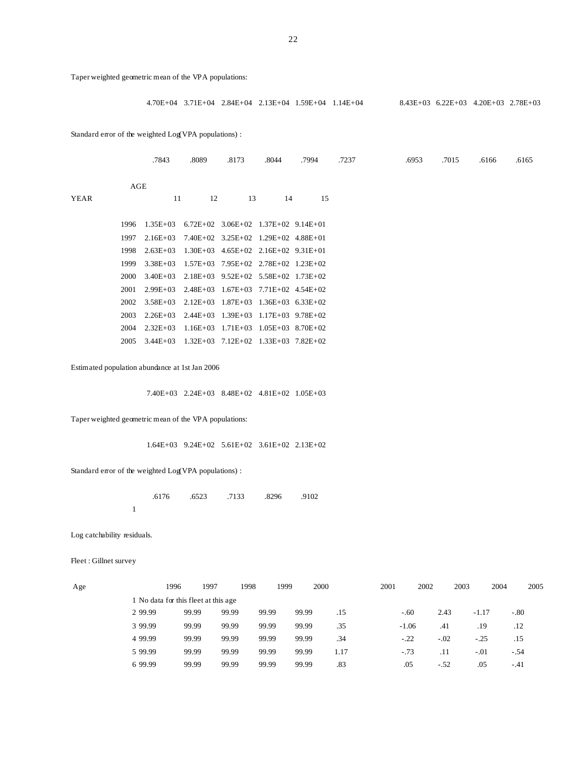Taper weighted geometric mean of the VPA populations:

4.70E+04 3.71E+04 2.84E+04 2.13E+04 1.59E+04 1.14E+04 8.43E+03 6.22E+03 4.20E+03 2.78E+03

Standard error of the weighted Log(VPA populations) :

|      |      | .7843        | .8089                                 | .8173                                       | .8044 | .7994 | .7237 | .6953 | .7015 | .6166 | .6165 |
|------|------|--------------|---------------------------------------|---------------------------------------------|-------|-------|-------|-------|-------|-------|-------|
| YEAR | AGE  | 11           | 12                                    | 13                                          | 14    | 15    |       |       |       |       |       |
|      |      |              |                                       |                                             |       |       |       |       |       |       |       |
|      | 1996 | $1.35E+03$   |                                       | $6.72E+02$ $3.06E+02$ $1.37E+02$ $9.14E+01$ |       |       |       |       |       |       |       |
|      | 1997 | $2.16E+03$   |                                       | $7.40E+02$ $3.25E+02$ $1.29E+02$ $4.88E+01$ |       |       |       |       |       |       |       |
|      | 1998 | $2.63E+03$   |                                       | $1.30E+03$ $4.65E+02$ $2.16E+02$ $9.31E+01$ |       |       |       |       |       |       |       |
|      | 1999 | $3.38E+03$   |                                       | $1.57E+03$ $7.95E+02$ $2.78E+02$ $1.23E+02$ |       |       |       |       |       |       |       |
|      | 2000 | $3.40E + 03$ |                                       | $2.18E+03$ $9.52E+02$ $5.58E+02$ $1.73E+02$ |       |       |       |       |       |       |       |
|      | 2001 | $2.99E+03$   |                                       | $2.48E+03$ $1.67E+03$ $7.71E+02$ $4.54E+02$ |       |       |       |       |       |       |       |
|      | 2002 | $3.58E + 03$ |                                       | $2.12E+03$ $1.87E+03$ $1.36E+03$ $6.33E+02$ |       |       |       |       |       |       |       |
|      | 2003 | $2.26E+03$   | $2.44E+03$ 1.39E+03 1.17E+03 9.78E+02 |                                             |       |       |       |       |       |       |       |
|      | 2004 | $2.32E+03$   |                                       | $1.16E+03$ $1.71E+03$ $1.05E+03$ $8.70E+02$ |       |       |       |       |       |       |       |
|      | 2005 | $3.44E+03$   |                                       | $1.32E+03$ $7.12E+02$ $1.33E+03$ $7.82E+02$ |       |       |       |       |       |       |       |
|      |      |              |                                       |                                             |       |       |       |       |       |       |       |

Estimated population abundance at 1st Jan 2006

7.40E+03 2.24E+03 8.48E+02 4.81E+02 1.05E+03

Taper weighted geometric mean of the VPA populations:

1.64E+03 9.24E+02 5.61E+02 3.61E+02 2.13E+02

Standard error of the weighted Log(VPA populations) :

|  |  | .6176 .6523 .7133 .8296 .9102 |  |
|--|--|-------------------------------|--|
|  |  |                               |  |

Log catchability residuals.

Fleet : Gillnet survey

| Age |          | 1996  | 1997                                 | 1998  | 1999  | 2000 |      | 2001    | 2002   | 2003    | 2004   | 2005 |
|-----|----------|-------|--------------------------------------|-------|-------|------|------|---------|--------|---------|--------|------|
|     |          |       | 1 No data for this fleet at this age |       |       |      |      |         |        |         |        |      |
|     | 2 9 9.99 | 99.99 | 99.99                                | 99.99 | 99.99 |      | .15  | $-.60$  | 2.43   | $-1.17$ | $-.80$ |      |
|     | 3 99.99  | 99.99 | 99.99                                | 99.99 | 99.99 |      | .35  | $-1.06$ | .41    | .19     | .12    |      |
|     | 4 9 9.99 | 99.99 | 99.99                                | 99.99 | 99.99 |      | .34  | $-.22$  | $-.02$ | $-.25$  | .15    |      |
|     | 5 99.99  | 99.99 | 99.99                                | 99.99 | 99.99 |      | 1.17 | $-.73$  | .11    | $-.01$  | $-.54$ |      |
|     | 6 99.99  | 99.99 | 99.99                                | 99.99 | 99.99 |      | .83  | .05     | $-.52$ | .05     | $-.41$ |      |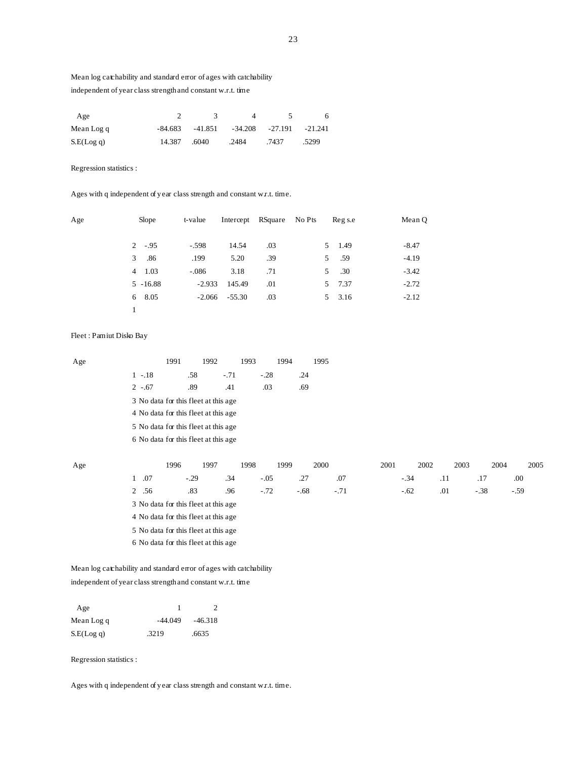# Mean log catchability and standard error of ages with catchability independent of year class strength and constant w.r.t. time

| Age        |         |       |                                      |       | 6.    |
|------------|---------|-------|--------------------------------------|-------|-------|
| Mean Log q | -84.683 |       | $-41.851 - 34.208 - 27.191 - 21.241$ |       |       |
| S.E(Log q) | 14.387  | .6040 | .2484                                | .7437 | .5299 |

Regression statistics :

Ages with q independent of year class strength and constant w.r.t. time.

| Age | Slope          | t-value  |          | Intercept RSquare No Pts |    | Reg s.e | Mean Q  |
|-----|----------------|----------|----------|--------------------------|----|---------|---------|
|     | $2 - .95$      | $-.598$  | 14.54    | .03                      |    | 5 1.49  | $-8.47$ |
|     | 3<br>.86       | .199     | 5.20     | .39                      | 5  | .59     | $-4.19$ |
|     | $4 \quad 1.03$ | $-.086$  | 3.18     | .71                      | 5. | .30     | $-3.42$ |
|     | $5 - 16.88$    | $-2.933$ | 145.49   | .01                      |    | 5 7.37  | $-2.72$ |
|     | 6 8.05         | $-2.066$ | $-55.30$ | .03                      |    | 5 3.16  | $-2.12$ |
|     |                |          |          |                          |    |         |         |

# Fleet : Pamiut Disko Bay

| Age |                                       | 1992<br>1991                         | 1993   |        | 1994 | 1995   |        |      |        |     |      |        |        |      |
|-----|---------------------------------------|--------------------------------------|--------|--------|------|--------|--------|------|--------|-----|------|--------|--------|------|
|     | $1 - 18$                              | .58                                  | $-.71$ | $-.28$ |      | .24    |        |      |        |     |      |        |        |      |
|     | $2 - 67$                              | .89                                  | .41    | .03    |      | .69    |        |      |        |     |      |        |        |      |
|     |                                       | 3 No data for this fleet at this age |        |        |      |        |        |      |        |     |      |        |        |      |
|     |                                       | 4 No data for this fleet at this age |        |        |      |        |        |      |        |     |      |        |        |      |
|     |                                       | 5 No data for this fleet at this age |        |        |      |        |        |      |        |     |      |        |        |      |
|     | 6 No data for this fleet at this age  |                                      |        |        |      |        |        |      |        |     |      |        |        |      |
|     |                                       |                                      |        |        |      |        |        |      |        |     |      |        |        |      |
| Age |                                       | 1997<br>1996                         | 1998   |        | 1999 | 2000   |        | 2001 | 2002   |     | 2003 |        | 2004   | 2005 |
|     | $\mathbf{1}$<br>.07                   | $-.29$                               | .34    | $-.05$ |      | .27    | .07    |      | $-.34$ | .11 |      | .17    | .00    |      |
|     | $\overline{2}$<br>.56                 | .83                                  | .96    | $-.72$ |      | $-.68$ | $-.71$ |      | $-.62$ | .01 |      | $-.38$ | $-.59$ |      |
|     |                                       | 3 No data for this fleet at this age |        |        |      |        |        |      |        |     |      |        |        |      |
|     |                                       | 4 No data for this fleet at this age |        |        |      |        |        |      |        |     |      |        |        |      |
|     | 5 No data for this fleet at this age  |                                      |        |        |      |        |        |      |        |     |      |        |        |      |
|     | 6 No data for this fleet at this age. |                                      |        |        |      |        |        |      |        |     |      |        |        |      |

 Mean log catchability and standard error of ages with catchability independent of year class strength and constant w.r.t. time

| Age        |           |           |
|------------|-----------|-----------|
| Mean Log q | $-44.049$ | $-46.318$ |
| S.E(Log q) | .3219     | .6635     |

Regression statistics :

Ages with q independent of year class strength and constant w.r.t. time.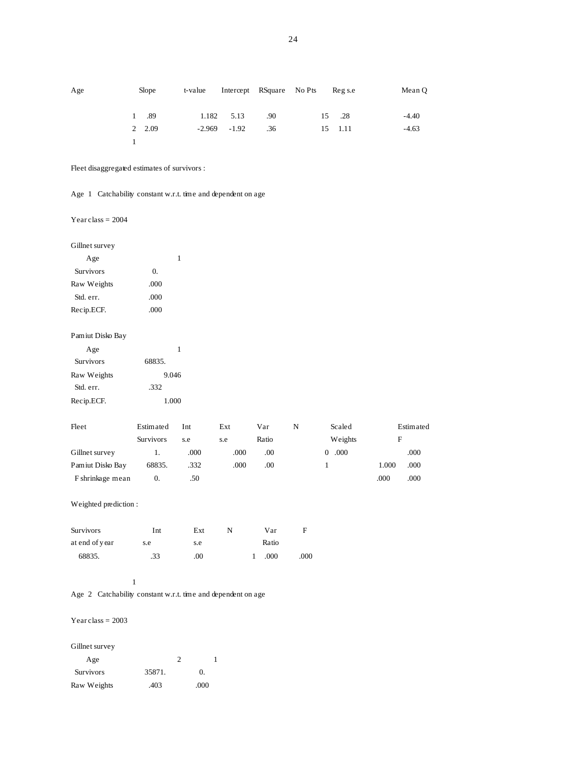| Age |        | Slope | t-value |                |     | Intercept RSquare No Pts Reg s.e |         | Mean Q  |
|-----|--------|-------|---------|----------------|-----|----------------------------------|---------|---------|
|     | 1 .89  |       |         | 1.182 5.13     | .90 |                                  | 15 .28  | $-4.40$ |
|     | 2 2.09 |       |         | $-2.969 -1.92$ | .36 |                                  | 15 1.11 | $-4.63$ |
|     |        |       |         |                |     |                                  |         |         |

Fleet disaggregated estimates of survivors :

Age 1 Catchability constant w.r.t. time and dependent on age

Year class = 2004

Gillnet survey

| Age              |      |
|------------------|------|
| <b>Survivors</b> | 0.   |
| Raw Weights      | .000 |
| Std. err.        | .000 |
| Recip.ECF.       | .000 |
|                  |      |

|  | Pamiut Disko Bay |
|--|------------------|
|--|------------------|

| Age              |        |
|------------------|--------|
| <b>Survivors</b> | 68835. |
| Raw Weights      | 9.046  |
| Std. err.        | .332   |
| Recip.ECF.       | 1.000  |

| Fleet            | Estimated        | Int  | Ext  | Var   | N | Scaled           |       | Estimated |
|------------------|------------------|------|------|-------|---|------------------|-------|-----------|
|                  | <b>Survivors</b> | s.e  | s.e  | Ratio |   | Weights          | F     |           |
| Gillnet survey   |                  | .000 | .000 | .00   |   | .000<br>$\Omega$ |       | .000      |
| Pamiut Disko Bay | 68835.           | .332 | .000 | .00   |   |                  | 1.000 | .000      |
| F shrinkage mean | 0.               | .50  |      |       |   |                  | .000  | .000      |

# Weighted prediction :

| <b>Survivors</b> | Int | Ext | N | Var   | н    |
|------------------|-----|-----|---|-------|------|
| at end of year   | s.e | s.e |   | Ratio |      |
| 68835.           | .33 | .00 |   | .000  | .000 |

### 1

Age 2 Catchability constant w.r.t. time and dependent on age

# Year class  $= 2003$

Gillnet survey

| Age              | ി      |          |
|------------------|--------|----------|
| <b>Survivors</b> | 35871. | $\Omega$ |
| Raw Weights      | .403   | .000     |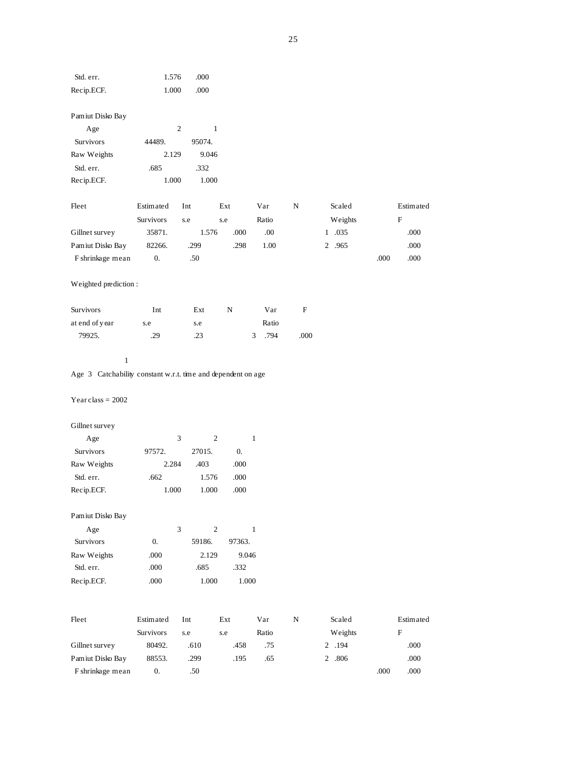| Std. err.                                                    | 1.576            | .000       |                  |              |      |             |      |           |
|--------------------------------------------------------------|------------------|------------|------------------|--------------|------|-------------|------|-----------|
| Recip.ECF.                                                   | 1.000            | .000       |                  |              |      |             |      |           |
|                                                              |                  |            |                  |              |      |             |      |           |
| Pamiut Disko Bay                                             |                  |            |                  |              |      |             |      |           |
| Age                                                          |                  | $\sqrt{2}$ | $\mathbf{1}$     |              |      |             |      |           |
| Survivors                                                    | 44489.           | 95074.     |                  |              |      |             |      |           |
| Raw Weights                                                  | 2.129            | 9.046      |                  |              |      |             |      |           |
| Std. err.                                                    | .685             | .332       |                  |              |      |             |      |           |
| Recip.ECF.                                                   | 1.000            | 1.000      |                  |              |      |             |      |           |
|                                                              |                  |            |                  |              |      |             |      |           |
| Fleet                                                        | Estimated        | Int        | Ext              | Var          | N    | Scaled      |      | Estimated |
|                                                              | Survivors        | s.e        | s.e              | Ratio        |      | Weights     |      | F         |
| Gillnet survey                                               | 35871.           | 1.576      | .000             | .00.         |      | 1 .035      |      | .000      |
| Pamiut Disko Bay                                             | 82266.           | .299       | .298             | 1.00         |      | 2 .965      |      | .000      |
| F shrinkage mean                                             | $\overline{0}$ . | .50        |                  |              |      |             | .000 | .000      |
|                                                              |                  |            |                  |              |      |             |      |           |
| Weighted prediction :                                        |                  |            |                  |              |      |             |      |           |
|                                                              |                  |            |                  |              |      |             |      |           |
| Survivors                                                    | Int              | Ext        | N                | Var          | F    |             |      |           |
| at end of year                                               | s.e              | s.e        |                  | Ratio        |      |             |      |           |
| 79925.                                                       | .29              | .23        |                  | .794<br>3    | .000 |             |      |           |
|                                                              |                  |            |                  |              |      |             |      |           |
| $\mathbf{1}$                                                 |                  |            |                  |              |      |             |      |           |
| Age 3 Catchability constant w.r.t. time and dependent on age |                  |            |                  |              |      |             |      |           |
|                                                              |                  |            |                  |              |      |             |      |           |
| Year class = $2002$                                          |                  |            |                  |              |      |             |      |           |
|                                                              |                  |            |                  |              |      |             |      |           |
| Gillnet survey                                               |                  |            |                  |              |      |             |      |           |
| Age                                                          |                  | 3          | $\boldsymbol{2}$ | $\mathbf{1}$ |      |             |      |           |
| Survivors                                                    | 97572.           | 27015.     | $\overline{0}$ . |              |      |             |      |           |
| Raw Weights                                                  | 2.284            | .403       | .000             |              |      |             |      |           |
| Std. err.                                                    | .662             | 1.576      | .000             |              |      |             |      |           |
| Recip.ECF.                                                   | 1.000            | 1.000      | .000             |              |      |             |      |           |
|                                                              |                  |            |                  |              |      |             |      |           |
| Pamiut Disko Bay                                             |                  |            |                  |              |      |             |      |           |
| Age                                                          |                  | 3          | $\overline{2}$   | $\mathbf{1}$ |      |             |      |           |
| <b>Survivors</b>                                             | $\overline{0}$ . | 59186.     | 97363.           |              |      |             |      |           |
| Raw Weights                                                  |                  |            |                  |              |      |             |      |           |
|                                                              | .000             | 2.129      | 9.046            |              |      |             |      |           |
| Std. err.                                                    | .000             | .685       | .332             |              |      |             |      |           |
| Recip.ECF.                                                   | .000             | 1.000      | 1.000            |              |      |             |      |           |
|                                                              |                  |            |                  |              |      |             |      |           |
|                                                              |                  |            |                  |              |      |             |      |           |
| Fleet                                                        | Estimated        | Int        | Ext              | Var          | N    | Scaled      |      | Estimated |
|                                                              | Survivors        | s.e        | s.e              | Ratio        |      | Weights     |      | F         |
| Gillnet survey                                               | 80492.           | .610       | .458             | .75          |      | 2 .194      |      | .000      |
| Pamiut Disko Bay                                             | 88553.           | .299       | .195             | .65          |      | $2\ \ .806$ |      | $.000\,$  |
| F shrinkage mean                                             | 0.               | .50        |                  |              |      |             | .000 | .000      |

25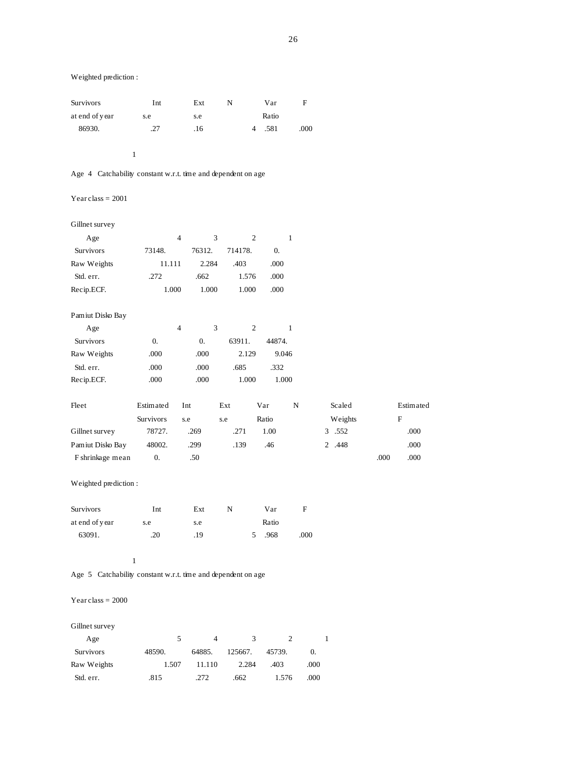| <b>Survivors</b> | Int | Ext | N | Var   | F    |
|------------------|-----|-----|---|-------|------|
| at end of year   | s.e | s.e |   | Ratio |      |
| 86930.           | .27 | .16 |   | .581  | .000 |
|                  |     |     |   |       |      |

# 1

# Age 4 Catchability constant w.r.t. time and dependent on age

## Year class  $= 2001$

### Gillnet survey

| Age                  |                  | $\overline{4}$ | 3                |             | $\overline{2}$ |        | 1    |         |      |           |
|----------------------|------------------|----------------|------------------|-------------|----------------|--------|------|---------|------|-----------|
| Survivors            | 73148.           |                | 76312.           | 714178.     |                | 0.     |      |         |      |           |
| Raw Weights          | 11.111           |                | 2.284            | .403        |                | .000   |      |         |      |           |
| Std. err.            | .272             |                | .662             | 1.576       |                | .000   |      |         |      |           |
| Recip.ECF.           |                  | 1.000          | 1.000            | 1.000       |                | .000   |      |         |      |           |
| Pamiut Disko Bay     |                  |                |                  |             |                |        |      |         |      |           |
| Age                  |                  | $\overline{4}$ | 3                |             | $\mathfrak{2}$ |        | 1    |         |      |           |
| Survivors            | $\overline{0}$ . |                | $\overline{0}$ . | 63911.      |                | 44874. |      |         |      |           |
| Raw Weights          | .000             |                | .000             | 2.129       |                | 9.046  |      |         |      |           |
| Std. err.            | .000             |                | .000             | .685        |                | .332   |      |         |      |           |
| Recip.ECF.           | .000             |                | .000             | 1.000       |                | 1.000  |      |         |      |           |
| Fleet                | Estimated        | Int            |                  | Ext         |                | Var    | N    | Scaled  |      | Estimated |
|                      | Survivors        | s.e            |                  | s.e         |                | Ratio  |      | Weights |      | F         |
| Gillnet survey       | 78727.           |                | .269             | .271        |                | 1.00   |      | 3 .552  |      | .000      |
| Pamiut Disko Bay     | 48002.           |                | .299             | .139        |                | .46    |      | 2 .448  |      | .000      |
| F shrinkage mean     | $\overline{0}$ . |                | .50              |             |                |        |      |         | .000 | .000      |
| Weighted prediction: |                  |                |                  |             |                |        |      |         |      |           |
| Survivors            | Int              |                | Ext              | $\mathbf N$ |                | Var    | F    |         |      |           |
| at end of year       | s.e              |                | s.e              |             |                | Ratio  |      |         |      |           |
| 63091.               | .20              |                | .19              |             | 5              | .968   | .000 |         |      |           |

#### 1

# Age 5 Catchability constant w.r.t. time and dependent on age

# $\mbox{Year class} = 2000$

# Gillnet survey

| Age              |        | 4      | 3       |        |      |
|------------------|--------|--------|---------|--------|------|
| <b>Survivors</b> | 48590. | 64885. | 125667. | 45739. | 0.   |
| Raw Weights      | 1.507  | 11.110 | 2.284   | .403   | .000 |
| Std. err.        | .815   | .272   | .662    | 1.576  | .000 |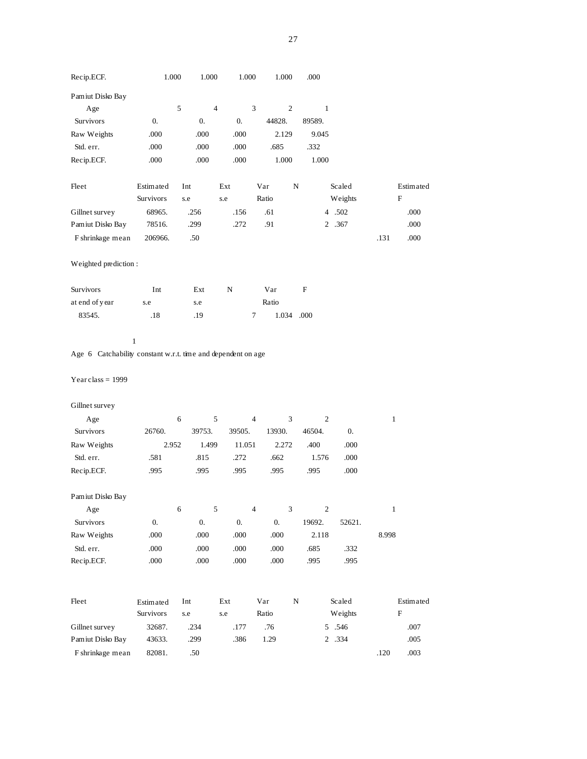| Recip.ECF.            |                    | 1.000              | 1.000          | 1.000                       | 1.000          | .000         |                  |              |             |
|-----------------------|--------------------|--------------------|----------------|-----------------------------|----------------|--------------|------------------|--------------|-------------|
| Pamiut Disko Bay      |                    |                    |                |                             |                |              |                  |              |             |
| Age                   |                    | 5                  | $\overline{4}$ | $\ensuremath{\mathfrak{Z}}$ | $\sqrt{2}$     | $\mathbf{1}$ |                  |              |             |
| Survivors             | $\overline{0}$ .   | $\boldsymbol{0}$ . |                | 0.                          | 44828.         | 89589.       |                  |              |             |
| Raw Weights           | .000               | .000               |                | .000                        | 2.129          | 9.045        |                  |              |             |
| Std. err.             | .000               | .000               |                | .000                        | .685           | .332         |                  |              |             |
| Recip.ECF.            | .000               | .000               |                | .000                        | 1.000          | 1.000        |                  |              |             |
| Fleet                 | Estimated          | Int                | Ext            |                             | Var            | N            | Scaled           |              | Estimated   |
|                       | Survivors          | s.e                | s.e            |                             | Ratio          |              | Weights          |              | ${\bf F}$   |
| Gillnet survey        | 68965.             | .256               |                | .156                        | .61            |              | 4 .502           |              | .000        |
| Pamiut Disko Bay      | 78516.             | .299               |                | .272                        | .91            |              | 2 .367           |              | .000        |
| F shrinkage mean      | 206966.            | .50                |                |                             |                |              |                  | .131         | .000        |
| Weighted prediction : |                    |                    |                |                             |                |              |                  |              |             |
| <b>Survivors</b>      | Int                | Ext                | N              |                             | Var            | F            |                  |              |             |
| at end of year        | s.e                | s.e                |                |                             | Ratio          |              |                  |              |             |
| 83545.                | .18                | .19                |                | 7                           |                | 1.034 .000   |                  |              |             |
| Year class = $1999$   |                    |                    |                |                             |                |              |                  |              |             |
| Gillnet survey        |                    |                    |                |                             |                |              |                  |              |             |
| Age                   |                    | 6                  | 5              | $\overline{4}$              | $\mathfrak{Z}$ |              | $\overline{c}$   | $\mathbf{1}$ |             |
| Survivors             | 26760.             | 39753.             |                | 39505.                      | 13930.         | 46504.       | $\overline{0}$ . |              |             |
| Raw Weights           |                    | 2.952              | 1.499          | 11.051                      | 2.272          | .400         | .000             |              |             |
| Std. err.             | .581               | .815               |                | .272                        | .662           | 1.576        | .000             |              |             |
| Recip.ECF.            | .995               | .995               |                | .995                        | .995           | .995         | .000             |              |             |
| Pamiut Disko Bay      |                    |                    |                |                             |                |              |                  |              |             |
| Age                   |                    | 6                  | 5              | $\overline{4}$              | $\mathfrak z$  |              | $\mathfrak{2}$   | $\mathbf{1}$ |             |
| Survivors             | $\boldsymbol{0}$ . | $\boldsymbol{0}$ . |                | 0.                          | $0. \,$        | 19692.       | 52621.           |              |             |
| Raw Weights           | .000               | $.000\,$           |                | $.000$                      | .000           | 2.118        |                  | 8.998        |             |
| Std. err.             | .000               | .000               |                | .000                        | .000           | .685         | .332             |              |             |
| Recip.ECF.            | $.000$             | $.000$             |                | .000                        | .000           | .995         | .995             |              |             |
| Fleet                 | Estimated          | Int                | Ext            |                             | Var            | ${\bf N}$    | Scaled           |              | Estimated   |
|                       | Survivors          | s.e                | s.e            |                             | Ratio          |              | Weights          |              | $\mathbf F$ |
| Gillnet survey        | 32687.             | .234               |                | .177                        | .76            |              | 5 .546           |              | .007        |
| Pamiut Disko Bay      | 43633.             | .299               |                | .386                        | 1.29           |              | 2 .334           |              | .005        |
| F shrinkage mean      | 82081.             | $.50\,$            |                |                             |                |              |                  | .120         | .003        |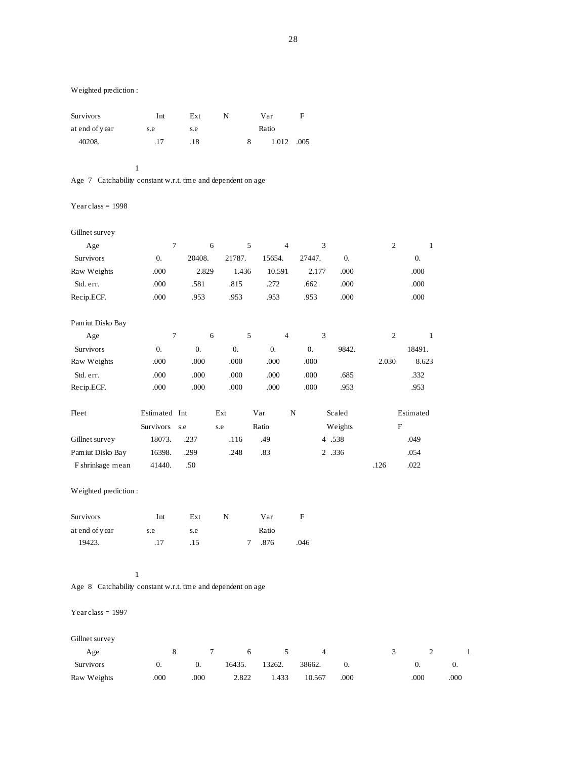| <b>Survivors</b> | Int | Ext | N |   | Var   | F    |
|------------------|-----|-----|---|---|-------|------|
| at end of year   | s.e | s.e |   |   | Ratio |      |
| 40208.           | .17 | .18 |   | 8 | 1.012 | .005 |
|                  |     |     |   |   |       |      |

1

# Age 7 Catchability constant w.r.t. time and dependent on age

# Year class  $= 1998$

| Gillnet survey   |                  |                  |                  |                  |                  |                  |                |            |
|------------------|------------------|------------------|------------------|------------------|------------------|------------------|----------------|------------|
| Age              | 7                | 6                | 5                | $\overline{4}$   | 3                |                  | $\overline{2}$ | 1          |
| Survivors        | $\theta$ .       | 20408.           | 21787.           | 15654.           | 27447.           | $\overline{0}$ . |                | $\theta$ . |
| Raw Weights      | .000             | 2.829            | 1.436            | 10.591           | 2.177            | .000             |                | .000       |
| Std. err.        | .000             | .581             | .815             | .272             | .662             | .000             |                | .000       |
| Recip.ECF.       | .000             | .953             | .953             | .953             | .953             | .000             |                | .000       |
| Pamiut Disko Bay |                  |                  |                  |                  |                  |                  |                |            |
| Age              | 7                | 6                | 5                | $\overline{4}$   | 3                |                  | $\overline{2}$ | 1          |
| Survivors        | $\overline{0}$ . | $\overline{0}$ . | $\overline{0}$ . | $\overline{0}$ . | $\overline{0}$ . | 9842.            |                | 18491.     |
| Raw Weights      | .000             | .000             | .000             | .000             | .000             |                  | 2.030          | 8.623      |
| Std. err.        | .000             | .000             | .000             | .000             | .000             | .685             |                | .332       |
| Recip.ECF.       | .000             | .000             | .000             | .000             | .000             | .953             |                | .953       |
| Fleet            | Estimated Int    |                  | Ext              | Var              | N                | Scaled           |                | Estimated  |
|                  | <b>Survivors</b> | s.e              | s.e              | Ratio            |                  | Weights          | F              |            |
| Gillnet survey   | 18073.           | .237             | .116             | .49              |                  | 4 .538           |                | .049       |
| Pamiut Disko Bay | 16398.           | .299             | .248             | .83              |                  | 2 .336           |                | .054       |
| F shrinkage mean | 41440.           | .50              |                  |                  |                  |                  | .126           | .022       |

# Weighted prediction :

| <b>Survivors</b> | Int | Ext | N | Var   | н    |
|------------------|-----|-----|---|-------|------|
| at end of year   | s.e | s.e |   | Ratio |      |
| 19423.           | .17 | .15 |   | .876  | .046 |

### 1

Age 8 Catchability constant w.r.t. time and dependent on age

### Year class  $= 1997$

# Gillnet survey

| Age              |      |                  | 7 6   | $\sim$ 5 |                      |            |      |      |
|------------------|------|------------------|-------|----------|----------------------|------------|------|------|
| <b>Survivors</b> |      | $\overline{0}$ . |       |          | 16435. 13262. 38662. | $\theta$ . |      |      |
| Raw Weights      | .000 | .000             | 2.822 | 1.433    | 10.567               | .000       | .000 | .000 |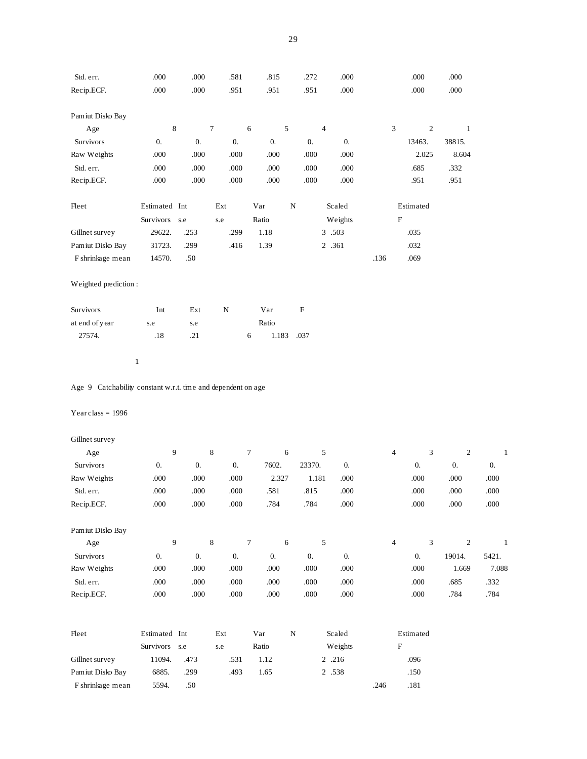| Std. err.                                                    | .000             | .000               | .581               | .815               |            | .272                     | .000             |                | .000                      | .000             |                  |
|--------------------------------------------------------------|------------------|--------------------|--------------------|--------------------|------------|--------------------------|------------------|----------------|---------------------------|------------------|------------------|
| Recip.ECF.                                                   | .000             | .000               | .951               | .951               |            | .951                     | .000             |                | .000                      | .000             |                  |
| Pamiut Disko Bay                                             |                  |                    |                    |                    |            |                          |                  |                |                           |                  |                  |
| Age                                                          |                  | $\,$ 8 $\,$        | $\boldsymbol{7}$   | 6                  | 5          | $\overline{\mathcal{A}}$ |                  | 3              | $\mathfrak{2}$            | $\mathbf{1}$     |                  |
| <b>Survivors</b>                                             | $\overline{0}$ . | $\boldsymbol{0}$ . | $\boldsymbol{0}$ . | $0. \,$            |            | 0.                       | 0.               |                | 13463.                    | 38815.           |                  |
| Raw Weights                                                  | .000             | .000               | .000               | .000               |            | .000                     | .000             |                | 2.025                     | 8.604            |                  |
| Std. err.                                                    | .000             | .000               | .000               | .000               |            | .000                     | .000             |                | .685                      | .332             |                  |
| Recip.ECF.                                                   | .000             | .000               | .000               | .000               |            | $.000$                   | .000             |                | .951                      | .951             |                  |
| Fleet                                                        | Estimated Int    |                    | Ext                | Var                | N          |                          | Scaled           |                | Estimated                 |                  |                  |
|                                                              | Survivors        | s.e                | s.e                | Ratio              |            |                          | Weights          |                | $\boldsymbol{\mathrm{F}}$ |                  |                  |
| Gillnet survey                                               | 29622.           | .253               | .299               | 1.18               |            |                          | 3 .503           |                | .035                      |                  |                  |
| Pamiut Disko Bay                                             | 31723.           | .299               | .416               | 1.39               |            |                          | 2 .361           |                | .032                      |                  |                  |
| F shrinkage mean                                             | 14570.           | .50                |                    |                    |            |                          |                  | .136           | .069                      |                  |                  |
| Weighted prediction:                                         |                  |                    |                    |                    |            |                          |                  |                |                           |                  |                  |
| Survivors                                                    | Int              | Ext                | ${\bf N}$          | Var                |            | ${\bf F}$                |                  |                |                           |                  |                  |
| at end of year                                               | s.e              | s.e                |                    | Ratio              |            |                          |                  |                |                           |                  |                  |
| 27574.                                                       | $.18$            | .21                |                    | 6                  | 1.183      | .037                     |                  |                |                           |                  |                  |
|                                                              | $\mathbf{1}$     |                    |                    |                    |            |                          |                  |                |                           |                  |                  |
| Age 9 Catchability constant w.r.t. time and dependent on age |                  |                    |                    |                    |            |                          |                  |                |                           |                  |                  |
| Year class = $1996$                                          |                  |                    |                    |                    |            |                          |                  |                |                           |                  |                  |
| Gillnet survey                                               |                  |                    |                    |                    |            |                          |                  |                |                           |                  |                  |
| Age                                                          |                  | 9                  | $\,$ 8 $\,$        | $\boldsymbol{7}$   | 6          | 5                        |                  | 4              | 3                         | $\sqrt{2}$       | $\mathbf{1}$     |
| Survivors                                                    | $\overline{0}$ . | $\overline{0}$ .   | $0. \,$            | 7602.              |            | 23370.                   | $\overline{0}$ . |                | 0.                        | $\overline{0}$ . | $\overline{0}$ . |
| Raw Weights                                                  | .000             | .000               | .000               | 2.327              |            | 1.181                    | .000             |                | .000                      | .000             | .000             |
| Std. err.                                                    | .000             | .000               | .000               | .581               |            | .815                     | .000             |                | .000                      | .000             | .000             |
| Recip.ECF.                                                   | .000             | $.000\,$           | .000               | .784               |            | .784                     | $.000\,$         |                | $.000\,$                  | $.000\,$         | $.000\,$         |
| Pamiut Disko Bay                                             |                  |                    |                    |                    |            |                          |                  |                |                           |                  |                  |
| Age                                                          |                  | 9                  | $\,8\,$            | $\boldsymbol{7}$   | $\sqrt{6}$ | 5                        |                  | $\overline{4}$ | $\mathfrak{Z}$            | $\overline{2}$   | $\mathbf{1}$     |
| Survivors                                                    | $\overline{0}$ . | $0. \,$            | $\overline{0}$ .   | $\boldsymbol{0}$ . |            | $\boldsymbol{0}$ .       | 0.               |                | $0. \,$                   | 19014.           | 5421.            |
| Raw Weights                                                  | .000             | .000               | $.000\,$           | $.000\,$           |            | .000                     | $.000$           |                | $.000$                    | 1.669            | 7.088            |
| Std. err.                                                    | .000             | .000               | .000               | .000               |            | .000                     | .000             |                | .000                      | .685             | .332             |
| Recip.ECF.                                                   | .000             | .000               | $.000\,$           | .000               |            | .000                     | .000             |                | $.000$                    | .784             | .784             |
| Fleet                                                        | Estimated Int    |                    | Ext                | Var                | ${\bf N}$  |                          | Scaled           |                | Estimated                 |                  |                  |
|                                                              | Survivors s.e    |                    | $_{\rm s.e}$       | Ratio              |            |                          | Weights          |                | $\boldsymbol{\mathrm{F}}$ |                  |                  |
| Gillnet survey                                               | 11094.           | .473               | .531               | 1.12               |            |                          | 2 .216           |                | .096                      |                  |                  |
| Pamiut Disko Bay                                             | 6885.            | .299               | .493               | 1.65               |            |                          | 2 .538           |                | .150                      |                  |                  |
| F shrinkage mean                                             | 5594.            | .50                |                    |                    |            |                          |                  | .246           | .181                      |                  |                  |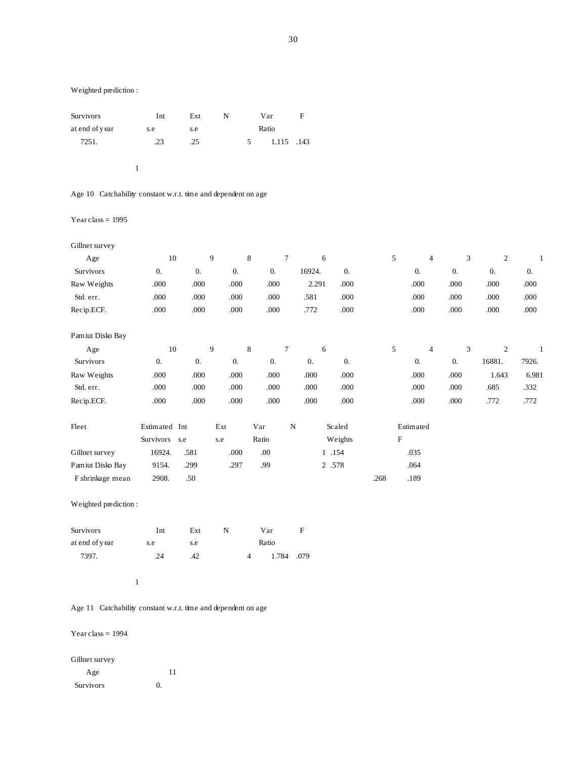| Survivors      | Int | Ext | N |   | Var        | F |
|----------------|-----|-----|---|---|------------|---|
| at end of year | s.e | s.e |   |   | Ratio      |   |
| 7251.          | .23 | .25 |   | 5 | 1.115 .143 |   |
|                |     |     |   |   |            |   |

Age 10 Catchability constant w.r.t. time and dependent on age

### Year class  $= 1995$

| Gillnet survey   |                  |                  |                  |                  |   |                  |                  |           |                  |                  |                  |       |
|------------------|------------------|------------------|------------------|------------------|---|------------------|------------------|-----------|------------------|------------------|------------------|-------|
| Age              | 10               |                  | 9                | 8                | 7 | 6                |                  | 5         | $\overline{4}$   | 3                | $\mathfrak{2}$   |       |
| Survivors        | $\overline{0}$ . | $\overline{0}$ . | $\overline{0}$ . | $\overline{0}$ . |   | 16924.           | $\overline{0}$ . |           | $\overline{0}$ . | $\overline{0}$ . | $\overline{0}$ . | 0.    |
| Raw Weights      | .000             | .000             | .000             | .000             |   | 2.291            | .000             |           | .000             | .000             | .000             | .000  |
| Std. err.        | .000             | .000             | .000             | .000             |   | .581             | .000             |           | .000             | .000             | .000             | .000  |
| Recip.ECF.       | .000             | .000             | .000             | .000             |   | .772             | .000             |           | .000             | .000             | .000             | .000  |
| Pamiut Disko Bay |                  |                  |                  |                  |   |                  |                  |           |                  |                  |                  |       |
| Age              | 10               |                  | 9                | 8                | 7 | 6                |                  | 5         | $\overline{4}$   | 3                | $\mathfrak{2}$   |       |
| Survivors        | $\overline{0}$ . | $\overline{0}$ . | $\overline{0}$ . | $\overline{0}$ . |   | $\overline{0}$ . | $\overline{0}$ . |           | $\overline{0}$ . | $\overline{0}$ . | 16881.           | 7926. |
| Raw Weights      | .000             | .000             | .000             | .000             |   | .000             | .000             |           | .000             | .000             | 1.643            | 6.981 |
| Std. err.        | .000             | .000             | .000             | .000             |   | .000             | .000             |           | .000             | .000             | .685             | .332  |
| Recip.ECF.       | .000             | .000             | .000             | .000             |   | .000             | .000             |           | .000             | .000             | .772             | .772  |
| Fleet            | Estimated Int    |                  | Ext              | Var              | N |                  | Scaled           |           | Estimated        |                  |                  |       |
|                  | Survivors        | s.e              | s.e              | Ratio            |   |                  | Weights          | ${\rm F}$ |                  |                  |                  |       |
| Gillnet survey   | 16924.           | .581             | .000             | .00              |   | 1.154            |                  |           | .035             |                  |                  |       |
| Pamiut Disko Bay | 9154.            | .299             | .297             | .99              |   | 2 .578           |                  |           | .064             |                  |                  |       |

Weighted prediction :

| <b>Survivors</b> | Int | Ext |       | Var        | н |
|------------------|-----|-----|-------|------------|---|
| at end of year   | s.e | s.e | Ratio |            |   |
| 7397.            | 24  | .42 |       | 1.784 .079 |   |

F shrinkage mean 2908. .50 .50 .268 .189

#### 1

Age 11 Catchability constant w.r.t. time and dependent on age

### Year class  $= 1994$

# Gillnet survey

Age 11 Survivors 0.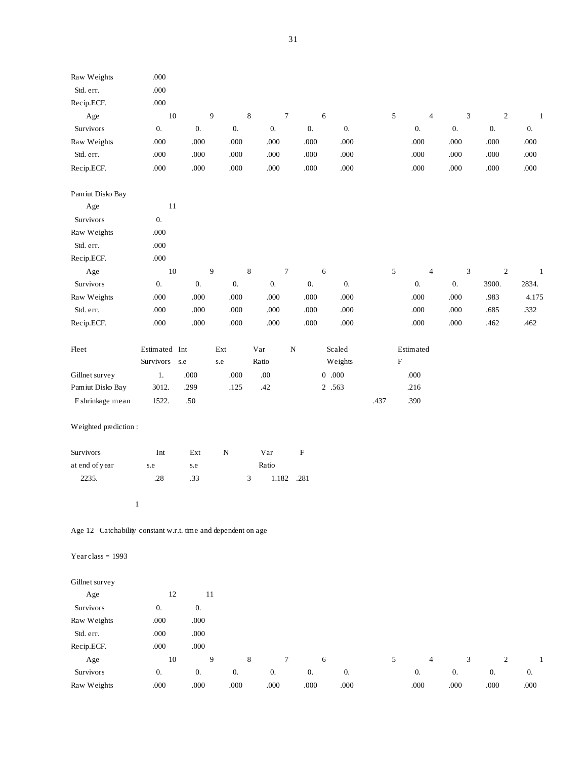| Raw Weights                                                   | $.000$             |                    |                    |                             |                    |                    |             |                |                    |            |              |
|---------------------------------------------------------------|--------------------|--------------------|--------------------|-----------------------------|--------------------|--------------------|-------------|----------------|--------------------|------------|--------------|
| Std. err.                                                     | $.000\,$           |                    |                    |                             |                    |                    |             |                |                    |            |              |
| Recip.ECF.                                                    | $.000\,$           |                    |                    |                             |                    |                    |             |                |                    |            |              |
| Age                                                           | $10\,$             |                    | $\boldsymbol{9}$   | $\,$ 8 $\,$                 | $\boldsymbol{7}$   | $\sqrt{6}$         | $\sqrt{5}$  | $\overline{4}$ | $\sqrt{3}$         | $\sqrt{2}$ | $\mathbf{1}$ |
| Survivors                                                     | 0.                 | 0.                 | $\boldsymbol{0}$ . | 0.                          | $\boldsymbol{0}$ . | $\boldsymbol{0}$ . |             | 0.             | 0.                 | 0.         | 0.           |
| Raw Weights                                                   | $.000\,$           | .000               | .000               | .000                        | .000               | .000               |             | .000           | .000               | .000       | $.000$       |
| Std. err.                                                     | $.000\,$           | $.000\,$           | $.000\,$           | $.000\,$                    | $.000\,$           | $.000\,$           |             | .000           | .000               | $.000$     | .000         |
| Recip.ECF.                                                    | $.000\,$           | $.000\,$           | $.000\,$           | $.000\,$                    | .000               | .000               |             | $.000\,$       | .000               | .000       | .000         |
| Pamiut Disko Bay                                              |                    |                    |                    |                             |                    |                    |             |                |                    |            |              |
| Age                                                           | 11                 |                    |                    |                             |                    |                    |             |                |                    |            |              |
| Survivors                                                     | 0.                 |                    |                    |                             |                    |                    |             |                |                    |            |              |
| Raw Weights                                                   | $.000$             |                    |                    |                             |                    |                    |             |                |                    |            |              |
| Std. err.                                                     | $.000\,$           |                    |                    |                             |                    |                    |             |                |                    |            |              |
| Recip.ECF.                                                    | $.000\,$           |                    |                    |                             |                    |                    |             |                |                    |            |              |
| Age                                                           | $10\,$             |                    | $\boldsymbol{9}$   | $\,$ 8 $\,$                 | $\boldsymbol{7}$   | 6                  | $\sqrt{5}$  | $\overline{4}$ | $\sqrt{3}$         | $\sqrt{2}$ | $\mathbf{1}$ |
| Survivors                                                     | 0.                 | 0.                 | 0.                 | 0.                          | $\boldsymbol{0}$ . | $\boldsymbol{0}$ . |             | 0.             | 0.                 | 3900.      | 2834.        |
| Raw Weights                                                   | $.000\,$           | .000               | .000               | .000                        | .000               | .000               |             | .000           | .000               | .983       | 4.175        |
| Std. err.                                                     | $.000$             | .000               | $.000\,$           | $.000\,$                    | .000               | $.000\,$           |             | .000           | $.000$             | .685       | .332         |
| Recip.ECF.                                                    | $.000$             | .000               | .000               | .000                        | .000               | .000               |             | .000           | $.000$             | .462       | .462         |
| Fleet                                                         | Estimated Int      |                    | Ext                | Var                         | ${\bf N}$          | Scaled             |             | Estimated      |                    |            |              |
|                                                               | Survivors          | s.e                | s.e                | Ratio                       |                    | Weights            | $\mathbf F$ |                |                    |            |              |
| Gillnet survey                                                | 1.                 | $.000$             | $.000\,$           | $.00\,$                     |                    | $0\hskip 4pt .000$ |             | .000           |                    |            |              |
| Pamiut Disko Bay                                              | 3012.              | .299               | .125               | .42                         |                    | 2 .563             |             | .216           |                    |            |              |
| F shrinkage mean                                              | 1522.              | .50                |                    |                             |                    |                    | .437        | .390           |                    |            |              |
| Weighted prediction:                                          |                    |                    |                    |                             |                    |                    |             |                |                    |            |              |
| Survivors                                                     | Int                | Ext                | $\mathbf N$        | Var                         | $\mathbf F$        |                    |             |                |                    |            |              |
| at end of year                                                | s.e                | s.e                |                    | Ratio                       |                    |                    |             |                |                    |            |              |
| 2235.                                                         | $.28\,$            | .33                |                    | $\ensuremath{\mathfrak{Z}}$ | 1.182 .281         |                    |             |                |                    |            |              |
|                                                               | $\mathbf{1}$       |                    |                    |                             |                    |                    |             |                |                    |            |              |
| Age 12 Catchability constant w.r.t. time and dependent on age |                    |                    |                    |                             |                    |                    |             |                |                    |            |              |
| Year class = $1993$                                           |                    |                    |                    |                             |                    |                    |             |                |                    |            |              |
| Gillnet survey                                                |                    |                    |                    |                             |                    |                    |             |                |                    |            |              |
| Age                                                           | 12                 |                    | 11                 |                             |                    |                    |             |                |                    |            |              |
| Survivors                                                     | $\boldsymbol{0}$ . | $0. \,$            |                    |                             |                    |                    |             |                |                    |            |              |
| Raw Weights                                                   | .000               | .000               |                    |                             |                    |                    |             |                |                    |            |              |
| Std. err.                                                     | .000               | .000               |                    |                             |                    |                    |             |                |                    |            |              |
| Recip.ECF.                                                    | $.000$             | .000               |                    |                             |                    |                    |             |                |                    |            |              |
| Age                                                           | $10\,$             |                    | $\boldsymbol{9}$   | 8                           | $\boldsymbol{7}$   | 6                  | 5           | $\overline{4}$ | $\mathfrak{Z}$     | $\sqrt{2}$ | $\mathbf{1}$ |
| Survivors                                                     | 0.                 | $\boldsymbol{0}$ . | $\boldsymbol{0}$ . | 0.                          | $0. \,$            | $\boldsymbol{0}$ . |             | 0.             | $\boldsymbol{0}$ . | $0. \,$    | 0.           |
| Raw Weights                                                   | .000               | .000               | .000               | .000                        | .000               | .000               |             | .000           | .000               | .000       | .000         |
|                                                               |                    |                    |                    |                             |                    |                    |             |                |                    |            |              |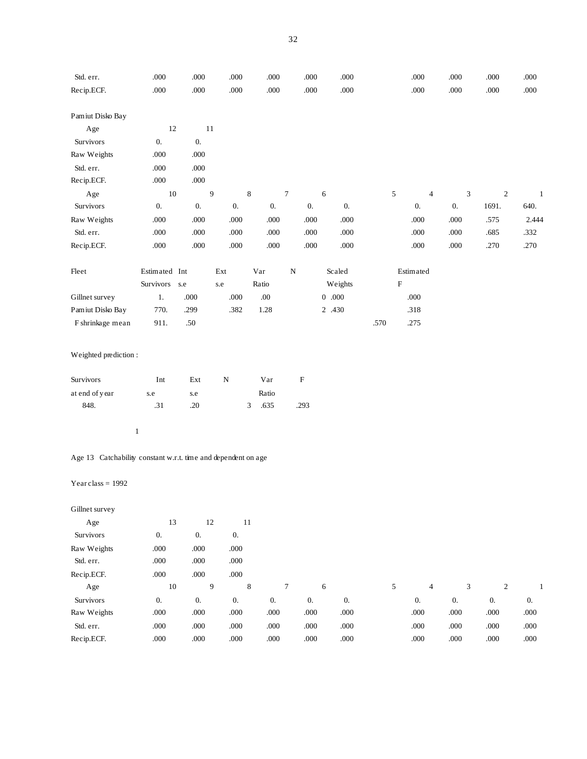| Std. err.                                                     | $.000$                      | .000                 | .000               | .000        | .000                      | .000               |      | .000                      | .000                        | $.000$           | .000         |
|---------------------------------------------------------------|-----------------------------|----------------------|--------------------|-------------|---------------------------|--------------------|------|---------------------------|-----------------------------|------------------|--------------|
| Recip.ECF.                                                    | $.000$                      | .000                 | .000               | .000        | $.000\,$                  | $.000\,$           |      | .000                      | .000                        | .000             | .000         |
| Pamiut Disko Bay                                              |                             |                      |                    |             |                           |                    |      |                           |                             |                  |              |
| Age                                                           | $12\,$                      | 11                   |                    |             |                           |                    |      |                           |                             |                  |              |
| Survivors                                                     | $\boldsymbol{0}$ .          | $0. \,$              |                    |             |                           |                    |      |                           |                             |                  |              |
| Raw Weights                                                   | .000                        | .000                 |                    |             |                           |                    |      |                           |                             |                  |              |
| Std. err.                                                     | .000                        | .000                 |                    |             |                           |                    |      |                           |                             |                  |              |
| Recip.ECF.                                                    | .000                        | .000                 |                    |             |                           |                    |      |                           |                             |                  |              |
| Age                                                           | $10\,$                      |                      | 9                  | $\,$ 8 $\,$ | $\overline{7}$            | 6                  | 5    | $\overline{4}$            | $\ensuremath{\mathfrak{Z}}$ | $\boldsymbol{2}$ | $\mathbf{1}$ |
| Survivors                                                     | $0. \,$                     | $0. \,$              | $0. \,$            | $0. \,$     | $0. \,$                   | $0. \,$            |      | $0. \,$                   | $0. \,$                     | 1691.            | 640.         |
| Raw Weights                                                   | $.000$                      | .000                 | .000               | .000        | .000                      | .000               |      | .000                      | .000                        | .575             | 2.444        |
| Std. err.                                                     | .000                        | .000                 | .000               | .000        | .000                      | $.000\,$           |      | .000                      | .000                        | .685             | .332         |
| Recip.ECF.                                                    | .000                        | .000                 | .000               | .000        | .000                      | .000               |      | .000                      | .000                        | .270             | .270         |
| Fleet                                                         | Estimated Int               |                      | Ext                | Var         | ${\bf N}$                 | Scaled             |      | Estimated                 |                             |                  |              |
|                                                               | Survivors s.e               |                      | s.e                | Ratio       |                           | Weights            |      | $\boldsymbol{\mathrm{F}}$ |                             |                  |              |
| Gillnet survey                                                | 1.                          | .000                 | .000               | $.00\,$     |                           | $0\hskip 4pt .000$ |      | .000                      |                             |                  |              |
| Pamiut Disko Bay                                              | 770.                        | .299                 | .382               | 1.28        |                           | 2 .430             |      | .318                      |                             |                  |              |
| F shrinkage mean                                              | 911.                        | $.50\,$              |                    |             |                           |                    | .570 | .275                      |                             |                  |              |
| Weighted prediction:                                          |                             |                      |                    |             |                           |                    |      |                           |                             |                  |              |
| Survivors                                                     | $\mathop{\rm Int}\nolimits$ | $\operatorname{Ext}$ | $\overline{\rm N}$ | Var         | $\boldsymbol{\mathrm{F}}$ |                    |      |                           |                             |                  |              |
| at end of year                                                | s.e                         | s.e                  |                    | Ratio       |                           |                    |      |                           |                             |                  |              |
| 848.                                                          | .31                         | .20                  |                    | 3<br>.635   | .293                      |                    |      |                           |                             |                  |              |
| $\mathbf{1}$                                                  |                             |                      |                    |             |                           |                    |      |                           |                             |                  |              |
| Age 13 Catchability constant w.r.t. time and dependent on age |                             |                      |                    |             |                           |                    |      |                           |                             |                  |              |
| Year class = $1992$                                           |                             |                      |                    |             |                           |                    |      |                           |                             |                  |              |

| Gillnet survey |      |      |                  |                  |      |      |   |                |      |                  |      |
|----------------|------|------|------------------|------------------|------|------|---|----------------|------|------------------|------|
| Age            | 13   | 12   | 11               |                  |      |      |   |                |      |                  |      |
| Survivors      | 0.   | 0.   | $\overline{0}$ . |                  |      |      |   |                |      |                  |      |
| Raw Weights    | .000 | .000 | .000             |                  |      |      |   |                |      |                  |      |
| Std. err.      | .000 | .000 | .000             |                  |      |      |   |                |      |                  |      |
| Recip.ECF.     | .000 | .000 | .000             |                  |      |      |   |                |      |                  |      |
| Age            | 10   | 9    | 8                | $\tau$           | 6    |      | 5 | $\overline{4}$ | 3    | 2                |      |
| Survivors      | 0.   | 0.   | $\overline{0}$ . | $\overline{0}$ . | 0.   | 0.   |   | 0.             | 0.   | $\overline{0}$ . | 0.   |
| Raw Weights    | .000 | .000 | .000             | .000             | .000 | .000 |   | .000           | .000 | .000             | .000 |
| Std. err.      | .000 | .000 | .000             | .000             | .000 | .000 |   | .000           | .000 | .000             | .000 |
| Recip.ECF.     | .000 | .000 | .000             | .000             | .000 | .000 |   | .000           | .000 | .000             | .000 |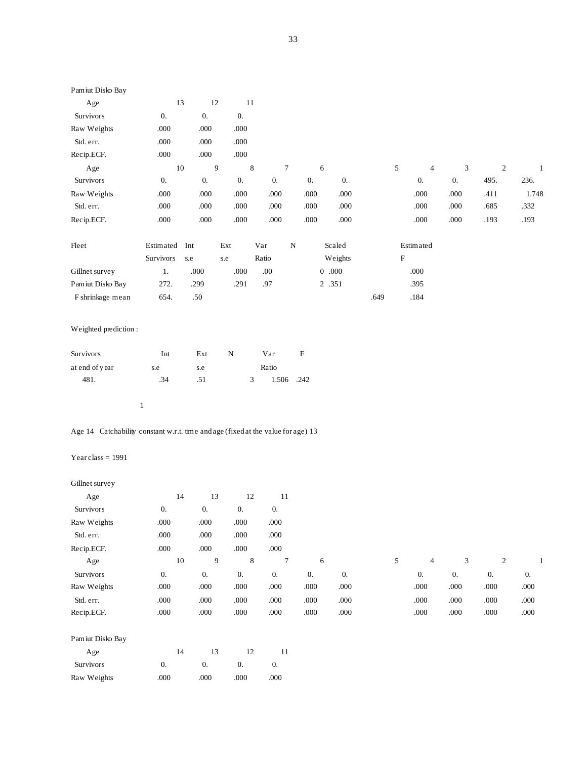| Pamiut Disko Bay |                  |                  |                  |                     |                  |                  |      |                           |                |                  |                  |       |
|------------------|------------------|------------------|------------------|---------------------|------------------|------------------|------|---------------------------|----------------|------------------|------------------|-------|
| Age              | 13               | 12               | 11               |                     |                  |                  |      |                           |                |                  |                  |       |
| Survivors        | $\overline{0}$ . | $\overline{0}$ . | $\overline{0}$ . |                     |                  |                  |      |                           |                |                  |                  |       |
| Raw Weights      | .000             | .000             | .000             |                     |                  |                  |      |                           |                |                  |                  |       |
| Std. err.        | .000             | .000             | .000             |                     |                  |                  |      |                           |                |                  |                  |       |
| Recip.ECF.       | .000             | .000             | .000             |                     |                  |                  |      |                           |                |                  |                  |       |
| Age              | 10               |                  | 9                | 8<br>$\overline{7}$ |                  | 6                |      | 5                         | $\overline{4}$ | 3                | $\boldsymbol{2}$ | 1     |
| Survivors        | 0.               | $\overline{0}$ . | $\overline{0}$ . | $\overline{0}$ .    | $\overline{0}$ . | $\overline{0}$ . |      |                           | 0.             | $\overline{0}$ . | 495.             | 236.  |
| Raw Weights      | .000             | .000             | .000             | .000                | .000             | .000             |      |                           | .000           | .000             | .411             | 1.748 |
| Std. err.        | .000             | .000             | .000             | .000                | .000             | .000             |      |                           | .000           | .000             | .685             | .332  |
| Recip.ECF.       | .000             | .000             | .000             | .000                | .000             | .000             |      |                           | .000           | .000             | .193             | .193  |
| Fleet            | Estimated        | Int              | Ext              | Var                 | $\mathbf N$      | Scaled           |      |                           | Estimated      |                  |                  |       |
|                  | Survivors        | s.e              | s.e              | Ratio               |                  | Weights          |      | $\boldsymbol{\mathrm{F}}$ |                |                  |                  |       |
| Gillnet survey   | 1.               | .000             | .000             | .00.                |                  | 0.000            |      |                           | .000           |                  |                  |       |
| Pamiut Disko Bay | 272.             | .299             | .291             | .97                 |                  | 2 .351           |      |                           | .395           |                  |                  |       |
| F shrinkage mean | 654.             | .50              |                  |                     |                  |                  | .649 |                           | .184           |                  |                  |       |
|                  |                  |                  |                  |                     |                  |                  |      |                           |                |                  |                  |       |

| <b>Survivors</b> | Int | Ext | N | Var        | F |
|------------------|-----|-----|---|------------|---|
| at end of year   | s.e | s.e |   | Ratio      |   |
| 481.             | .34 | .51 |   | 1.506 .242 |   |

1

Age 14 Catchability constant w.r.t. time and age (fixed at the value for age) 13

### Year class  $= 1991$

### Gillnet survey

| Age              | 14               | 13   | 12               | 11   |                  |                  |   |                |      |                |      |
|------------------|------------------|------|------------------|------|------------------|------------------|---|----------------|------|----------------|------|
| Survivors        | 0.               | 0.   | 0.               | 0.   |                  |                  |   |                |      |                |      |
| Raw Weights      | .000             | .000 | .000             | .000 |                  |                  |   |                |      |                |      |
| Std. err.        | .000             | .000 | .000             | .000 |                  |                  |   |                |      |                |      |
| Recip.ECF.       | .000             | .000 | .000             | .000 |                  |                  |   |                |      |                |      |
| Age              | 10               | 9    | 8                | 7    | 6                |                  | 5 | $\overline{4}$ | 3    | $\overline{c}$ |      |
| Survivors        | $\overline{0}$ . | 0.   | $\overline{0}$ . | 0.   | $\overline{0}$ . | $\overline{0}$ . |   | 0.             | 0.   | 0.             | 0.   |
| Raw Weights      | .000             | .000 | .000             | .000 | .000             | .000             |   | .000           | .000 | .000           | .000 |
| Std. err.        | .000             | .000 | .000             | .000 | .000             | .000             |   | .000           | .000 | .000           | .000 |
| Recip.ECF.       | .000             | .000 | .000             | .000 | .000             | .000             |   | .000           | .000 | .000           | .000 |
| Pamiut Disko Bay |                  |      |                  |      |                  |                  |   |                |      |                |      |
| Age              | 14               | 13   | 12               | 11   |                  |                  |   |                |      |                |      |
| Survivors        | $\overline{0}$ . | 0.   | $\overline{0}$ . | 0.   |                  |                  |   |                |      |                |      |
| Raw Weights      | .000             | .000 | .000             | .000 |                  |                  |   |                |      |                |      |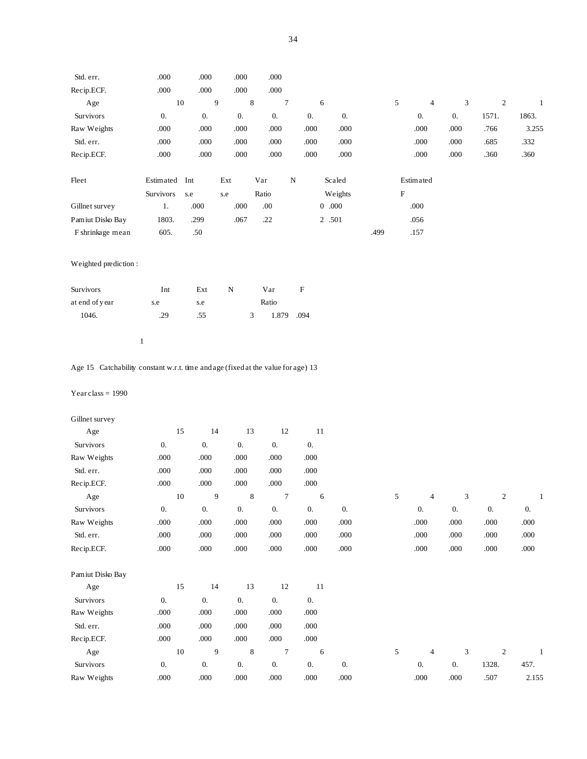| Std. err.                                                                        | $.000\,$           | .000     | $.000\,$                        | .000             |                   |                    |      |           |                |                             |                    |          |
|----------------------------------------------------------------------------------|--------------------|----------|---------------------------------|------------------|-------------------|--------------------|------|-----------|----------------|-----------------------------|--------------------|----------|
|                                                                                  |                    |          |                                 |                  |                   |                    |      |           |                |                             |                    |          |
| Recip.ECF.                                                                       | $.000\,$           | $.000$   | $.000\,$                        | .000             |                   |                    |      |           |                |                             |                    |          |
| Age                                                                              |                    | $10\,$   | $\boldsymbol{9}$<br>$\,$ 8 $\,$ | $\boldsymbol{7}$ | $\epsilon$        |                    |      | 5         | $\overline{4}$ | $\ensuremath{\mathfrak{Z}}$ | $\sqrt{2}$         | -1       |
| Survivors                                                                        | $\boldsymbol{0}$ . | 0.       | $0. \,$                         | 0.               | 0.                | 0.                 |      |           | 0.             | 0.                          | 1571.              | 1863.    |
| Raw Weights                                                                      | .000               | .000     | .000                            | .000             | .000              | .000               |      |           | .000           | .000                        | .766               | 3.255    |
| Std. err.                                                                        | .000               | $.000$   | .000                            | .000             | .000              | .000               |      |           | .000           | .000                        | .685               | .332     |
| Recip.ECF.                                                                       | .000               | $.000$   | .000                            | .000             | .000              | .000               |      |           | .000           | .000                        | .360               | .360     |
| Fleet                                                                            | Estimated Int      |          | Ext                             | Var              | ${\bf N}$         | Scaled             |      |           | Estimated      |                             |                    |          |
|                                                                                  | Survivors          | s.e      | s.e                             | Ratio            |                   | Weights            |      | ${\bf F}$ |                |                             |                    |          |
| Gillnet survey                                                                   | $1.$               | $.000\,$ | $.000\,$                        | .00              |                   | $0\hskip 4pt .000$ |      |           | .000           |                             |                    |          |
| Pamiut Disko Bay                                                                 | 1803.              | .299     | .067                            | .22              |                   | 2 .501             |      |           | .056           |                             |                    |          |
| F shrinkage mean                                                                 | 605.               | $.50\,$  |                                 |                  |                   |                    | .499 |           | .157           |                             |                    |          |
|                                                                                  |                    |          |                                 |                  |                   |                    |      |           |                |                             |                    |          |
| Weighted prediction:                                                             |                    |          |                                 |                  |                   |                    |      |           |                |                             |                    |          |
|                                                                                  |                    |          |                                 |                  |                   |                    |      |           |                |                             |                    |          |
| Survivors                                                                        | Int                | Ext      | ${\bf N}$                       | Var              | F                 |                    |      |           |                |                             |                    |          |
| at end of year                                                                   | $\rm s.e$          | s.e      |                                 | Ratio            |                   |                    |      |           |                |                             |                    |          |
| 1046.                                                                            | .29                | .55      | 3                               | 1.879            | .094              |                    |      |           |                |                             |                    |          |
|                                                                                  |                    |          |                                 |                  |                   |                    |      |           |                |                             |                    |          |
|                                                                                  | $\mathbf{1}$       |          |                                 |                  |                   |                    |      |           |                |                             |                    |          |
|                                                                                  |                    |          |                                 |                  |                   |                    |      |           |                |                             |                    |          |
| Age 15 Catchability constant w.r.t. time and age (fixed at the value for age) 13 |                    |          |                                 |                  |                   |                    |      |           |                |                             |                    |          |
| Year class = $1990$                                                              |                    |          |                                 |                  |                   |                    |      |           |                |                             |                    |          |
|                                                                                  |                    |          |                                 |                  |                   |                    |      |           |                |                             |                    |          |
| Gillnet survey                                                                   |                    |          |                                 |                  |                   |                    |      |           |                |                             |                    |          |
| Age                                                                              | 15                 | 14       | 13                              | 12               | 11                |                    |      |           |                |                             |                    |          |
| Survivors                                                                        | $\boldsymbol{0}.$  | $0. \,$  | $0. \,$                         | $0. \,$          | 0.                |                    |      |           |                |                             |                    |          |
| Raw Weights                                                                      | .000               | .000     | $.000\,$                        | .000             | .000              |                    |      |           |                |                             |                    |          |
| Std. err.                                                                        | .000               | $.000$   | .000                            | .000             | .000              |                    |      |           |                |                             |                    |          |
| Recip.ECF.                                                                       | .000               | .000     | .000                            | .000             | .000              |                    |      |           |                |                             |                    |          |
| Age                                                                              |                    | 10       | 9<br>8                          | $\tau$           | 6                 |                    |      | 5         | 4              | 3                           | 2                  |          |
| Survivors                                                                        | 0.                 | $0. \,$  | 0.                              | 0.               | $0. \,$           | $0. \,$            |      |           | $0. \,$        | $\boldsymbol{0}$ .          | $\boldsymbol{0}$ . | 0.       |
| Raw Weights                                                                      | $.000\,$           | $.000\,$ | $.000\,$                        | $.000\,$         | .000              | .000               |      |           | .000           | $.000$                      | .000               | .000     |
| Std. err.                                                                        | $.000\,$           | $.000\,$ | .000                            | $.000\,$         | .000              | $.000\,$           |      |           | $.000\,$       | $.000$                      | .000               | .000     |
| Recip.ECF.                                                                       | $.000\,$           | $.000\,$ | $.000\,$                        | $.000\,$         | $.000\,$          | $.000\,$           |      |           | $.000$         | .000                        | $.000\,$           | $.000\,$ |
|                                                                                  |                    |          |                                 |                  |                   |                    |      |           |                |                             |                    |          |
| Pamiut Disko Bay                                                                 |                    |          |                                 |                  |                   |                    |      |           |                |                             |                    |          |
| Age                                                                              | $15\,$             | 14       | 13                              | $12\,$           | 11                |                    |      |           |                |                             |                    |          |
| Survivors                                                                        | 0.                 | $0. \,$  | $\boldsymbol{0}.$               | $0. \,$          | $\boldsymbol{0}.$ |                    |      |           |                |                             |                    |          |
| Raw Weights                                                                      | $.000\,$           | $.000\,$ | $.000\,$                        | $.000\,$         | $.000\,$          |                    |      |           |                |                             |                    |          |

| Recip.ECF.       | .000 | .000 | 000  | .000 | .000         |            |      |      |       |       |
|------------------|------|------|------|------|--------------|------------|------|------|-------|-------|
| Age              | 10   |      |      |      | <sub>6</sub> |            | 4    |      | ∸     |       |
| <b>Survivors</b> |      | 0.   | O.   | 0.   | 0.           | $\theta$ . |      |      | 1328. | 457.  |
| Raw Weights      | .000 | .000 | .000 | .000 | .000         | .000       | .000 | .000 | .507  | 2.155 |

Std. err. . .000 .000 .000 .000 .000 .000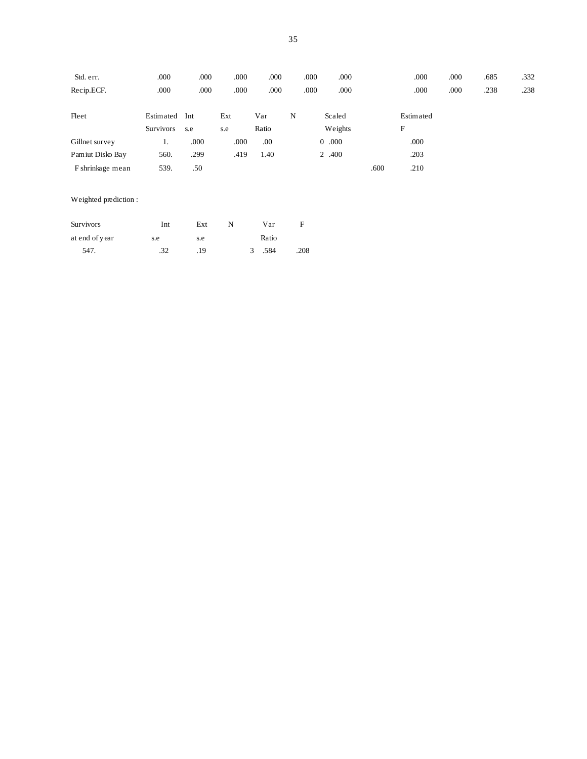| Std. err.        | .000                          | .000       | .000       | .000         | .000 | .000                   |      | .000           | .000 | .685 | .332 |
|------------------|-------------------------------|------------|------------|--------------|------|------------------------|------|----------------|------|------|------|
| Recip.ECF.       | .000                          | .000       | .000       | .000         | .000 | .000                   |      | .000           | .000 | .238 | .238 |
| Fleet            | Estimated<br><b>Survivors</b> | Int<br>s.e | Ext<br>s.e | Var<br>Ratio | N    | Scaled<br>Weights      |      | Estimated<br>F |      |      |      |
| Gillnet survey   | ı.                            | .000       | .000       | .00          |      | .000<br>$\overline{0}$ |      | .000           |      |      |      |
| Pamiut Disko Bay | 560.                          | .299       | .419       | 1.40         |      | 2 .400                 |      | .203           |      |      |      |
| F shrinkage mean | 539.                          | .50        |            |              |      |                        | .600 | .210           |      |      |      |

| <b>Survivors</b> | Int | Ext | N |               | Var   | н    |
|------------------|-----|-----|---|---------------|-------|------|
| at end of year   | s.e | s.e |   |               | Ratio |      |
| 547.             | .32 | .19 |   | $\mathcal{R}$ | .584  | .208 |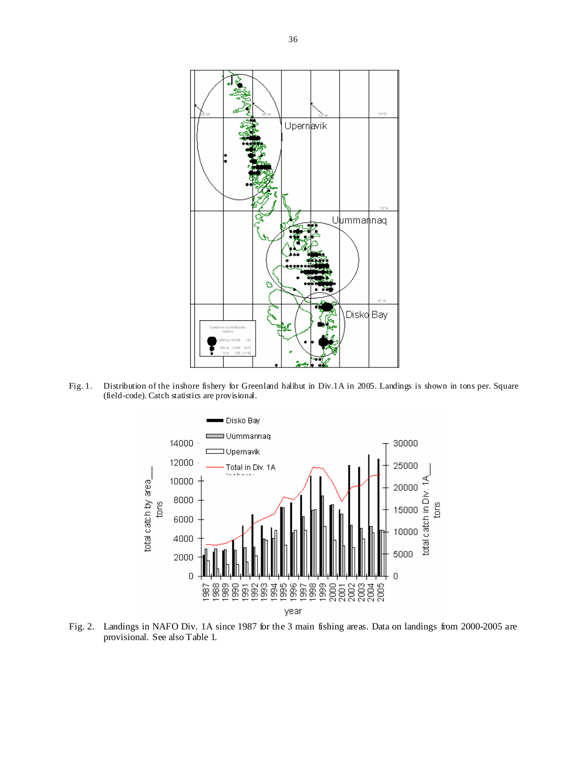

Fig. 1. Distribution of the inshore fishery for Greenland halibut in Div.1A in 2005. Landings is shown in tons per. Square (field-code). Catch statistics are provisional.



Fig. 2. Landings in NAFO Div. 1A since 1987 for the 3 main fishing areas. Data on landings from 2000-2005 are provisional. See also Table 1.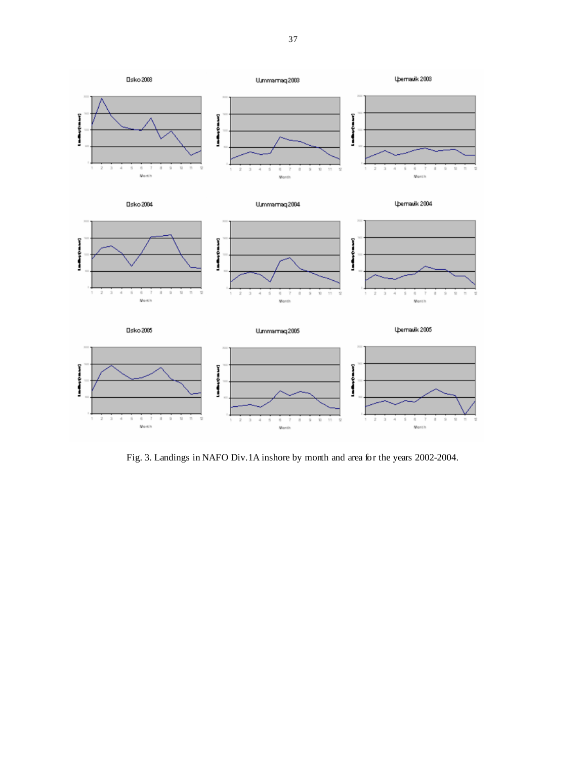

Fig. 3. Landings in NAFO Div.1A inshore by month and area for the years 2002-2004.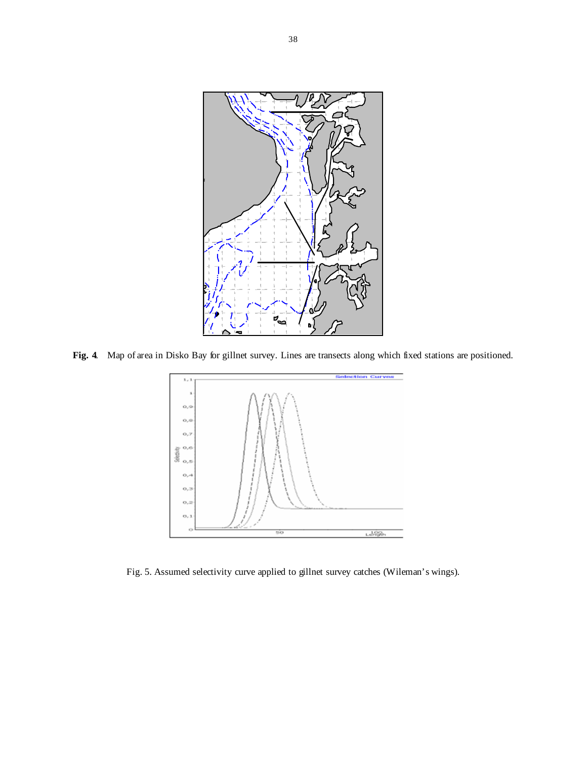

**Fig. 4**. Map of area in Disko Bay for gillnet survey. Lines are transects along which fixed stations are positioned.



Fig. 5. Assumed selectivity curve applied to gillnet survey catches (Wileman's wings).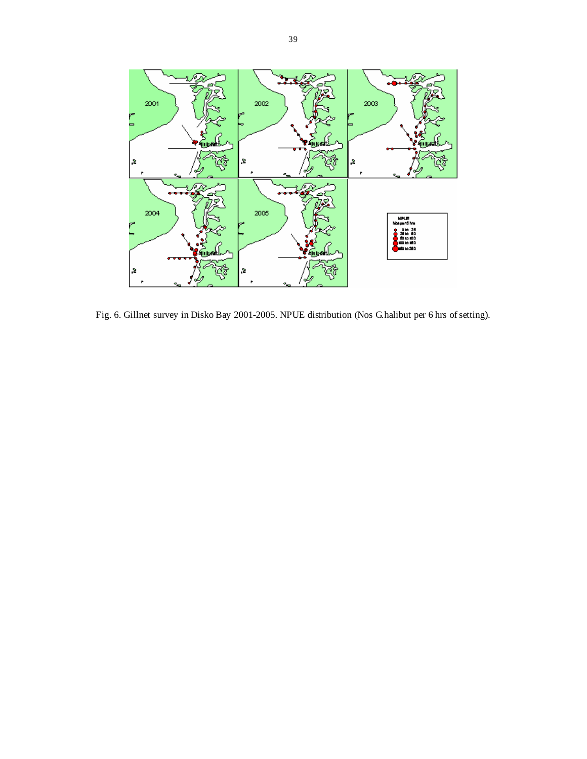

Fig. 6. Gillnet survey in Disko Bay 2001-2005. NPUE distribution (Nos G.halibut per 6 hrs of setting).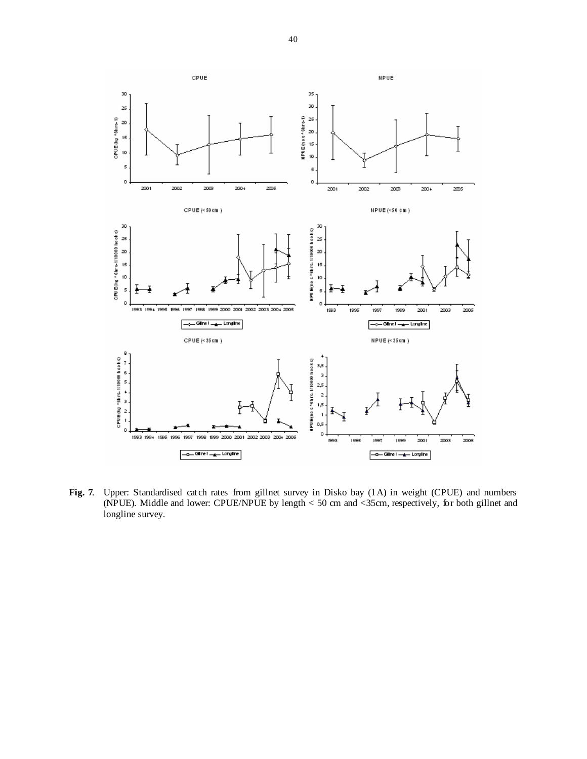

**Fig. 7**. Upper: Standardised catch rates from gillnet survey in Disko bay (1A) in weight (CPUE) and numbers (NPUE). Middle and lower: CPUE/NPUE by length < 50 cm and <35cm, respectively, for both gillnet and longline survey.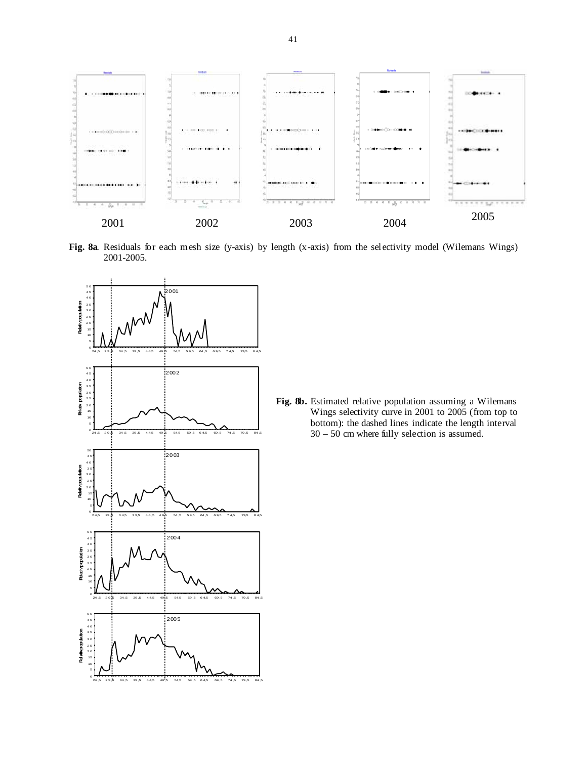

**Fig. 8a**. Residuals for each mesh size (y-axis) by length (x-axis) from the selectivity model (Wilemans Wings) 2001-2005.



**Fig. 8b.** Estimated relative population assuming a Wilemans Wings selectivity curve in 2001 to 2005 (from top to bottom): the dashed lines indicate the length interval 30 – 50 cm where fully selection is assumed.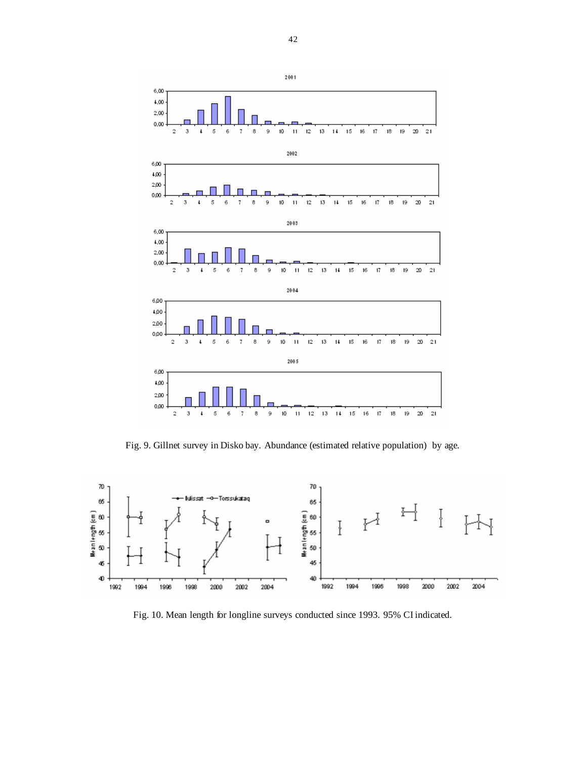

Fig. 9. Gillnet survey in Disko bay. Abundance (estimated relative population) by age.



Fig. 10. Mean length for longline surveys conducted since 1993. 95% CI indicated.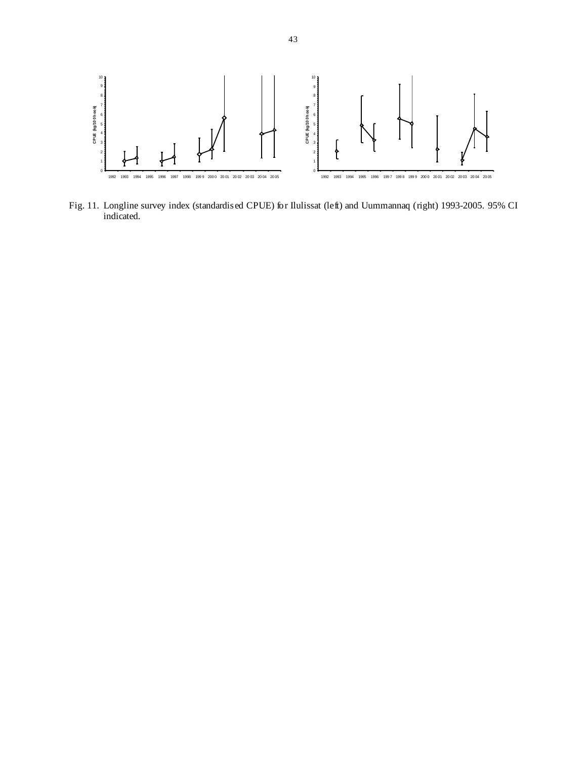

Fig. 11. Longline survey index (standardised CPUE) for Ilulissat (left) and Uummannaq (right) 1993-2005. 95% CI indicated.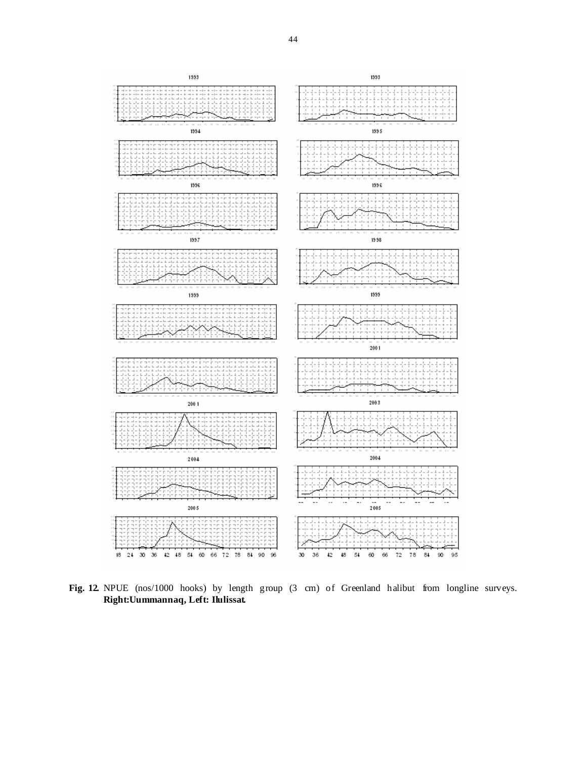

**Fig. 12.** NPUE (nos/1000 hooks) by length group (3 cm) of Greenland halibut from longline surveys. **Right:Uummannaq, Left: Ilulissat.**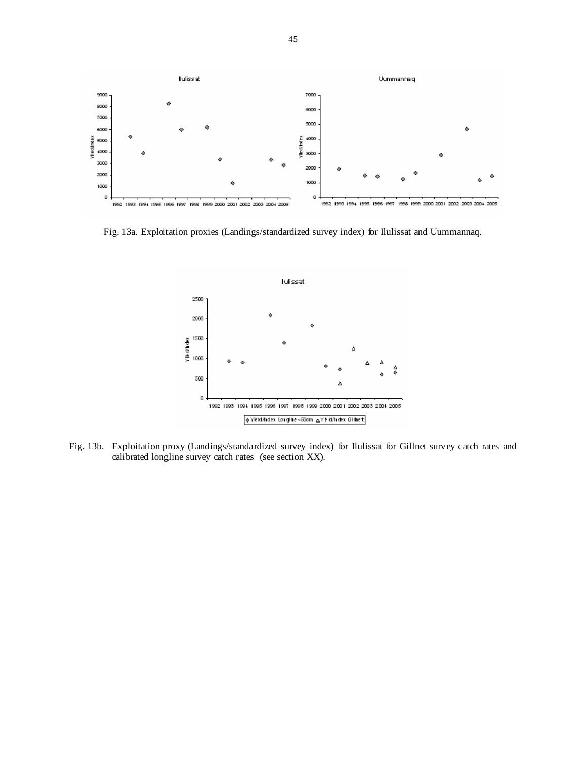

Fig. 13a. Exploitation proxies (Landings/standardized survey index) for Ilulissat and Uummannaq.



Fig. 13b. Exploitation proxy (Landings/standardized survey index) for Ilulissat for Gillnet survey catch rates and calibrated longline survey catch rates (see section XX).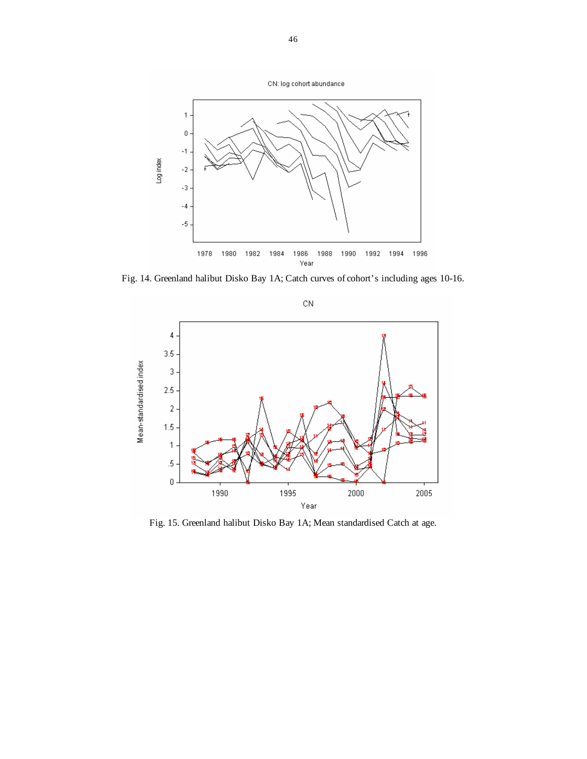

Fig. 14. Greenland halibut Disko Bay 1A; Catch curves of cohort's including ages 10-16.



Fig. 15. Greenland halibut Disko Bay 1A; Mean standardised Catch at age.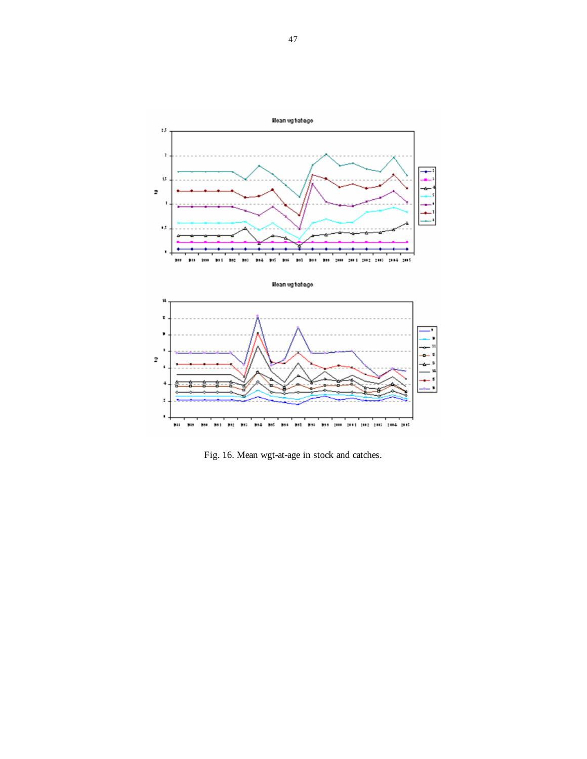





Fig. 16. Mean wgt-at-age in stock and catches.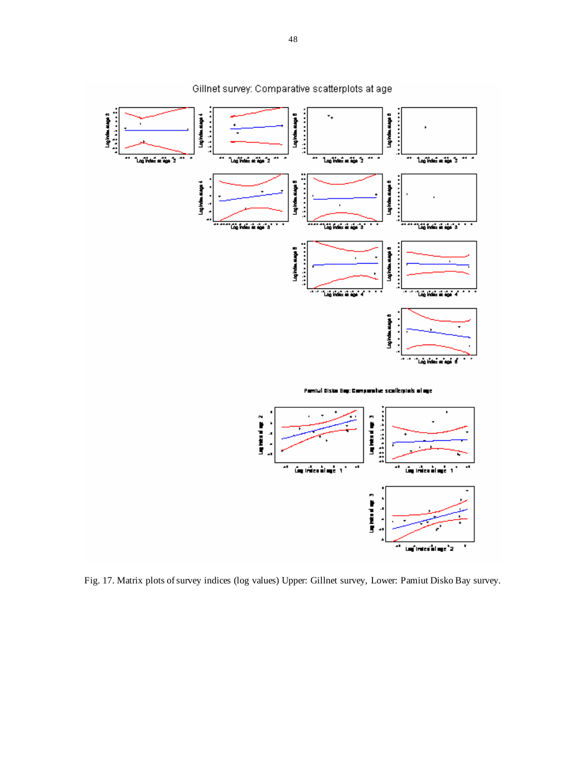

Fig. 17. Matrix plots of survey indices (log values) Upper: Gillnet survey, Lower: Pamiut Disko Bay survey.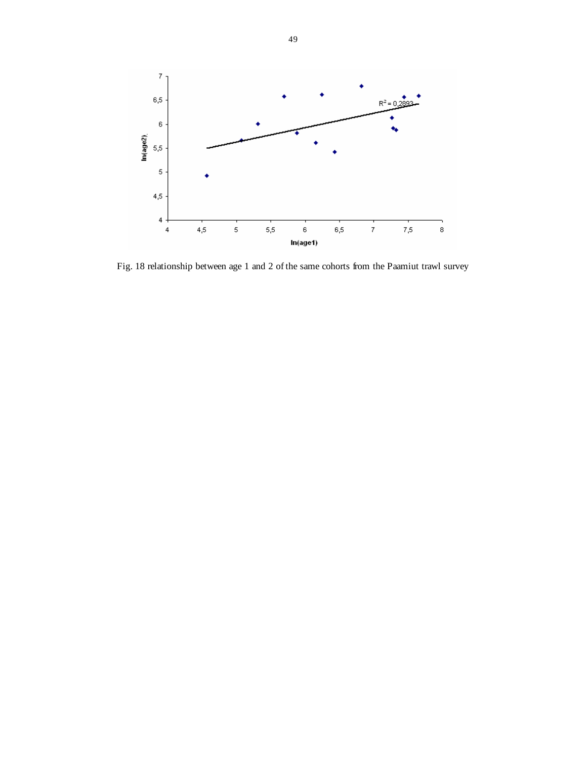

Fig. 18 relationship between age 1 and 2 of the same cohorts from the Paamiut trawl survey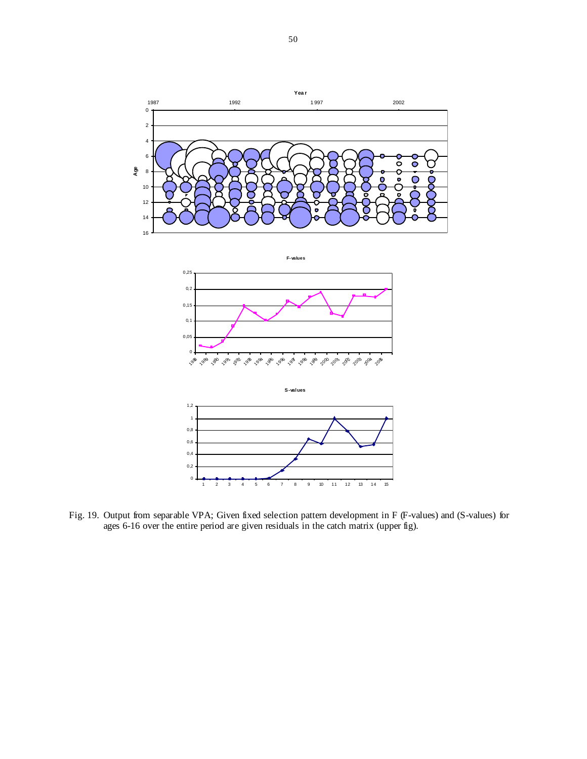

Fig. 19. Output from separable VPA; Given fixed selection pattern development in F (F-values) and (S-values) for ages 6-16 over the entire period are given residuals in the catch matrix (upper fig).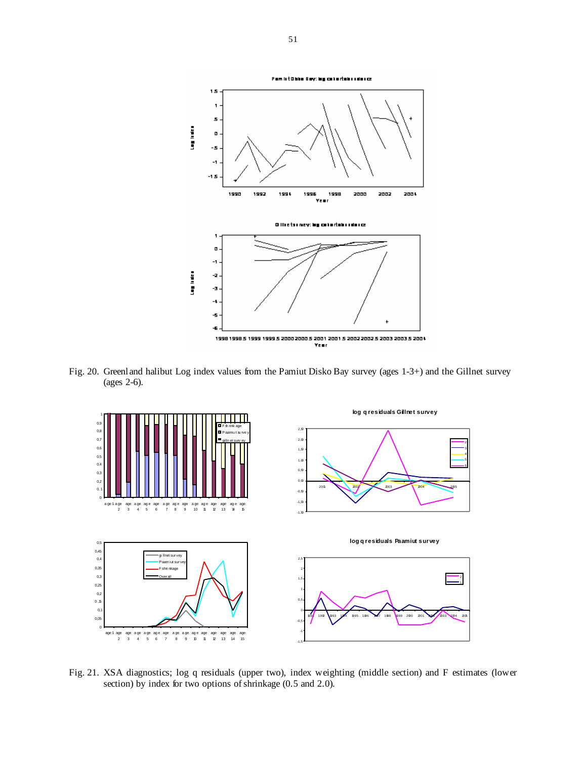

Fig. 20. Greenland halibut Log index values from the Pamiut Disko Bay survey (ages 1-3+) and the Gillnet survey (ages 2-6).



Fig. 21. XSA diagnostics; log q residuals (upper two), index weighting (middle section) and F estimates (lower section) by index for two options of shrinkage (0.5 and 2.0).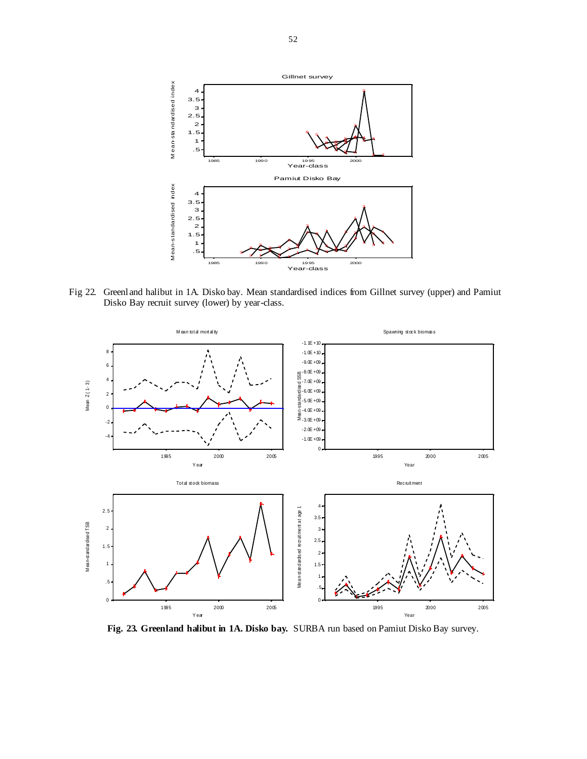

Fig 22. Greenland halibut in 1A. Disko bay. Mean standardised indices from Gillnet survey (upper) and Pamiut Disko Bay recruit survey (lower) by year-class.



**Fig. 23. Greenland halibut in 1A. Disko bay.** SURBA run based on Pamiut Disko Bay survey.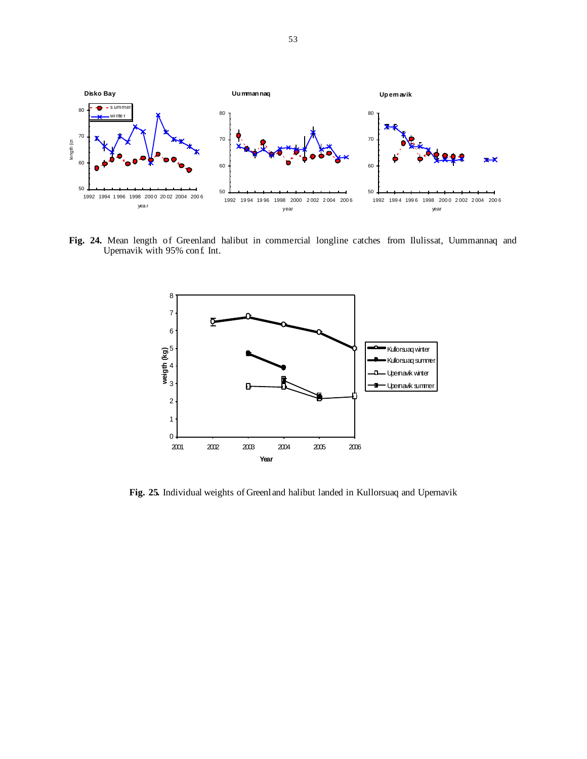

**Fig. 24.** Mean length of Greenland halibut in commercial longline catches from Ilulissat, Uummannaq and Upernavik with 95% conf. Int.



**Fig. 25.** Individual weights of Greenland halibut landed in Kullorsuaq and Upernavik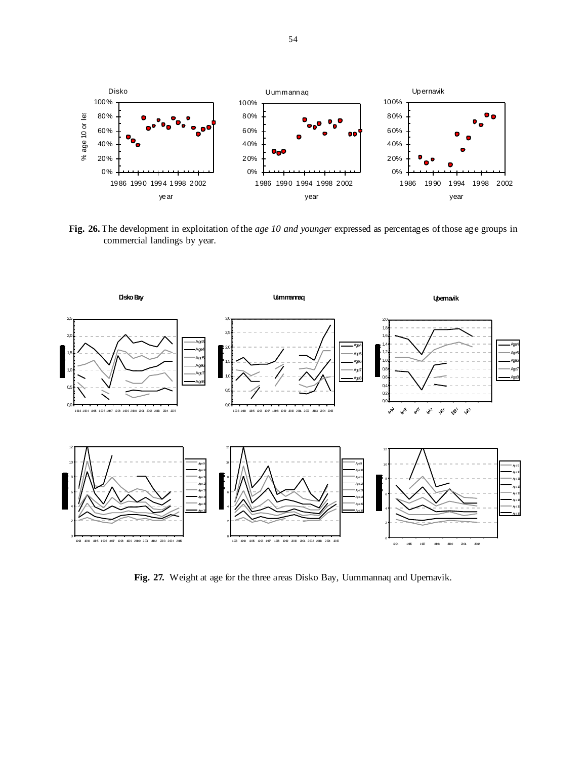

**Fig. 26.** The development in exploitation of the *age 10 and younger* expressed as percentages of those age groups in commercial landings by year.



**Fig. 27.** Weight at age for the three areas Disko Bay, Uummannaq and Upernavik.